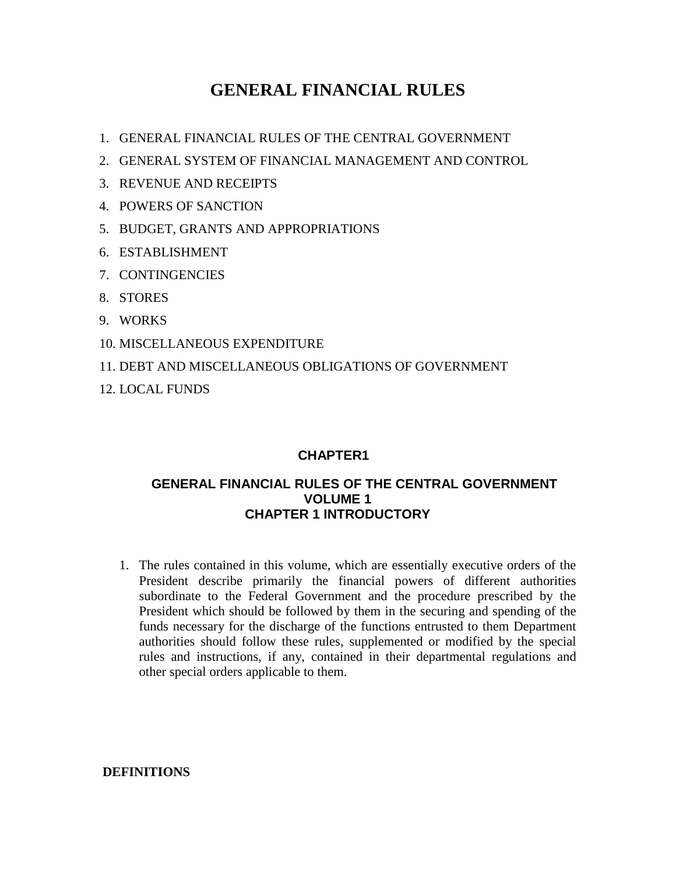# **GENERAL FINANCIAL RULES**

- 1. GENERAL FINANCIAL RULES OF THE CENTRAL GOVERNMENT
- 2. GENERAL SYSTEM OF FINANCIAL MANAGEMENT AND CONTROL
- 3. REVENUE AND RECEIPTS
- 4. POWERS OF SANCTION
- 5. BUDGET, GRANTS AND APPROPRIATIONS
- 6. ESTABLISHMENT
- 7. CONTINGENCIES
- 8. STORES
- 9. WORKS
- 10. MISCELLANEOUS EXPENDITURE
- 11. DEBT AND MISCELLANEOUS OBLIGATIONS OF GOVERNMENT
- 12. LOCAL FUNDS

## **CHAPTER1**

### **GENERAL FINANCIAL RULES OF THE CENTRAL GOVERNMENT VOLUME 1 CHAPTER 1 INTRODUCTORY**

1. The rules contained in this volume, which are essentially executive orders of the President describe primarily the financial powers of different authorities subordinate to the Federal Government and the procedure prescribed by the President which should be followed by them in the securing and spending of the funds necessary for the discharge of the functions entrusted to them Department authorities should follow these rules, supplemented or modified by the special rules and instructions, if any, contained in their departmental regulations and other special orders applicable to them.

 **DEFINITIONS**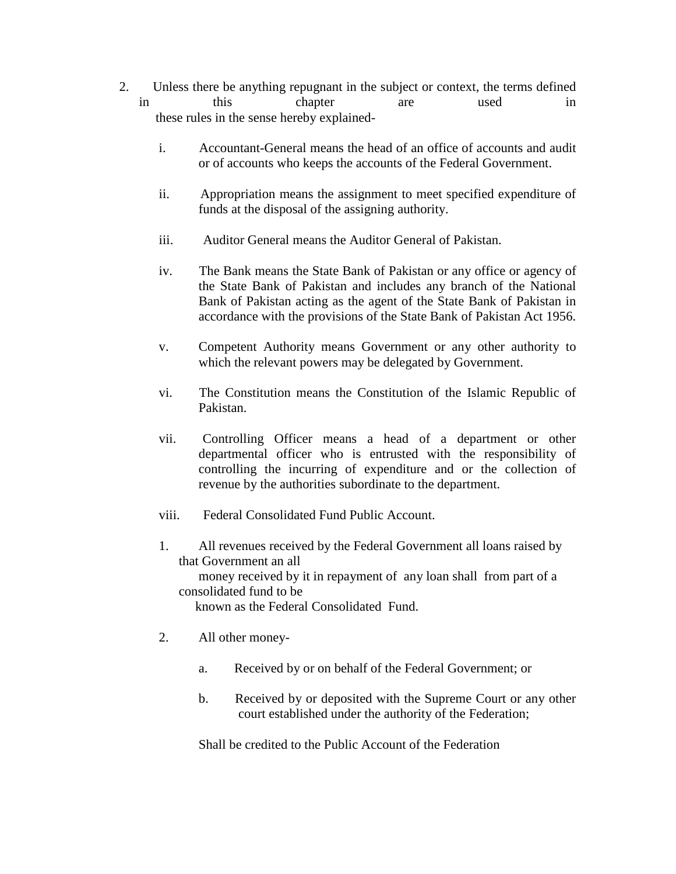- 2. Unless there be anything repugnant in the subject or context, the terms defined in this chapter are used in these rules in the sense hereby explained
	- i. Accountant-General means the head of an office of accounts and audit or of accounts who keeps the accounts of the Federal Government.
	- ii. Appropriation means the assignment to meet specified expenditure of funds at the disposal of the assigning authority.
	- iii. Auditor General means the Auditor General of Pakistan.
	- iv. The Bank means the State Bank of Pakistan or any office or agency of the State Bank of Pakistan and includes any branch of the National Bank of Pakistan acting as the agent of the State Bank of Pakistan in accordance with the provisions of the State Bank of Pakistan Act 1956.
	- v. Competent Authority means Government or any other authority to which the relevant powers may be delegated by Government.
	- vi. The Constitution means the Constitution of the Islamic Republic of Pakistan.
	- vii. Controlling Officer means a head of a department or other departmental officer who is entrusted with the responsibility of controlling the incurring of expenditure and or the collection of revenue by the authorities subordinate to the department.
	- viii. Federal Consolidated Fund Public Account.
	- 1. All revenues received by the Federal Government all loans raised by that Government an all money received by it in repayment of any loan shall from part of a consolidated fund to be known as the Federal Consolidated Fund.
	- 2. All other money
		- a. Received by or on behalf of the Federal Government; or
		- b. Received by or deposited with the Supreme Court or any other court established under the authority of the Federation;

Shall be credited to the Public Account of the Federation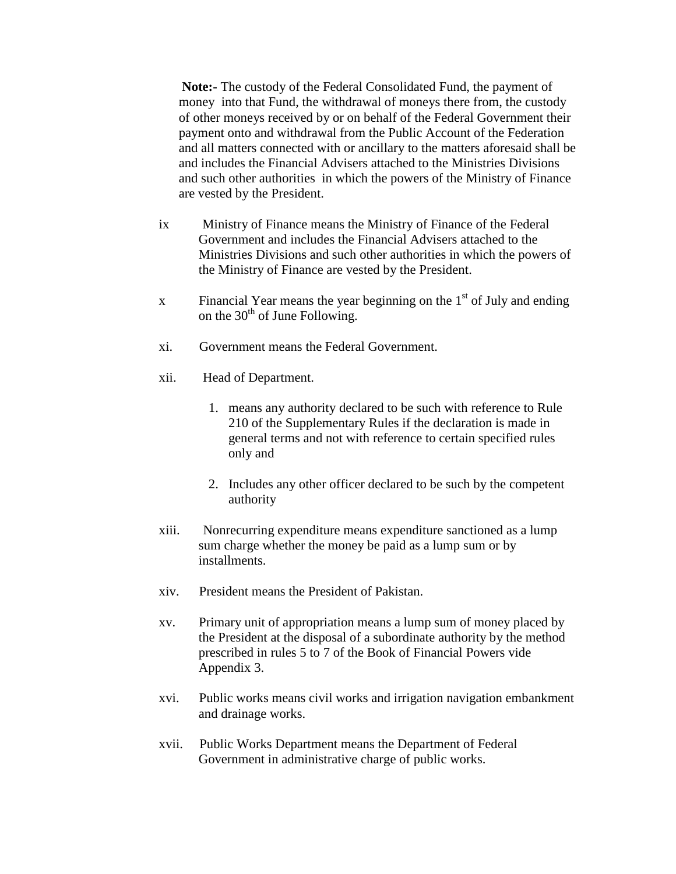**Note:-** The custody of the Federal Consolidated Fund, the payment of money into that Fund, the withdrawal of moneys there from, the custody of other moneys received by or on behalf of the Federal Government their payment onto and withdrawal from the Public Account of the Federation and all matters connected with or ancillary to the matters aforesaid shall be and includes the Financial Advisers attached to the Ministries Divisions and such other authorities in which the powers of the Ministry of Finance are vested by the President.

- ix Ministry of Finance means the Ministry of Finance of the Federal Government and includes the Financial Advisers attached to the Ministries Divisions and such other authorities in which the powers of the Ministry of Finance are vested by the President.
- x Financial Year means the year beginning on the  $1<sup>st</sup>$  of July and ending on the  $30<sup>th</sup>$  of June Following.
- xi. Government means the Federal Government.
- xii. Head of Department.
	- 1. means any authority declared to be such with reference to Rule 210 of the Supplementary Rules if the declaration is made in general terms and not with reference to certain specified rules only and
	- 2. Includes any other officer declared to be such by the competent authority
- xiii. Nonrecurring expenditure means expenditure sanctioned as a lump sum charge whether the money be paid as a lump sum or by installments.
- xiv. President means the President of Pakistan.
- xv. Primary unit of appropriation means a lump sum of money placed by the President at the disposal of a subordinate authority by the method prescribed in rules 5 to 7 of the Book of Financial Powers vide Appendix 3.
- xvi. Public works means civil works and irrigation navigation embankment and drainage works.
- xvii. Public Works Department means the Department of Federal Government in administrative charge of public works.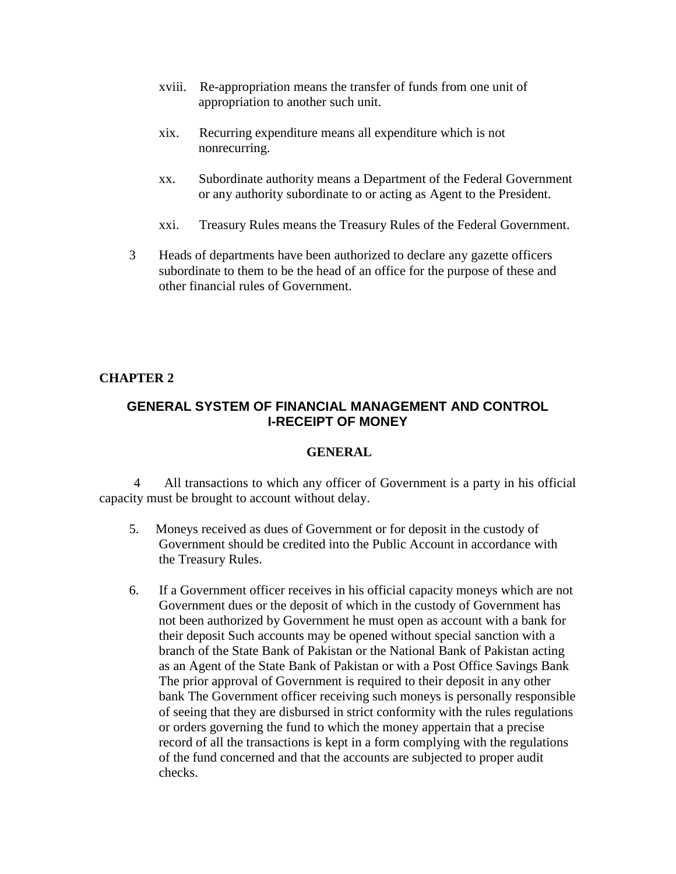- xviii. Re-appropriation means the transfer of funds from one unit of appropriation to another such unit.
- xix. Recurring expenditure means all expenditure which is not nonrecurring.
- xx. Subordinate authority means a Department of the Federal Government or any authority subordinate to or acting as Agent to the President.
- xxi. Treasury Rules means the Treasury Rules of the Federal Government.
- 3 Heads of departments have been authorized to declare any gazette officers subordinate to them to be the head of an office for the purpose of these and other financial rules of Government.

### **CHAPTER 2**

### **GENERAL SYSTEM OF FINANCIAL MANAGEMENT AND CONTROL I-RECEIPT OF MONEY**

### **GENERAL**

All transactions to which any officer of Government is a party in his official capacity must be brought to account without delay.

- 5. Moneys received as dues of Government or for deposit in the custody of Government should be credited into the Public Account in accordance with the Treasury Rules.
- 6. If a Government officer receives in his official capacity moneys which are not Government dues or the deposit of which in the custody of Government has not been authorized by Government he must open as account with a bank for their deposit Such accounts may be opened without special sanction with a branch of the State Bank of Pakistan or the National Bank of Pakistan acting as an Agent of the State Bank of Pakistan or with a Post Office Savings Bank The prior approval of Government is required to their deposit in any other bank The Government officer receiving such moneys is personally responsible of seeing that they are disbursed in strict conformity with the rules regulations or orders governing the fund to which the money appertain that a precise record of all the transactions is kept in a form complying with the regulations of the fund concerned and that the accounts are subjected to proper audit checks.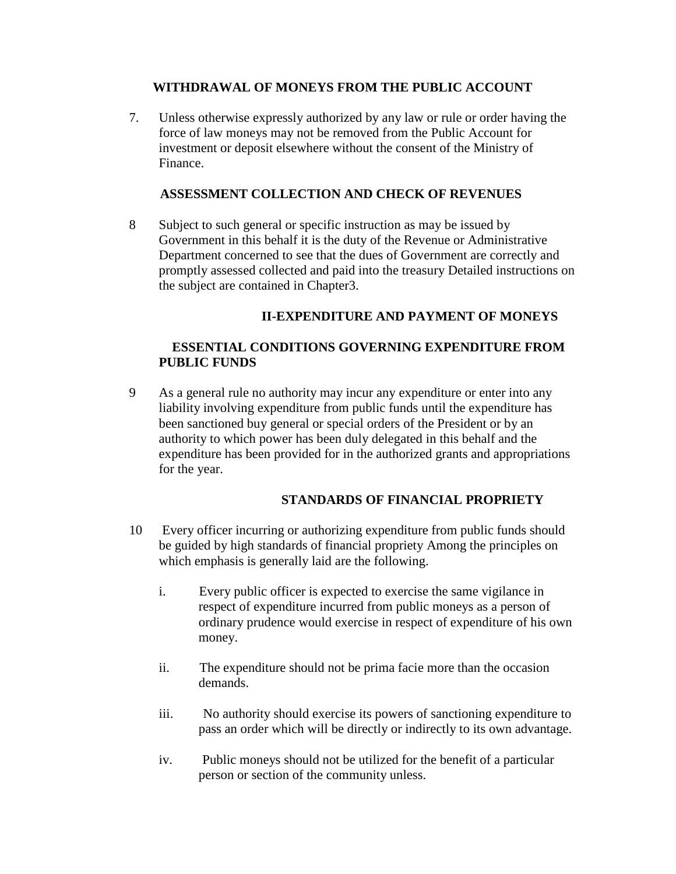### **WITHDRAWAL OF MONEYS FROM THE PUBLIC ACCOUNT**

7. Unless otherwise expressly authorized by any law or rule or order having the force of law moneys may not be removed from the Public Account for investment or deposit elsewhere without the consent of the Ministry of Finance.

### **ASSESSMENT COLLECTION AND CHECK OF REVENUES**

8 Subject to such general or specific instruction as may be issued by Government in this behalf it is the duty of the Revenue or Administrative Department concerned to see that the dues of Government are correctly and promptly assessed collected and paid into the treasury Detailed instructions on the subject are contained in Chapter3.

### **II-EXPENDITURE AND PAYMENT OF MONEYS**

### **ESSENTIAL CONDITIONS GOVERNING EXPENDITURE FROM PUBLIC FUNDS**

9 As a general rule no authority may incur any expenditure or enter into any liability involving expenditure from public funds until the expenditure has been sanctioned buy general or special orders of the President or by an authority to which power has been duly delegated in this behalf and the expenditure has been provided for in the authorized grants and appropriations for the year.

### **STANDARDS OF FINANCIAL PROPRIETY**

- 10 Every officer incurring or authorizing expenditure from public funds should be guided by high standards of financial propriety Among the principles on which emphasis is generally laid are the following.
	- i. Every public officer is expected to exercise the same vigilance in respect of expenditure incurred from public moneys as a person of ordinary prudence would exercise in respect of expenditure of his own money.
	- ii. The expenditure should not be prima facie more than the occasion demands.
	- iii. No authority should exercise its powers of sanctioning expenditure to pass an order which will be directly or indirectly to its own advantage.
	- iv. Public moneys should not be utilized for the benefit of a particular person or section of the community unless.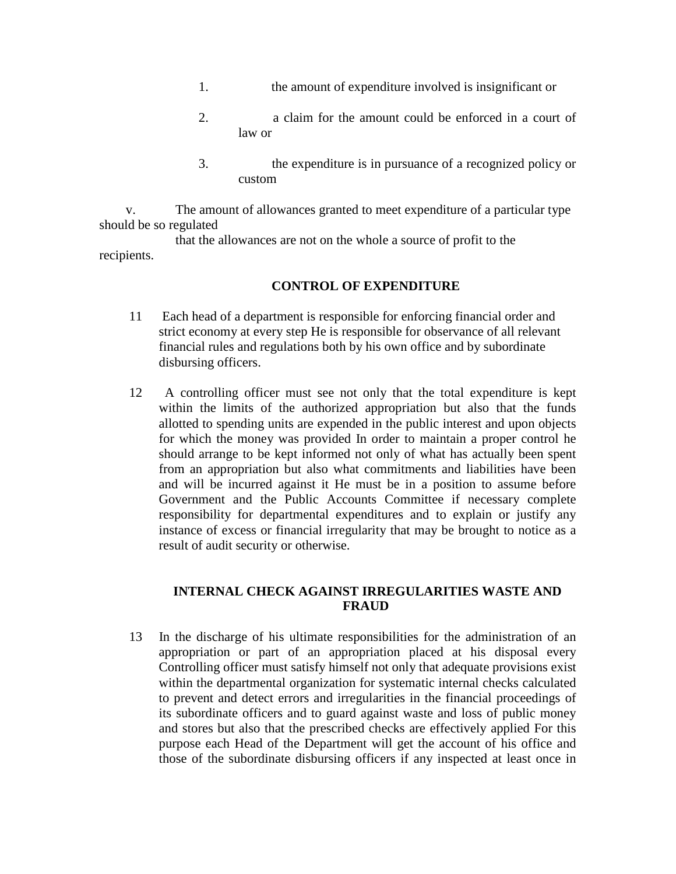- 1. the amount of expenditure involved is insignificant or
- 2. a claim for the amount could be enforced in a court of law or
- 3. the expenditure is in pursuance of a recognized policy or custom

 v. The amount of allowances granted to meet expenditure of a particular type should be so regulated

 that the allowances are not on the whole a source of profit to the recipients.

### **CONTROL OF EXPENDITURE**

- 11 Each head of a department is responsible for enforcing financial order and strict economy at every step He is responsible for observance of all relevant financial rules and regulations both by his own office and by subordinate disbursing officers.
- 12 A controlling officer must see not only that the total expenditure is kept within the limits of the authorized appropriation but also that the funds allotted to spending units are expended in the public interest and upon objects for which the money was provided In order to maintain a proper control he should arrange to be kept informed not only of what has actually been spent from an appropriation but also what commitments and liabilities have been and will be incurred against it He must be in a position to assume before Government and the Public Accounts Committee if necessary complete responsibility for departmental expenditures and to explain or justify any instance of excess or financial irregularity that may be brought to notice as a result of audit security or otherwise.

### **INTERNAL CHECK AGAINST IRREGULARITIES WASTE AND FRAUD**

13 In the discharge of his ultimate responsibilities for the administration of an appropriation or part of an appropriation placed at his disposal every Controlling officer must satisfy himself not only that adequate provisions exist within the departmental organization for systematic internal checks calculated to prevent and detect errors and irregularities in the financial proceedings of its subordinate officers and to guard against waste and loss of public money and stores but also that the prescribed checks are effectively applied For this purpose each Head of the Department will get the account of his office and those of the subordinate disbursing officers if any inspected at least once in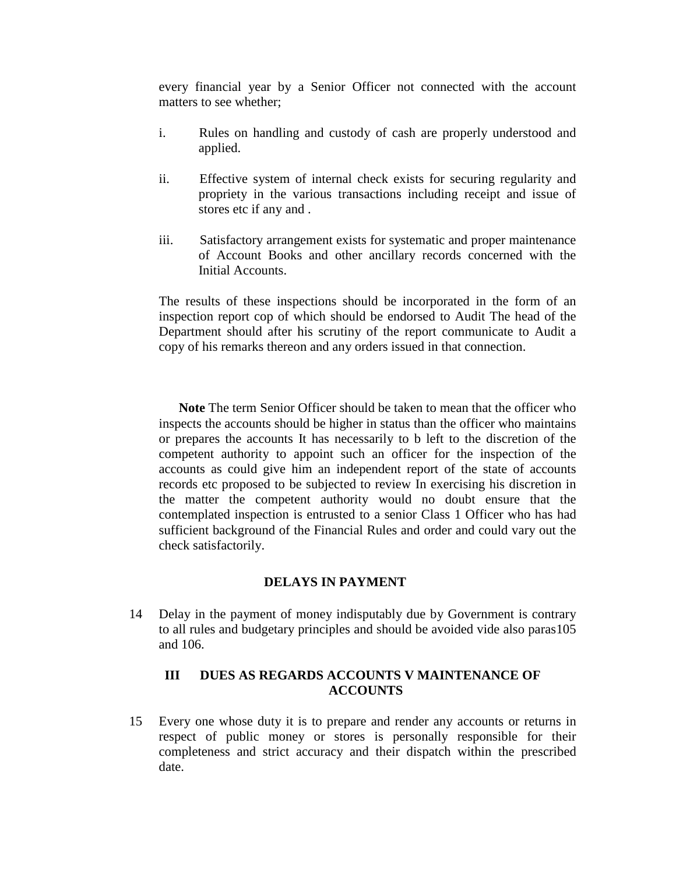every financial year by a Senior Officer not connected with the account matters to see whether;

- i. Rules on handling and custody of cash are properly understood and applied.
- ii. Effective system of internal check exists for securing regularity and propriety in the various transactions including receipt and issue of stores etc if any and .
- iii. Satisfactory arrangement exists for systematic and proper maintenance of Account Books and other ancillary records concerned with the Initial Accounts.

The results of these inspections should be incorporated in the form of an inspection report cop of which should be endorsed to Audit The head of the Department should after his scrutiny of the report communicate to Audit a copy of his remarks thereon and any orders issued in that connection.

**Note** The term Senior Officer should be taken to mean that the officer who inspects the accounts should be higher in status than the officer who maintains or prepares the accounts It has necessarily to b left to the discretion of the competent authority to appoint such an officer for the inspection of the accounts as could give him an independent report of the state of accounts records etc proposed to be subjected to review In exercising his discretion in the matter the competent authority would no doubt ensure that the contemplated inspection is entrusted to a senior Class 1 Officer who has had sufficient background of the Financial Rules and order and could vary out the check satisfactorily.

### **DELAYS IN PAYMENT**

14 Delay in the payment of money indisputably due by Government is contrary to all rules and budgetary principles and should be avoided vide also paras105 and 106.

### **III DUES AS REGARDS ACCOUNTS V MAINTENANCE OF ACCOUNTS**

15 Every one whose duty it is to prepare and render any accounts or returns in respect of public money or stores is personally responsible for their completeness and strict accuracy and their dispatch within the prescribed date.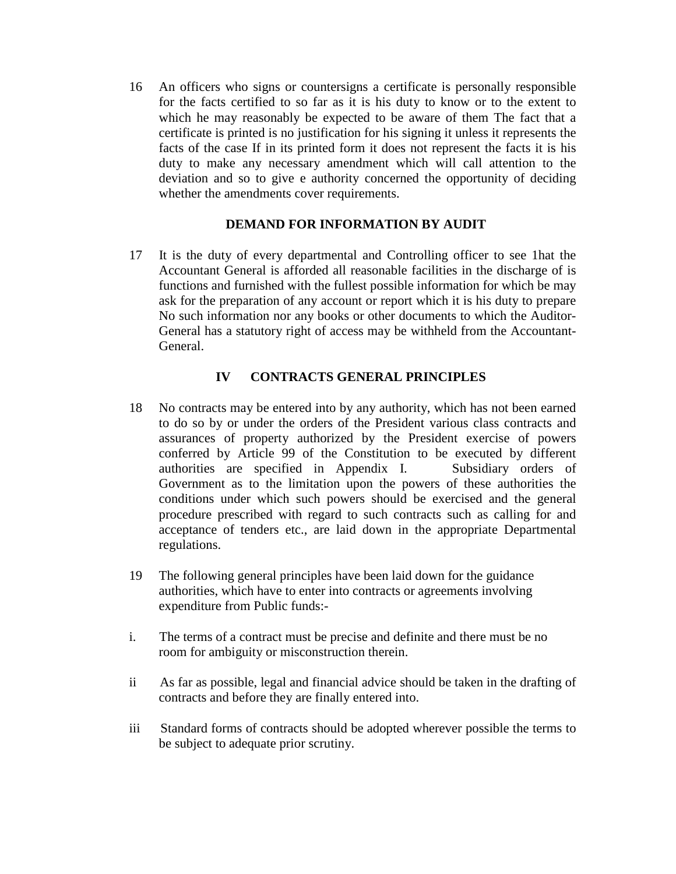16 An officers who signs or countersigns a certificate is personally responsible for the facts certified to so far as it is his duty to know or to the extent to which he may reasonably be expected to be aware of them The fact that a certificate is printed is no justification for his signing it unless it represents the facts of the case If in its printed form it does not represent the facts it is his duty to make any necessary amendment which will call attention to the deviation and so to give e authority concerned the opportunity of deciding whether the amendments cover requirements.

### **DEMAND FOR INFORMATION BY AUDIT**

17 It is the duty of every departmental and Controlling officer to see 1hat the Accountant General is afforded all reasonable facilities in the discharge of is functions and furnished with the fullest possible information for which be may ask for the preparation of any account or report which it is his duty to prepare No such information nor any books or other documents to which the Auditor-General has a statutory right of access may be withheld from the Accountant-General.

### **IV CONTRACTS GENERAL PRINCIPLES**

- 18 No contracts may be entered into by any authority, which has not been earned to do so by or under the orders of the President various class contracts and assurances of property authorized by the President exercise of powers conferred by Article 99 of the Constitution to be executed by different authorities are specified in Appendix I. Subsidiary orders of Government as to the limitation upon the powers of these authorities the conditions under which such powers should be exercised and the general procedure prescribed with regard to such contracts such as calling for and acceptance of tenders etc., are laid down in the appropriate Departmental regulations.
- 19 The following general principles have been laid down for the guidance authorities, which have to enter into contracts or agreements involving expenditure from Public funds:-
- i. The terms of a contract must be precise and definite and there must be no room for ambiguity or misconstruction therein.
- ii As far as possible, legal and financial advice should be taken in the drafting of contracts and before they are finally entered into.
- iii Standard forms of contracts should be adopted wherever possible the terms to be subject to adequate prior scrutiny.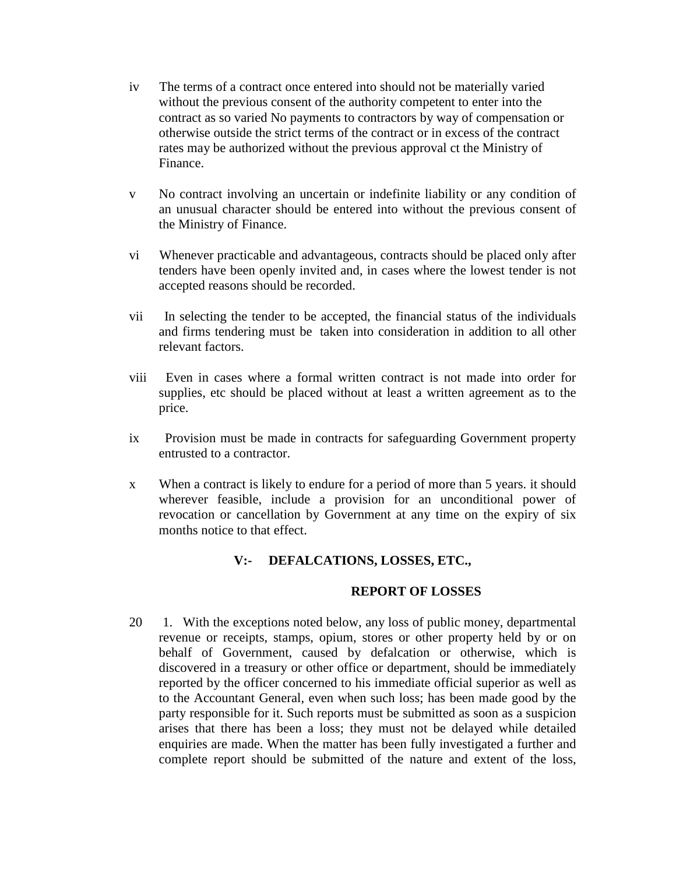- iv The terms of a contract once entered into should not be materially varied without the previous consent of the authority competent to enter into the contract as so varied No payments to contractors by way of compensation or otherwise outside the strict terms of the contract or in excess of the contract rates may be authorized without the previous approval ct the Ministry of Finance.
- v No contract involving an uncertain or indefinite liability or any condition of an unusual character should be entered into without the previous consent of the Ministry of Finance.
- vi Whenever practicable and advantageous, contracts should be placed only after tenders have been openly invited and, in cases where the lowest tender is not accepted reasons should be recorded.
- vii In selecting the tender to be accepted, the financial status of the individuals and firms tendering must be taken into consideration in addition to all other relevant factors.
- viii Even in cases where a formal written contract is not made into order for supplies, etc should be placed without at least a written agreement as to the price.
- ix Provision must be made in contracts for safeguarding Government property entrusted to a contractor.
- x When a contract is likely to endure for a period of more than 5 years. it should wherever feasible, include a provision for an unconditional power of revocation or cancellation by Government at any time on the expiry of six months notice to that effect.

### **V:- DEFALCATIONS, LOSSES, ETC.,**

### **REPORT OF LOSSES**

20 1. With the exceptions noted below, any loss of public money, departmental revenue or receipts, stamps, opium, stores or other property held by or on behalf of Government, caused by defalcation or otherwise, which is discovered in a treasury or other office or department, should be immediately reported by the officer concerned to his immediate official superior as well as to the Accountant General, even when such loss; has been made good by the party responsible for it. Such reports must be submitted as soon as a suspicion arises that there has been a loss; they must not be delayed while detailed enquiries are made. When the matter has been fully investigated a further and complete report should be submitted of the nature and extent of the loss,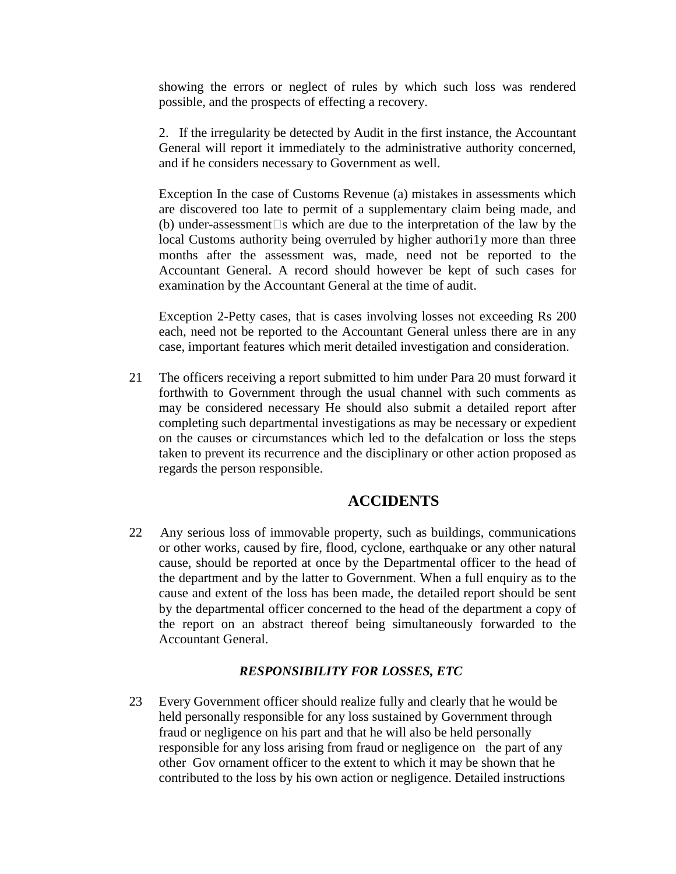showing the errors or neglect of rules by which such loss was rendered possible, and the prospects of effecting a recovery.

2. If the irregularity be detected by Audit in the first instance, the Accountant General will report it immediately to the administrative authority concerned, and if he considers necessary to Government as well.

Exception In the case of Customs Revenue (a) mistakes in assessments which are discovered too late to permit of a supplementary claim being made, and (b) under-assessment  $\Box$  which are due to the interpretation of the law by the local Customs authority being overruled by higher authori1y more than three months after the assessment was, made, need not be reported to the Accountant General. A record should however be kept of such cases for examination by the Accountant General at the time of audit.

Exception 2-Petty cases, that is cases involving losses not exceeding Rs 200 each, need not be reported to the Accountant General unless there are in any case, important features which merit detailed investigation and consideration.

21 The officers receiving a report submitted to him under Para 20 must forward it forthwith to Government through the usual channel with such comments as may be considered necessary He should also submit a detailed report after completing such departmental investigations as may be necessary or expedient on the causes or circumstances which led to the defalcation or loss the steps taken to prevent its recurrence and the disciplinary or other action proposed as regards the person responsible.

### **ACCIDENTS**

22 Any serious loss of immovable property, such as buildings, communications or other works, caused by fire, flood, cyclone, earthquake or any other natural cause, should be reported at once by the Departmental officer to the head of the department and by the latter to Government. When a full enquiry as to the cause and extent of the loss has been made, the detailed report should be sent by the departmental officer concerned to the head of the department a copy of the report on an abstract thereof being simultaneously forwarded to the Accountant General.

### *RESPONSIBILITY FOR LOSSES, ETC*

23 Every Government officer should realize fully and clearly that he would be held personally responsible for any loss sustained by Government through fraud or negligence on his part and that he will also be held personally responsible for any loss arising from fraud or negligence on the part of any other Gov ornament officer to the extent to which it may be shown that he contributed to the loss by his own action or negligence. Detailed instructions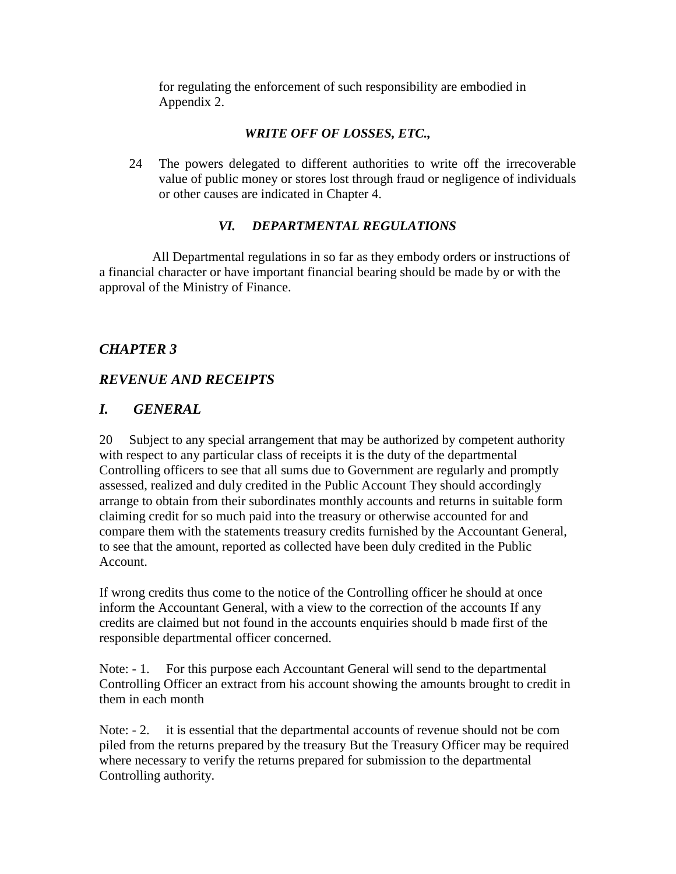for regulating the enforcement of such responsibility are embodied in Appendix 2.

## *WRITE OFF OF LOSSES, ETC.,*

24 The powers delegated to different authorities to write off the irrecoverable value of public money or stores lost through fraud or negligence of individuals or other causes are indicated in Chapter 4.

## *VI. DEPARTMENTAL REGULATIONS*

 All Departmental regulations in so far as they embody orders or instructions of a financial character or have important financial bearing should be made by or with the approval of the Ministry of Finance.

## *CHAPTER 3*

## *REVENUE AND RECEIPTS*

## *I. GENERAL*

20 Subject to any special arrangement that may be authorized by competent authority with respect to any particular class of receipts it is the duty of the departmental Controlling officers to see that all sums due to Government are regularly and promptly assessed, realized and duly credited in the Public Account They should accordingly arrange to obtain from their subordinates monthly accounts and returns in suitable form claiming credit for so much paid into the treasury or otherwise accounted for and compare them with the statements treasury credits furnished by the Accountant General, to see that the amount, reported as collected have been duly credited in the Public Account.

If wrong credits thus come to the notice of the Controlling officer he should at once inform the Accountant General, with a view to the correction of the accounts If any credits are claimed but not found in the accounts enquiries should b made first of the responsible departmental officer concerned.

Note: - 1. For this purpose each Accountant General will send to the departmental Controlling Officer an extract from his account showing the amounts brought to credit in them in each month

Note:  $-2$ . it is essential that the departmental accounts of revenue should not be com piled from the returns prepared by the treasury But the Treasury Officer may be required where necessary to verify the returns prepared for submission to the departmental Controlling authority.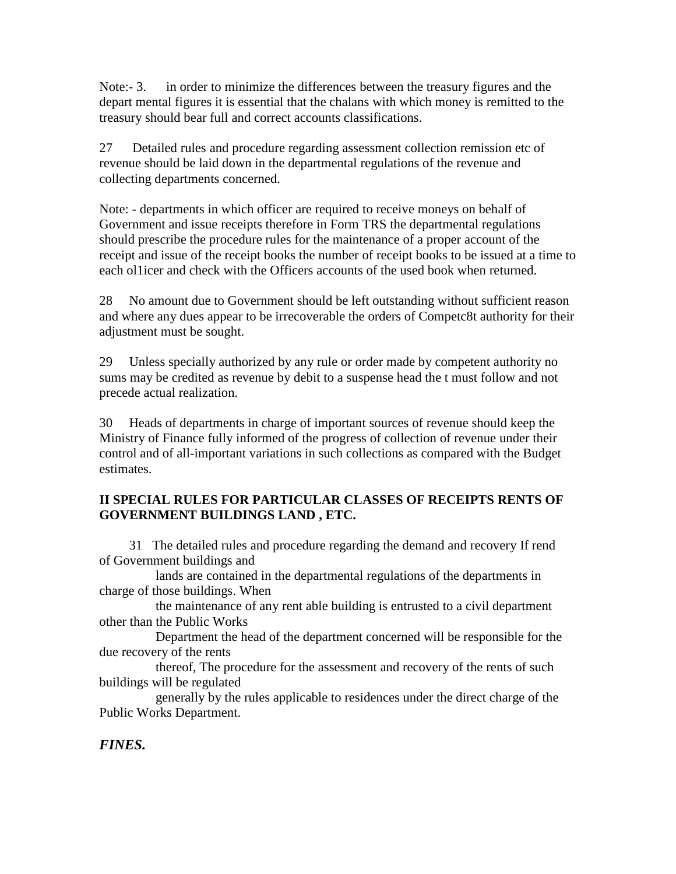Note:- 3. in order to minimize the differences between the treasury figures and the depart mental figures it is essential that the chalans with which money is remitted to the treasury should bear full and correct accounts classifications.

27 Detailed rules and procedure regarding assessment collection remission etc of revenue should be laid down in the departmental regulations of the revenue and collecting departments concerned.

Note: - departments in which officer are required to receive moneys on behalf of Government and issue receipts therefore in Form TRS the departmental regulations should prescribe the procedure rules for the maintenance of a proper account of the receipt and issue of the receipt books the number of receipt books to be issued at a time to each ol1icer and check with the Officers accounts of the used book when returned.

28 No amount due to Government should be left outstanding without sufficient reason and where any dues appear to be irrecoverable the orders of Competc8t authority for their adjustment must be sought.

29 Unless specially authorized by any rule or order made by competent authority no sums may be credited as revenue by debit to a suspense head the t must follow and not precede actual realization.

30 Heads of departments in charge of important sources of revenue should keep the Ministry of Finance fully informed of the progress of collection of revenue under their control and of all-important variations in such collections as compared with the Budget estimates.

## **II SPECIAL RULES FOR PARTICULAR CLASSES OF RECEIPTS RENTS OF GOVERNMENT BUILDINGS LAND , ETC.**

 31 The detailed rules and procedure regarding the demand and recovery If rend of Government buildings and

 lands are contained in the departmental regulations of the departments in charge of those buildings. When

 the maintenance of any rent able building is entrusted to a civil department other than the Public Works

 Department the head of the department concerned will be responsible for the due recovery of the rents

 thereof, The procedure for the assessment and recovery of the rents of such buildings will be regulated

 generally by the rules applicable to residences under the direct charge of the Public Works Department.

## *FINES.*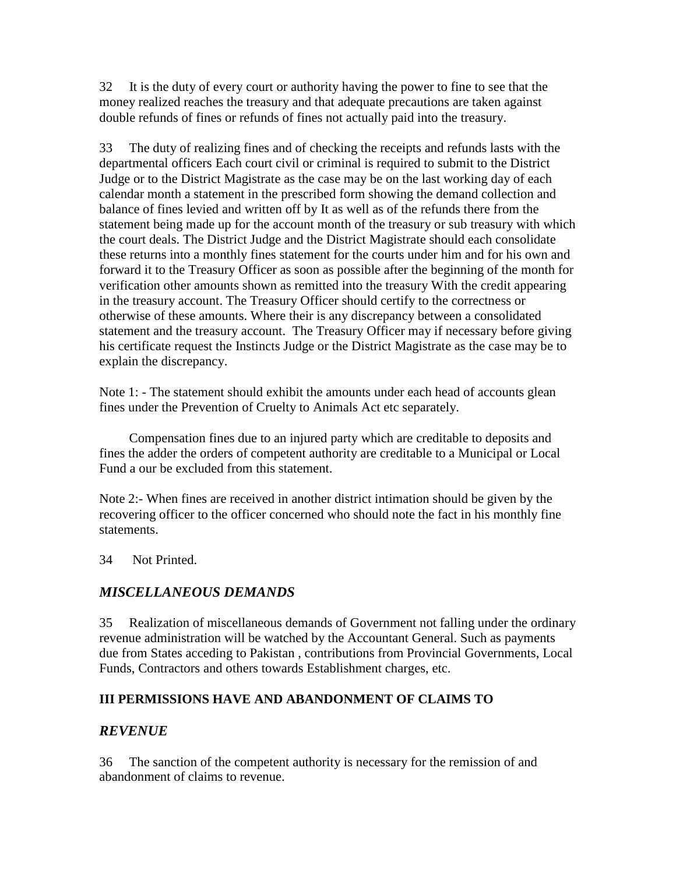32 It is the duty of every court or authority having the power to fine to see that the money realized reaches the treasury and that adequate precautions are taken against double refunds of fines or refunds of fines not actually paid into the treasury.

33 The duty of realizing fines and of checking the receipts and refunds lasts with the departmental officers Each court civil or criminal is required to submit to the District Judge or to the District Magistrate as the case may be on the last working day of each calendar month a statement in the prescribed form showing the demand collection and balance of fines levied and written off by It as well as of the refunds there from the statement being made up for the account month of the treasury or sub treasury with which the court deals. The District Judge and the District Magistrate should each consolidate these returns into a monthly fines statement for the courts under him and for his own and forward it to the Treasury Officer as soon as possible after the beginning of the month for verification other amounts shown as remitted into the treasury With the credit appearing in the treasury account. The Treasury Officer should certify to the correctness or otherwise of these amounts. Where their is any discrepancy between a consolidated statement and the treasury account. The Treasury Officer may if necessary before giving his certificate request the Instincts Judge or the District Magistrate as the case may be to explain the discrepancy.

Note 1: - The statement should exhibit the amounts under each head of accounts glean fines under the Prevention of Cruelty to Animals Act etc separately.

 Compensation fines due to an injured party which are creditable to deposits and fines the adder the orders of competent authority are creditable to a Municipal or Local Fund a our be excluded from this statement.

Note 2:- When fines are received in another district intimation should be given by the recovering officer to the officer concerned who should note the fact in his monthly fine statements.

34 Not Printed.

## *MISCELLANEOUS DEMANDS*

35 Realization of miscellaneous demands of Government not falling under the ordinary revenue administration will be watched by the Accountant General. Such as payments due from States acceding to Pakistan , contributions from Provincial Governments, Local Funds, Contractors and others towards Establishment charges, etc.

### **III PERMISSIONS HAVE AND ABANDONMENT OF CLAIMS TO**

## *REVENUE*

36 The sanction of the competent authority is necessary for the remission of and abandonment of claims to revenue.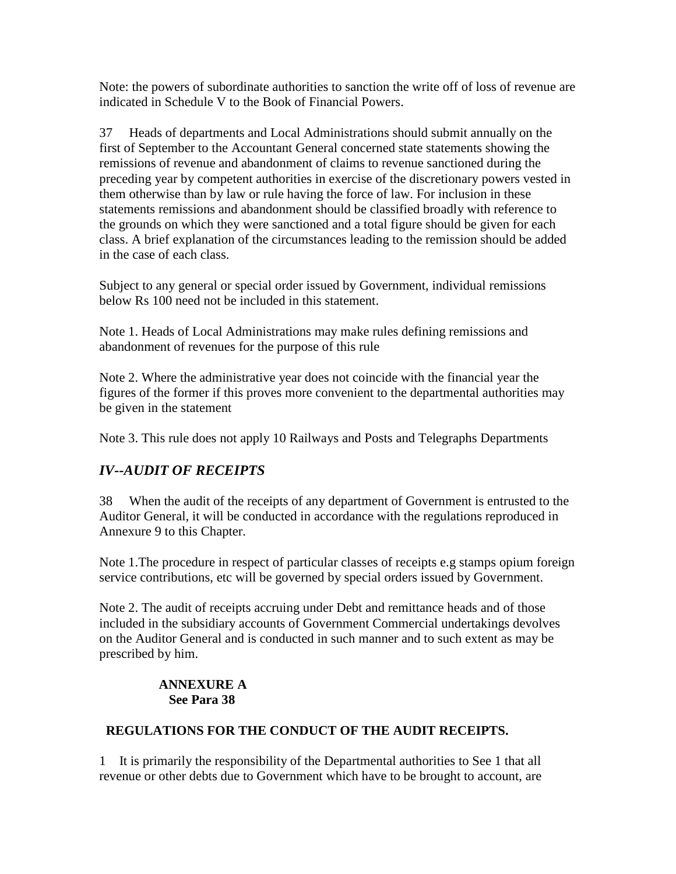Note: the powers of subordinate authorities to sanction the write off of loss of revenue are indicated in Schedule V to the Book of Financial Powers.

37 Heads of departments and Local Administrations should submit annually on the first of September to the Accountant General concerned state statements showing the remissions of revenue and abandonment of claims to revenue sanctioned during the preceding year by competent authorities in exercise of the discretionary powers vested in them otherwise than by law or rule having the force of law. For inclusion in these statements remissions and abandonment should be classified broadly with reference to the grounds on which they were sanctioned and a total figure should be given for each class. A brief explanation of the circumstances leading to the remission should be added in the case of each class.

Subject to any general or special order issued by Government, individual remissions below Rs 100 need not be included in this statement.

Note 1. Heads of Local Administrations may make rules defining remissions and abandonment of revenues for the purpose of this rule

Note 2. Where the administrative year does not coincide with the financial year the figures of the former if this proves more convenient to the departmental authorities may be given in the statement

Note 3. This rule does not apply 10 Railways and Posts and Telegraphs Departments

## *IV--AUDIT OF RECEIPTS*

38 When the audit of the receipts of any department of Government is entrusted to the Auditor General, it will be conducted in accordance with the regulations reproduced in Annexure 9 to this Chapter.

Note 1.The procedure in respect of particular classes of receipts e.g stamps opium foreign service contributions, etc will be governed by special orders issued by Government.

Note 2. The audit of receipts accruing under Debt and remittance heads and of those included in the subsidiary accounts of Government Commercial undertakings devolves on the Auditor General and is conducted in such manner and to such extent as may be prescribed by him.

## **ANNEXURE A See Para 38**

### **REGULATIONS FOR THE CONDUCT OF THE AUDIT RECEIPTS.**

1 It is primarily the responsibility of the Departmental authorities to See 1 that all revenue or other debts due to Government which have to be brought to account, are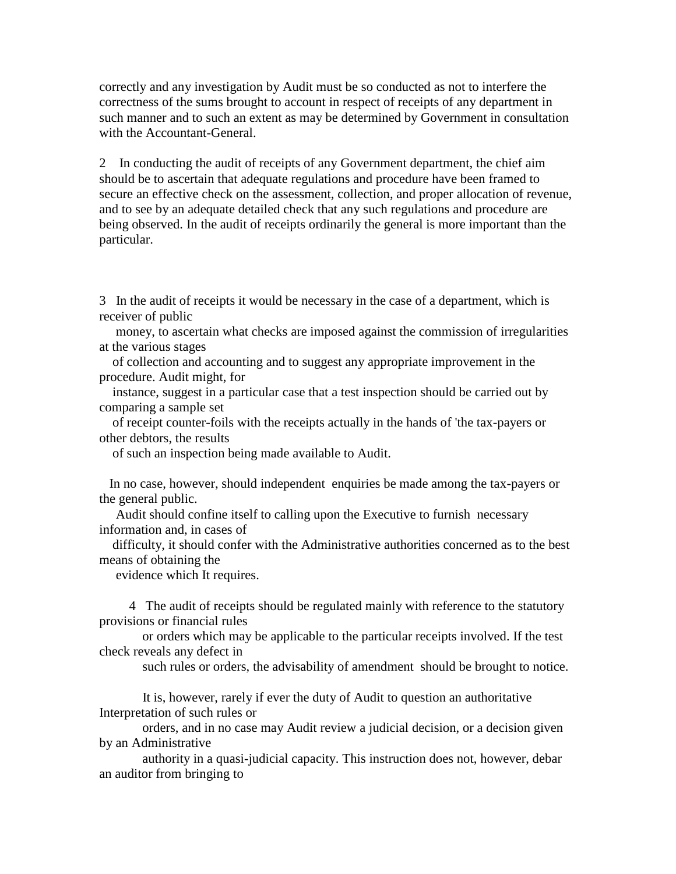correctly and any investigation by Audit must be so conducted as not to interfere the correctness of the sums brought to account in respect of receipts of any department in such manner and to such an extent as may be determined by Government in consultation with the Accountant-General.

2 In conducting the audit of receipts of any Government department, the chief aim should be to ascertain that adequate regulations and procedure have been framed to secure an effective check on the assessment, collection, and proper allocation of revenue, and to see by an adequate detailed check that any such regulations and procedure are being observed. In the audit of receipts ordinarily the general is more important than the particular.

3 In the audit of receipts it would be necessary in the case of a department, which is receiver of public

 money, to ascertain what checks are imposed against the commission of irregularities at the various stages

 of collection and accounting and to suggest any appropriate improvement in the procedure. Audit might, for

 instance, suggest in a particular case that a test inspection should be carried out by comparing a sample set

 of receipt counter-foils with the receipts actually in the hands of 'the tax-payers or other debtors, the results

of such an inspection being made available to Audit.

 In no case, however, should independent enquiries be made among the tax-payers or the general public.

 Audit should confine itself to calling upon the Executive to furnish necessary information and, in cases of

 difficulty, it should confer with the Administrative authorities concerned as to the best means of obtaining the

evidence which It requires.

 4 The audit of receipts should be regulated mainly with reference to the statutory provisions or financial rules

 or orders which may be applicable to the particular receipts involved. If the test check reveals any defect in

such rules or orders, the advisability of amendment should be brought to notice.

 It is, however, rarely if ever the duty of Audit to question an authoritative Interpretation of such rules or

 orders, and in no case may Audit review a judicial decision, or a decision given by an Administrative

 authority in a quasi-judicial capacity. This instruction does not, however, debar an auditor from bringing to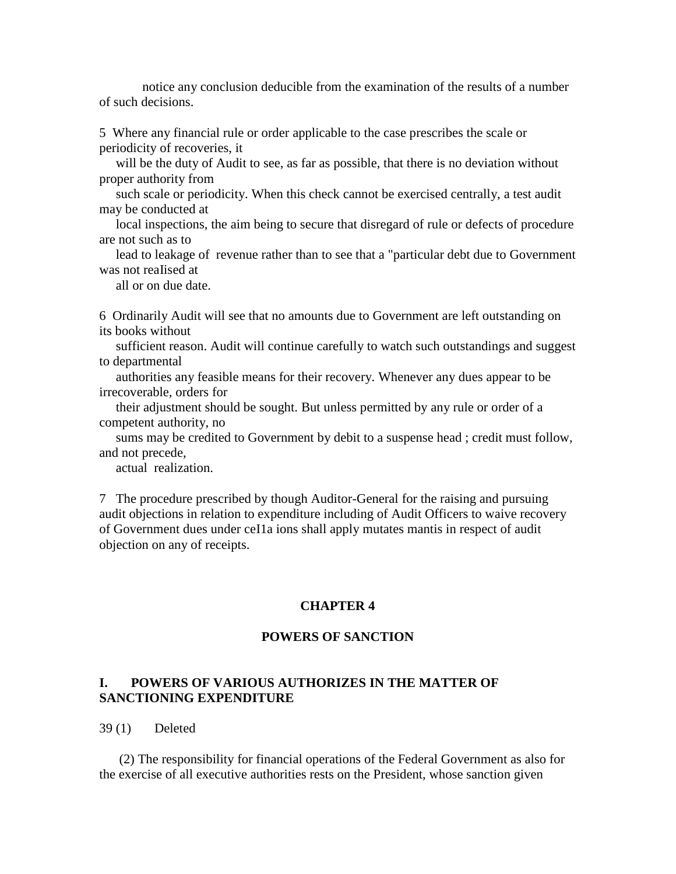notice any conclusion deducible from the examination of the results of a number of such decisions.

5 Where any financial rule or order applicable to the case prescribes the scale or periodicity of recoveries, it

 will be the duty of Audit to see, as far as possible, that there is no deviation without proper authority from

 such scale or periodicity. When this check cannot be exercised centrally, a test audit may be conducted at

 local inspections, the aim being to secure that disregard of rule or defects of procedure are not such as to

 lead to leakage of revenue rather than to see that a "particular debt due to Government was not realised at

all or on due date.

6 Ordinarily Audit will see that no amounts due to Government are left outstanding on its books without

 sufficient reason. Audit will continue carefully to watch such outstandings and suggest to departmental

 authorities any feasible means for their recovery. Whenever any dues appear to be irrecoverable, orders for

 their adjustment should be sought. But unless permitted by any rule or order of a competent authority, no

 sums may be credited to Government by debit to a suspense head ; credit must follow, and not precede,

actual realization.

7 The procedure prescribed by though Auditor-General for the raising and pursuing audit objections in relation to expenditure including of Audit Officers to waive recovery of Government dues under ceI1a ions shall apply mutates mantis in respect of audit objection on any of receipts.

#### **CHAPTER 4**

#### **POWERS OF SANCTION**

### **I. POWERS OF VARIOUS AUTHORIZES IN THE MATTER OF SANCTIONING EXPENDITURE**

39 (1) Deleted

 (2) The responsibility for financial operations of the Federal Government as also for the exercise of all executive authorities rests on the President, whose sanction given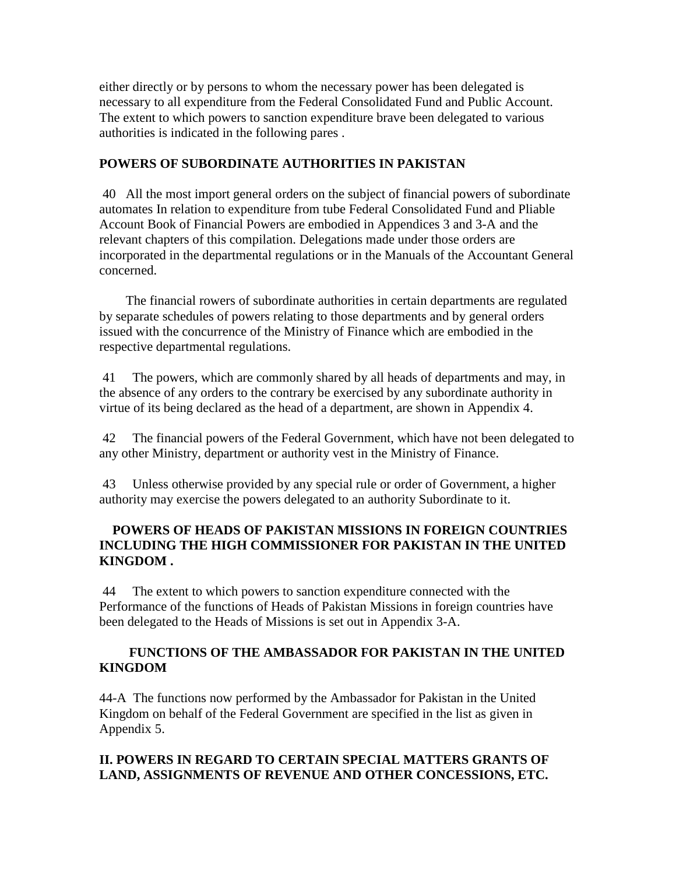either directly or by persons to whom the necessary power has been delegated is necessary to all expenditure from the Federal Consolidated Fund and Public Account. The extent to which powers to sanction expenditure brave been delegated to various authorities is indicated in the following pares .

### **POWERS OF SUBORDINATE AUTHORITIES IN PAKISTAN**

 40 All the most import general orders on the subject of financial powers of subordinate automates In relation to expenditure from tube Federal Consolidated Fund and Pliable Account Book of Financial Powers are embodied in Appendices 3 and 3-A and the relevant chapters of this compilation. Delegations made under those orders are incorporated in the departmental regulations or in the Manuals of the Accountant General concerned.

 The financial rowers of subordinate authorities in certain departments are regulated by separate schedules of powers relating to those departments and by general orders issued with the concurrence of the Ministry of Finance which are embodied in the respective departmental regulations.

 41 The powers, which are commonly shared by all heads of departments and may, in the absence of any orders to the contrary be exercised by any subordinate authority in virtue of its being declared as the head of a department, are shown in Appendix 4.

 42 The financial powers of the Federal Government, which have not been delegated to any other Ministry, department or authority vest in the Ministry of Finance.

 43 Unless otherwise provided by any special rule or order of Government, a higher authority may exercise the powers delegated to an authority Subordinate to it.

### **POWERS OF HEADS OF PAKISTAN MISSIONS IN FOREIGN COUNTRIES INCLUDING THE HIGH COMMISSIONER FOR PAKISTAN IN THE UNITED KINGDOM .**

 44 The extent to which powers to sanction expenditure connected with the Performance of the functions of Heads of Pakistan Missions in foreign countries have been delegated to the Heads of Missions is set out in Appendix 3-A.

### **FUNCTIONS OF THE AMBASSADOR FOR PAKISTAN IN THE UNITED KINGDOM**

44-A The functions now performed by the Ambassador for Pakistan in the United Kingdom on behalf of the Federal Government are specified in the list as given in Appendix 5.

## **II. POWERS IN REGARD TO CERTAIN SPECIAL MATTERS GRANTS OF LAND, ASSIGNMENTS OF REVENUE AND OTHER CONCESSIONS, ETC.**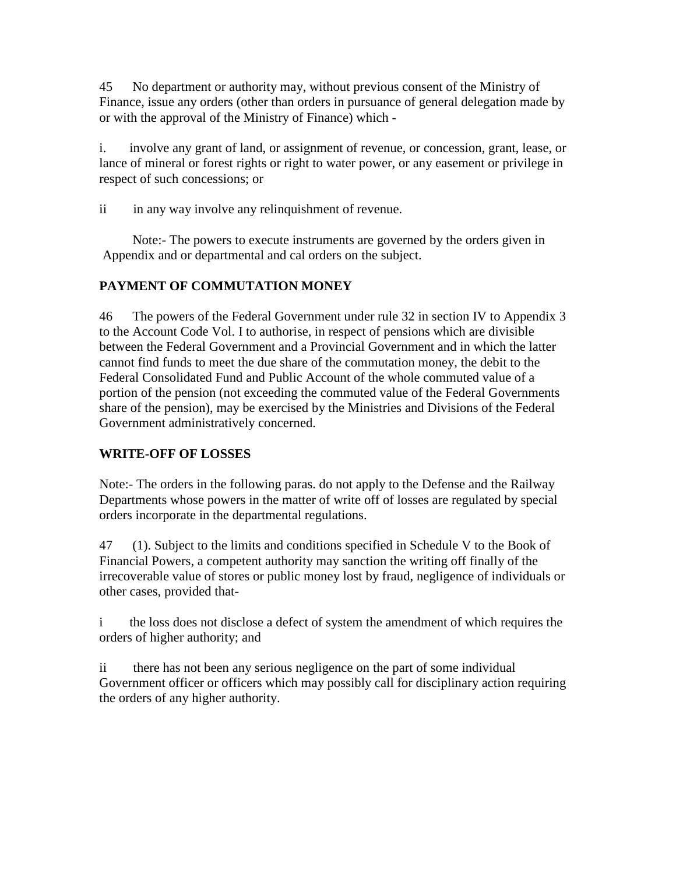45 No department or authority may, without previous consent of the Ministry of Finance, issue any orders (other than orders in pursuance of general delegation made by or with the approval of the Ministry of Finance) which -

i. involve any grant of land, or assignment of revenue, or concession, grant, lease, or lance of mineral or forest rights or right to water power, or any easement or privilege in respect of such concessions; or

ii in any way involve any relinquishment of revenue.

 Note:- The powers to execute instruments are governed by the orders given in Appendix and or departmental and cal orders on the subject.

## **PAYMENT OF COMMUTATION MONEY**

46 The powers of the Federal Government under rule 32 in section IV to Appendix 3 to the Account Code Vol. I to authorise, in respect of pensions which are divisible between the Federal Government and a Provincial Government and in which the latter cannot find funds to meet the due share of the commutation money, the debit to the Federal Consolidated Fund and Public Account of the whole commuted value of a portion of the pension (not exceeding the commuted value of the Federal Governments share of the pension), may be exercised by the Ministries and Divisions of the Federal Government administratively concerned.

## **WRITE-OFF OF LOSSES**

Note:- The orders in the following paras. do not apply to the Defense and the Railway Departments whose powers in the matter of write off of losses are regulated by special orders incorporate in the departmental regulations.

47 (1). Subject to the limits and conditions specified in Schedule V to the Book of Financial Powers, a competent authority may sanction the writing off finally of the irrecoverable value of stores or public money lost by fraud, negligence of individuals or other cases, provided that-

i the loss does not disclose a defect of system the amendment of which requires the orders of higher authority; and

ii there has not been any serious negligence on the part of some individual Government officer or officers which may possibly call for disciplinary action requiring the orders of any higher authority.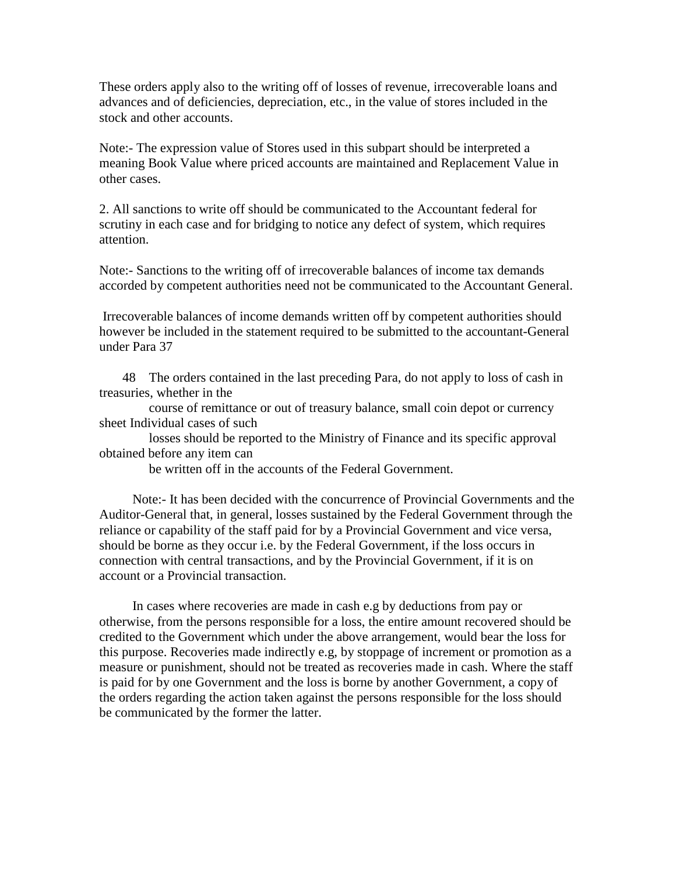These orders apply also to the writing off of losses of revenue, irrecoverable loans and advances and of deficiencies, depreciation, etc., in the value of stores included in the stock and other accounts.

Note:- The expression value of Stores used in this subpart should be interpreted a meaning Book Value where priced accounts are maintained and Replacement Value in other cases.

2. All sanctions to write off should be communicated to the Accountant federal for scrutiny in each case and for bridging to notice any defect of system, which requires attention.

Note:- Sanctions to the writing off of irrecoverable balances of income tax demands accorded by competent authorities need not be communicated to the Accountant General.

 Irrecoverable balances of income demands written off by competent authorities should however be included in the statement required to be submitted to the accountant-General under Para 37

 48 The orders contained in the last preceding Para, do not apply to loss of cash in treasuries, whether in the

 course of remittance or out of treasury balance, small coin depot or currency sheet Individual cases of such

 losses should be reported to the Ministry of Finance and its specific approval obtained before any item can

be written off in the accounts of the Federal Government.

 Note:- It has been decided with the concurrence of Provincial Governments and the Auditor-General that, in general, losses sustained by the Federal Government through the reliance or capability of the staff paid for by a Provincial Government and vice versa, should be borne as they occur i.e. by the Federal Government, if the loss occurs in connection with central transactions, and by the Provincial Government, if it is on account or a Provincial transaction.

 In cases where recoveries are made in cash e.g by deductions from pay or otherwise, from the persons responsible for a loss, the entire amount recovered should be credited to the Government which under the above arrangement, would bear the loss for this purpose. Recoveries made indirectly e.g, by stoppage of increment or promotion as a measure or punishment, should not be treated as recoveries made in cash. Where the staff is paid for by one Government and the loss is borne by another Government, a copy of the orders regarding the action taken against the persons responsible for the loss should be communicated by the former the latter.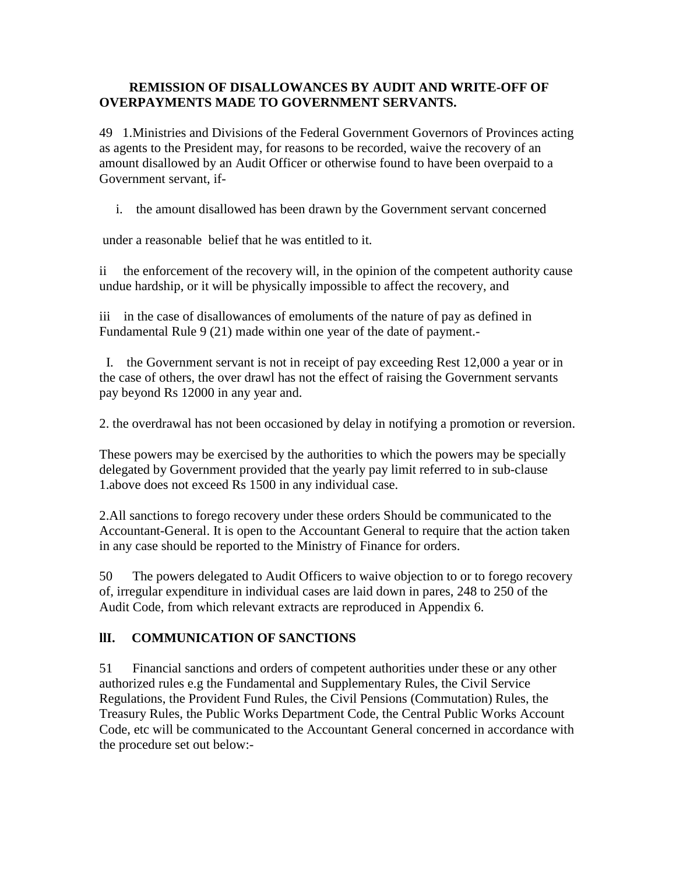### **REMISSION OF DISALLOWANCES BY AUDIT AND WRITE-OFF OF OVERPAYMENTS MADE TO GOVERNMENT SERVANTS.**

49 1.Ministries and Divisions of the Federal Government Governors of Provinces acting as agents to the President may, for reasons to be recorded, waive the recovery of an amount disallowed by an Audit Officer or otherwise found to have been overpaid to a Government servant, if-

i. the amount disallowed has been drawn by the Government servant concerned

under a reasonable belief that he was entitled to it.

ii the enforcement of the recovery will, in the opinion of the competent authority cause undue hardship, or it will be physically impossible to affect the recovery, and

iii in the case of disallowances of emoluments of the nature of pay as defined in Fundamental Rule 9 (21) made within one year of the date of payment.-

 I. the Government servant is not in receipt of pay exceeding Rest 12,000 a year or in the case of others, the over drawl has not the effect of raising the Government servants pay beyond Rs 12000 in any year and.

2. the overdrawal has not been occasioned by delay in notifying a promotion or reversion.

These powers may be exercised by the authorities to which the powers may be specially delegated by Government provided that the yearly pay limit referred to in sub-clause 1.above does not exceed Rs 1500 in any individual case.

2.All sanctions to forego recovery under these orders Should be communicated to the Accountant-General. It is open to the Accountant General to require that the action taken in any case should be reported to the Ministry of Finance for orders.

50 The powers delegated to Audit Officers to waive objection to or to forego recovery of, irregular expenditure in individual cases are laid down in pares, 248 to 250 of the Audit Code, from which relevant extracts are reproduced in Appendix 6.

### **llI. COMMUNICATION OF SANCTIONS**

51 Financial sanctions and orders of competent authorities under these or any other authorized rules e.g the Fundamental and Supplementary Rules, the Civil Service Regulations, the Provident Fund Rules, the Civil Pensions (Commutation) Rules, the Treasury Rules, the Public Works Department Code, the Central Public Works Account Code, etc will be communicated to the Accountant General concerned in accordance with the procedure set out below:-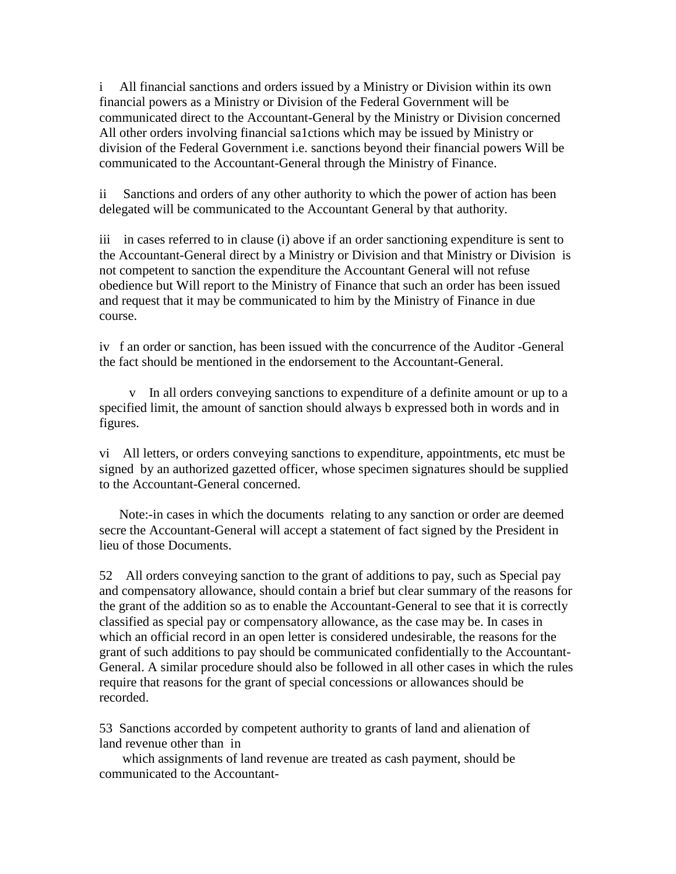i All financial sanctions and orders issued by a Ministry or Division within its own financial powers as a Ministry or Division of the Federal Government will be communicated direct to the Accountant-General by the Ministry or Division concerned All other orders involving financial sa1ctions which may be issued by Ministry or division of the Federal Government i.e. sanctions beyond their financial powers Will be communicated to the Accountant-General through the Ministry of Finance.

ii Sanctions and orders of any other authority to which the power of action has been delegated will be communicated to the Accountant General by that authority.

iii in cases referred to in clause (i) above if an order sanctioning expenditure is sent to the Accountant-General direct by a Ministry or Division and that Ministry or Division is not competent to sanction the expenditure the Accountant General will not refuse obedience but Will report to the Ministry of Finance that such an order has been issued and request that it may be communicated to him by the Ministry of Finance in due course.

iv f an order or sanction, has been issued with the concurrence of the Auditor -General the fact should be mentioned in the endorsement to the Accountant-General.

In all orders conveying sanctions to expenditure of a definite amount or up to a specified limit, the amount of sanction should always b expressed both in words and in figures.

vi All letters, or orders conveying sanctions to expenditure, appointments, etc must be signed by an authorized gazetted officer, whose specimen signatures should be supplied to the Accountant-General concerned.

 Note:-in cases in which the documents relating to any sanction or order are deemed secre the Accountant-General will accept a statement of fact signed by the President in lieu of those Documents.

52 All orders conveying sanction to the grant of additions to pay, such as Special pay and compensatory allowance, should contain a brief but clear summary of the reasons for the grant of the addition so as to enable the Accountant-General to see that it is correctly classified as special pay or compensatory allowance, as the case may be. In cases in which an official record in an open letter is considered undesirable, the reasons for the grant of such additions to pay should be communicated confidentially to the Accountant-General. A similar procedure should also be followed in all other cases in which the rules require that reasons for the grant of special concessions or allowances should be recorded.

53 Sanctions accorded by competent authority to grants of land and alienation of land revenue other than in

 which assignments of land revenue are treated as cash payment, should be communicated to the Accountant-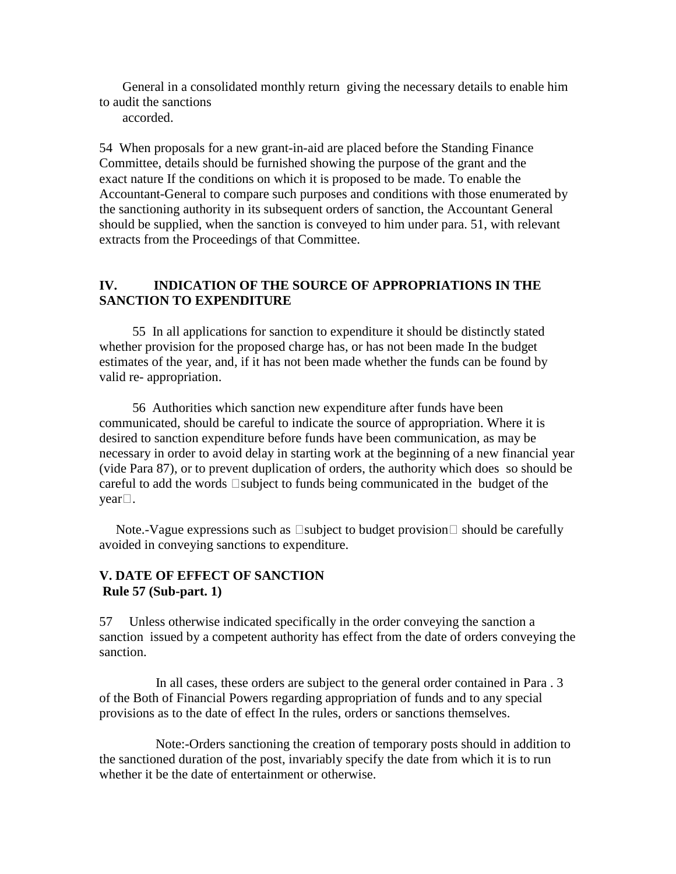General in a consolidated monthly return giving the necessary details to enable him to audit the sanctions

accorded.

54 When proposals for a new grant-in-aid are placed before the Standing Finance Committee, details should be furnished showing the purpose of the grant and the exact nature If the conditions on which it is proposed to be made. To enable the Accountant-General to compare such purposes and conditions with those enumerated by the sanctioning authority in its subsequent orders of sanction, the Accountant General should be supplied, when the sanction is conveyed to him under para. 51, with relevant extracts from the Proceedings of that Committee.

### **IV. INDICATION OF THE SOURCE OF APPROPRIATIONS IN THE SANCTION TO EXPENDITURE**

 55 In all applications for sanction to expenditure it should be distinctly stated whether provision for the proposed charge has, or has not been made In the budget estimates of the year, and, if it has not been made whether the funds can be found by valid re- appropriation.

 56 Authorities which sanction new expenditure after funds have been communicated, should be careful to indicate the source of appropriation. Where it is desired to sanction expenditure before funds have been communication, as may be necessary in order to avoid delay in starting work at the beginning of a new financial year (vide Para 87), or to prevent duplication of orders, the authority which does so should be careful to add the words  $\Box$ subject to funds being communicated in the budget of the  $\text{year}$ .

Note.-Vague expressions such as  $\Box$ subject to budget provision  $\Box$  should be carefully avoided in conveying sanctions to expenditure.

### **V. DATE OF EFFECT OF SANCTION Rule 57 (Sub-part. 1)**

57 Unless otherwise indicated specifically in the order conveying the sanction a sanction issued by a competent authority has effect from the date of orders conveying the sanction.

 In all cases, these orders are subject to the general order contained in Para . 3 of the Both of Financial Powers regarding appropriation of funds and to any special provisions as to the date of effect In the rules, orders or sanctions themselves.

 Note:-Orders sanctioning the creation of temporary posts should in addition to the sanctioned duration of the post, invariably specify the date from which it is to run whether it be the date of entertainment or otherwise.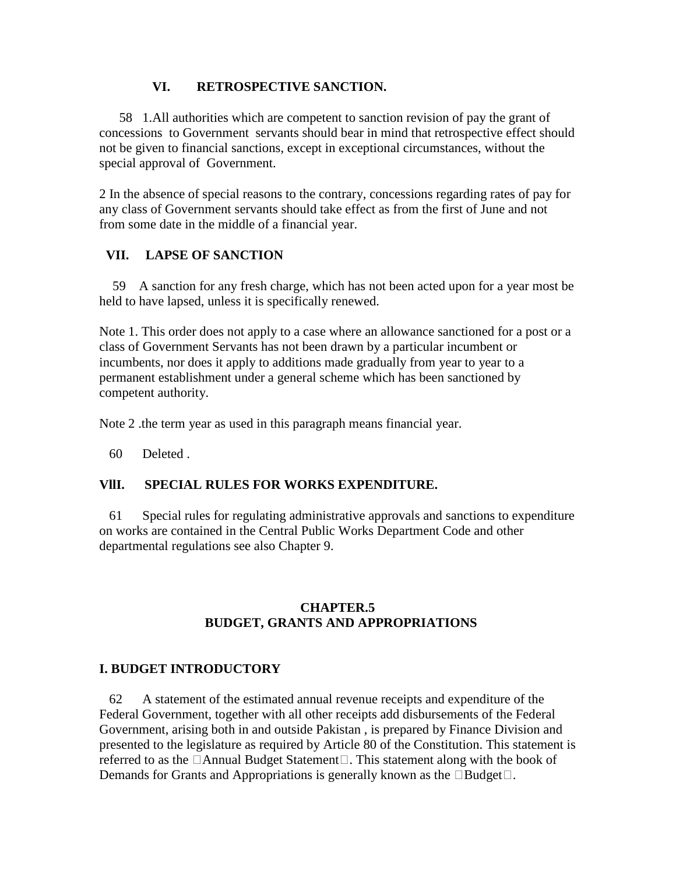### **VI. RETROSPECTIVE SANCTION.**

 58 1.All authorities which are competent to sanction revision of pay the grant of concessions to Government servants should bear in mind that retrospective effect should not be given to financial sanctions, except in exceptional circumstances, without the special approval of Government.

2 In the absence of special reasons to the contrary, concessions regarding rates of pay for any class of Government servants should take effect as from the first of June and not from some date in the middle of a financial year.

## **VII. LAPSE OF SANCTION**

 59 A sanction for any fresh charge, which has not been acted upon for a year most be held to have lapsed, unless it is specifically renewed.

Note 1. This order does not apply to a case where an allowance sanctioned for a post or a class of Government Servants has not been drawn by a particular incumbent or incumbents, nor does it apply to additions made gradually from year to year to a permanent establishment under a general scheme which has been sanctioned by competent authority.

Note 2 .the term year as used in this paragraph means financial year.

60 Deleted .

### **VllI. SPECIAL RULES FOR WORKS EXPENDITURE.**

 61 Special rules for regulating administrative approvals and sanctions to expenditure on works are contained in the Central Public Works Department Code and other departmental regulations see also Chapter 9.

### **CHAPTER.5 BUDGET, GRANTS AND APPROPRIATIONS**

### **I. BUDGET INTRODUCTORY**

 62 A statement of the estimated annual revenue receipts and expenditure of the Federal Government, together with all other receipts add disbursements of the Federal Government, arising both in and outside Pakistan , is prepared by Finance Division and presented to the legislature as required by Article 80 of the Constitution. This statement is referred to as the  $\Box$ Annual Budget Statement $\Box$ . This statement along with the book of Demands for Grants and Appropriations is generally known as the  $\Box$ Budget $\Box$ .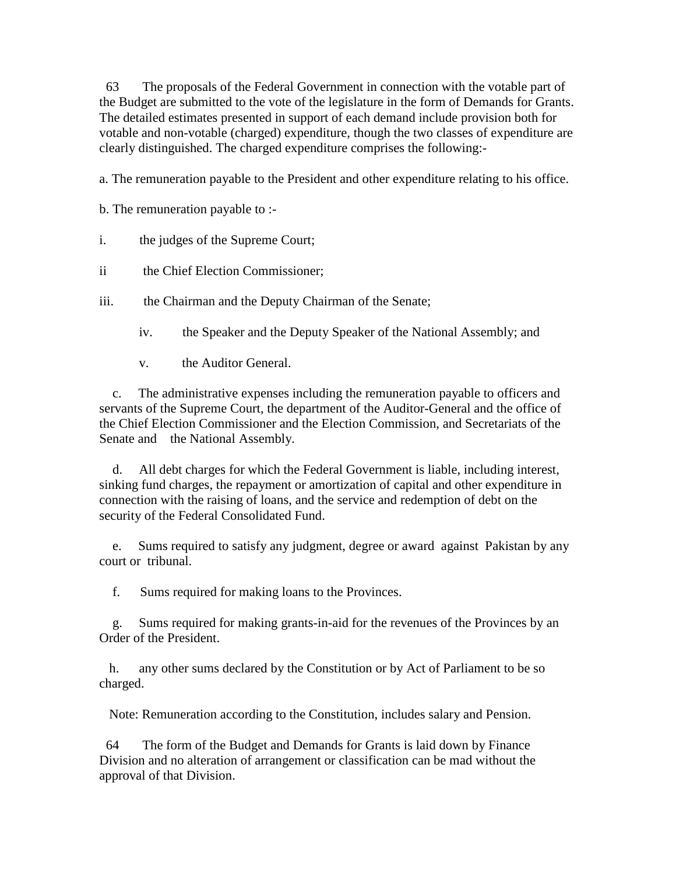63 The proposals of the Federal Government in connection with the votable part of the Budget are submitted to the vote of the legislature in the form of Demands for Grants. The detailed estimates presented in support of each demand include provision both for votable and non-votable (charged) expenditure, though the two classes of expenditure are clearly distinguished. The charged expenditure comprises the following:-

a. The remuneration payable to the President and other expenditure relating to his office.

b. The remuneration payable to :-

- i. the judges of the Supreme Court;
- ii the Chief Election Commissioner;

iii. the Chairman and the Deputy Chairman of the Senate;

- iv. the Speaker and the Deputy Speaker of the National Assembly; and
- v. the Auditor General.

 c. The administrative expenses including the remuneration payable to officers and servants of the Supreme Court, the department of the Auditor-General and the office of the Chief Election Commissioner and the Election Commission, and Secretariats of the Senate and the National Assembly.

 d. All debt charges for which the Federal Government is liable, including interest, sinking fund charges, the repayment or amortization of capital and other expenditure in connection with the raising of loans, and the service and redemption of debt on the security of the Federal Consolidated Fund.

 e. Sums required to satisfy any judgment, degree or award against Pakistan by any court or tribunal.

f. Sums required for making loans to the Provinces.

 g. Sums required for making grants-in-aid for the revenues of the Provinces by an Order of the President.

 h. any other sums declared by the Constitution or by Act of Parliament to be so charged.

Note: Remuneration according to the Constitution, includes salary and Pension.

 64 The form of the Budget and Demands for Grants is laid down by Finance Division and no alteration of arrangement or classification can be mad without the approval of that Division.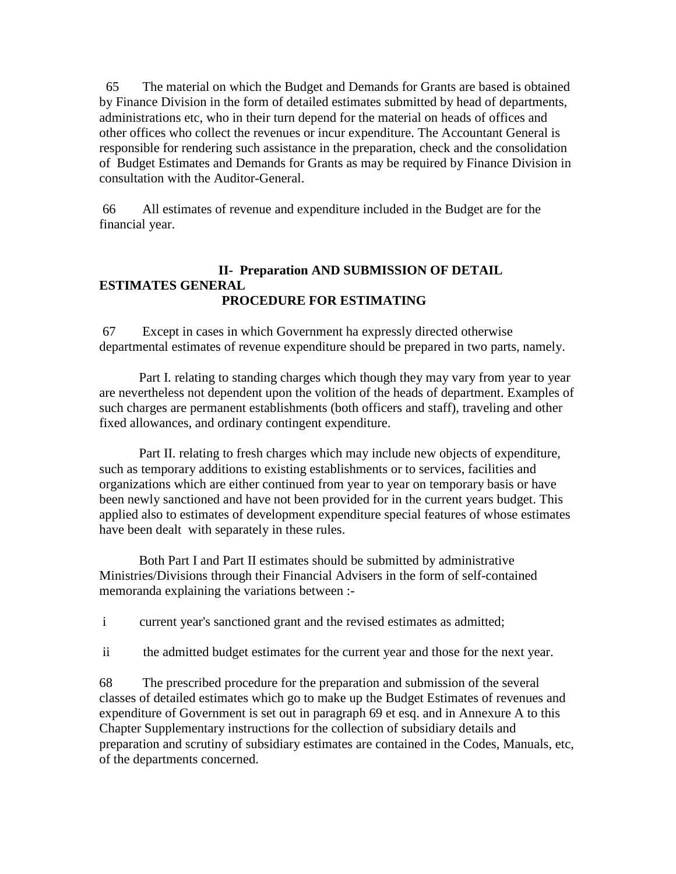65 The material on which the Budget and Demands for Grants are based is obtained by Finance Division in the form of detailed estimates submitted by head of departments, administrations etc, who in their turn depend for the material on heads of offices and other offices who collect the revenues or incur expenditure. The Accountant General is responsible for rendering such assistance in the preparation, check and the consolidation of Budget Estimates and Demands for Grants as may be required by Finance Division in consultation with the Auditor-General.

 66 All estimates of revenue and expenditure included in the Budget are for the financial year.

### **II- Preparation AND SUBMISSION OF DETAIL ESTIMATES GENERAL PROCEDURE FOR ESTIMATING**

 67 Except in cases in which Government ha expressly directed otherwise departmental estimates of revenue expenditure should be prepared in two parts, namely.

 Part I. relating to standing charges which though they may vary from year to year are nevertheless not dependent upon the volition of the heads of department. Examples of such charges are permanent establishments (both officers and staff), traveling and other fixed allowances, and ordinary contingent expenditure.

 Part II. relating to fresh charges which may include new objects of expenditure, such as temporary additions to existing establishments or to services, facilities and organizations which are either continued from year to year on temporary basis or have been newly sanctioned and have not been provided for in the current years budget. This applied also to estimates of development expenditure special features of whose estimates have been dealt with separately in these rules.

 Both Part I and Part II estimates should be submitted by administrative Ministries/Divisions through their Financial Advisers in the form of self-contained memoranda explaining the variations between :-

i current year's sanctioned grant and the revised estimates as admitted;

ii the admitted budget estimates for the current year and those for the next year.

68 The prescribed procedure for the preparation and submission of the several classes of detailed estimates which go to make up the Budget Estimates of revenues and expenditure of Government is set out in paragraph 69 et esq. and in Annexure A to this Chapter Supplementary instructions for the collection of subsidiary details and preparation and scrutiny of subsidiary estimates are contained in the Codes, Manuals, etc, of the departments concerned.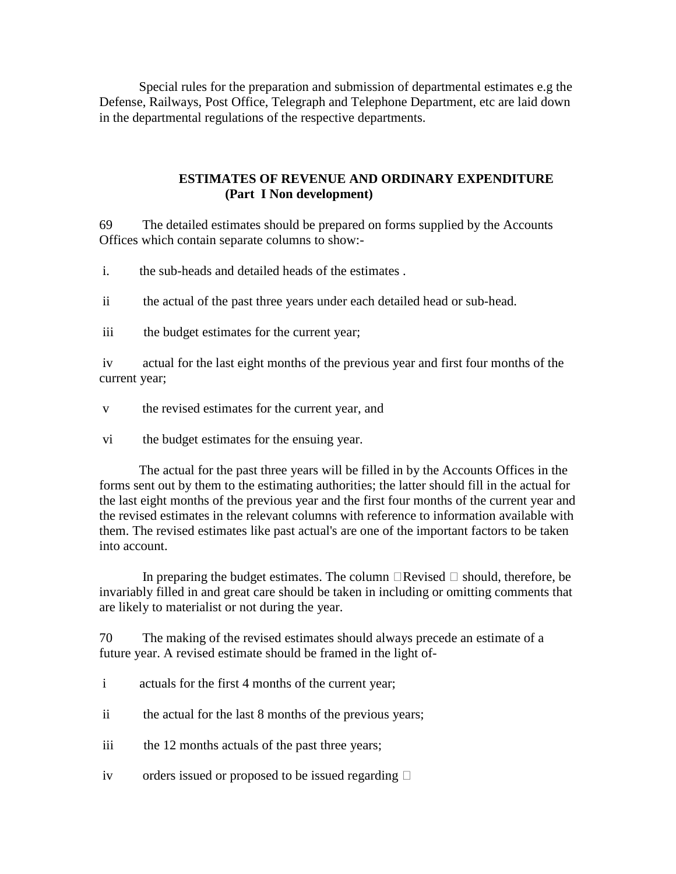Special rules for the preparation and submission of departmental estimates e.g the Defense, Railways, Post Office, Telegraph and Telephone Department, etc are laid down in the departmental regulations of the respective departments.

### **ESTIMATES OF REVENUE AND ORDINARY EXPENDITURE (Part I Non development)**

69 The detailed estimates should be prepared on forms supplied by the Accounts Offices which contain separate columns to show:-

i. the sub-heads and detailed heads of the estimates .

ii the actual of the past three years under each detailed head or sub-head.

iii the budget estimates for the current year;

 iv actual for the last eight months of the previous year and first four months of the current year;

- v the revised estimates for the current year, and
- vi the budget estimates for the ensuing year.

 The actual for the past three years will be filled in by the Accounts Offices in the forms sent out by them to the estimating authorities; the latter should fill in the actual for the last eight months of the previous year and the first four months of the current year and the revised estimates in the relevant columns with reference to information available with them. The revised estimates like past actual's are one of the important factors to be taken into account.

In preparing the budget estimates. The column  $\Box$  Revised  $\Box$  should, therefore, be invariably filled in and great care should be taken in including or omitting comments that are likely to materialist or not during the year.

70 The making of the revised estimates should always precede an estimate of a future year. A revised estimate should be framed in the light of-

- i actuals for the first 4 months of the current year;
- ii the actual for the last 8 months of the previous years;
- iii the 12 months actuals of the past three years;
- iv orders issued or proposed to be issued regarding  $\Box$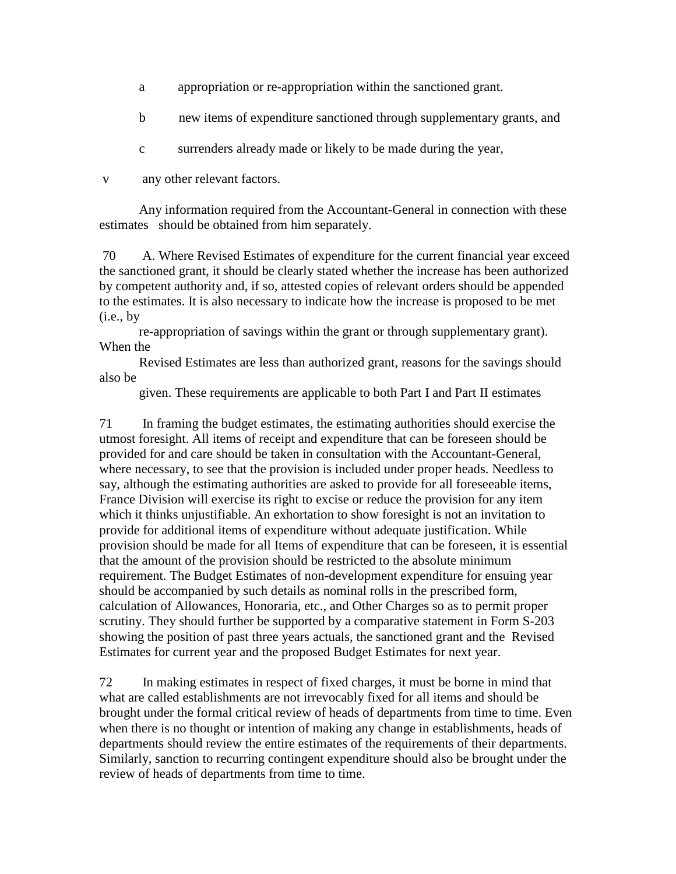- a appropriation or re-appropriation within the sanctioned grant.
- b new items of expenditure sanctioned through supplementary grants, and
- c surrenders already made or likely to be made during the year,

v any other relevant factors.

 Any information required from the Accountant-General in connection with these estimates should be obtained from him separately.

 70 A. Where Revised Estimates of expenditure for the current financial year exceed the sanctioned grant, it should be clearly stated whether the increase has been authorized by competent authority and, if so, attested copies of relevant orders should be appended to the estimates. It is also necessary to indicate how the increase is proposed to be met  $(i.e., by)$ 

 re-appropriation of savings within the grant or through supplementary grant). When the

 Revised Estimates are less than authorized grant, reasons for the savings should also be

given. These requirements are applicable to both Part I and Part II estimates

71 In framing the budget estimates, the estimating authorities should exercise the utmost foresight. All items of receipt and expenditure that can be foreseen should be provided for and care should be taken in consultation with the Accountant-General, where necessary, to see that the provision is included under proper heads. Needless to say, although the estimating authorities are asked to provide for all foreseeable items, France Division will exercise its right to excise or reduce the provision for any item which it thinks unjustifiable. An exhortation to show foresight is not an invitation to provide for additional items of expenditure without adequate justification. While provision should be made for all Items of expenditure that can be foreseen, it is essential that the amount of the provision should be restricted to the absolute minimum requirement. The Budget Estimates of non-development expenditure for ensuing year should be accompanied by such details as nominal rolls in the prescribed form, calculation of Allowances, Honoraria, etc., and Other Charges so as to permit proper scrutiny. They should further be supported by a comparative statement in Form S-203 showing the position of past three years actuals, the sanctioned grant and the Revised Estimates for current year and the proposed Budget Estimates for next year.

72 In making estimates in respect of fixed charges, it must be borne in mind that what are called establishments are not irrevocably fixed for all items and should be brought under the formal critical review of heads of departments from time to time. Even when there is no thought or intention of making any change in establishments, heads of departments should review the entire estimates of the requirements of their departments. Similarly, sanction to recurring contingent expenditure should also be brought under the review of heads of departments from time to time.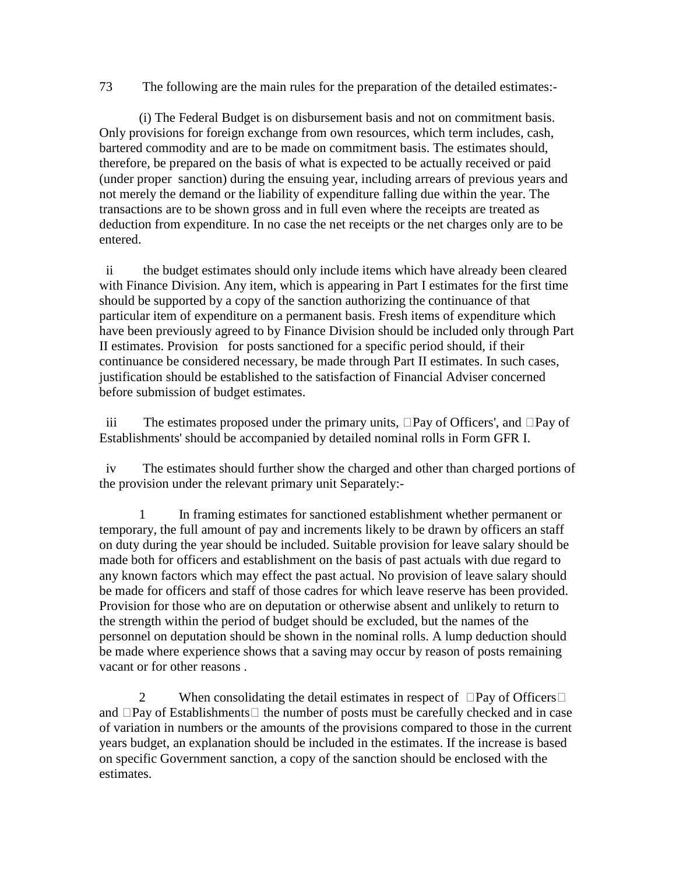73 The following are the main rules for the preparation of the detailed estimates:-

 (i) The Federal Budget is on disbursement basis and not on commitment basis. Only provisions for foreign exchange from own resources, which term includes, cash, bartered commodity and are to be made on commitment basis. The estimates should, therefore, be prepared on the basis of what is expected to be actually received or paid (under proper sanction) during the ensuing year, including arrears of previous years and not merely the demand or the liability of expenditure falling due within the year. The transactions are to be shown gross and in full even where the receipts are treated as deduction from expenditure. In no case the net receipts or the net charges only are to be entered.

 ii the budget estimates should only include items which have already been cleared with Finance Division. Any item, which is appearing in Part I estimates for the first time should be supported by a copy of the sanction authorizing the continuance of that particular item of expenditure on a permanent basis. Fresh items of expenditure which have been previously agreed to by Finance Division should be included only through Part II estimates. Provision for posts sanctioned for a specific period should, if their continuance be considered necessary, be made through Part II estimates. In such cases, justification should be established to the satisfaction of Financial Adviser concerned before submission of budget estimates.

iii The estimates proposed under the primary units,  $\Box$  Pay of Officers', and  $\Box$  Pay of Establishments' should be accompanied by detailed nominal rolls in Form GFR I.

 iv The estimates should further show the charged and other than charged portions of the provision under the relevant primary unit Separately:-

 1 In framing estimates for sanctioned establishment whether permanent or temporary, the full amount of pay and increments likely to be drawn by officers an staff on duty during the year should be included. Suitable provision for leave salary should be made both for officers and establishment on the basis of past actuals with due regard to any known factors which may effect the past actual. No provision of leave salary should be made for officers and staff of those cadres for which leave reserve has been provided. Provision for those who are on deputation or otherwise absent and unlikely to return to the strength within the period of budget should be excluded, but the names of the personnel on deputation should be shown in the nominal rolls. A lump deduction should be made where experience shows that a saving may occur by reason of posts remaining vacant or for other reasons .

2 When consolidating the detail estimates in respect of  $\Box$ Pay of Officers $\Box$ and  $\Box$ Pay of Establishments  $\Box$  the number of posts must be carefully checked and in case of variation in numbers or the amounts of the provisions compared to those in the current years budget, an explanation should be included in the estimates. If the increase is based on specific Government sanction, a copy of the sanction should be enclosed with the estimates.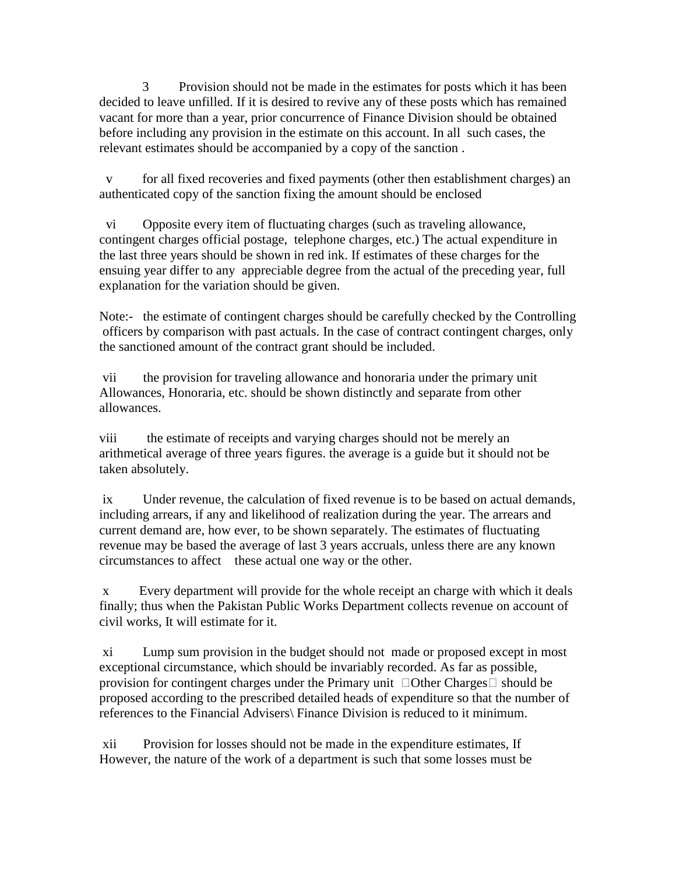3 Provision should not be made in the estimates for posts which it has been decided to leave unfilled. If it is desired to revive any of these posts which has remained vacant for more than a year, prior concurrence of Finance Division should be obtained before including any provision in the estimate on this account. In all such cases, the relevant estimates should be accompanied by a copy of the sanction .

 v for all fixed recoveries and fixed payments (other then establishment charges) an authenticated copy of the sanction fixing the amount should be enclosed

 vi Opposite every item of fluctuating charges (such as traveling allowance, contingent charges official postage, telephone charges, etc.) The actual expenditure in the last three years should be shown in red ink. If estimates of these charges for the ensuing year differ to any appreciable degree from the actual of the preceding year, full explanation for the variation should be given.

Note:- the estimate of contingent charges should be carefully checked by the Controlling officers by comparison with past actuals. In the case of contract contingent charges, only the sanctioned amount of the contract grant should be included.

 vii the provision for traveling allowance and honoraria under the primary unit Allowances, Honoraria, etc. should be shown distinctly and separate from other allowances.

viii the estimate of receipts and varying charges should not be merely an arithmetical average of three years figures. the average is a guide but it should not be taken absolutely.

 ix Under revenue, the calculation of fixed revenue is to be based on actual demands, including arrears, if any and likelihood of realization during the year. The arrears and current demand are, how ever, to be shown separately. The estimates of fluctuating revenue may be based the average of last 3 years accruals, unless there are any known circumstances to affect these actual one way or the other.

 x Every department will provide for the whole receipt an charge with which it deals finally; thus when the Pakistan Public Works Department collects revenue on account of civil works, It will estimate for it.

 xi Lump sum provision in the budget should not made or proposed except in most exceptional circumstance, which should be invariably recorded. As far as possible, provision for contingent charges under the Primary unit  $\Box$  Other Charges  $\Box$  should be proposed according to the prescribed detailed heads of expenditure so that the number of references to the Financial Advisers\ Finance Division is reduced to it minimum.

 xii Provision for losses should not be made in the expenditure estimates, If However, the nature of the work of a department is such that some losses must be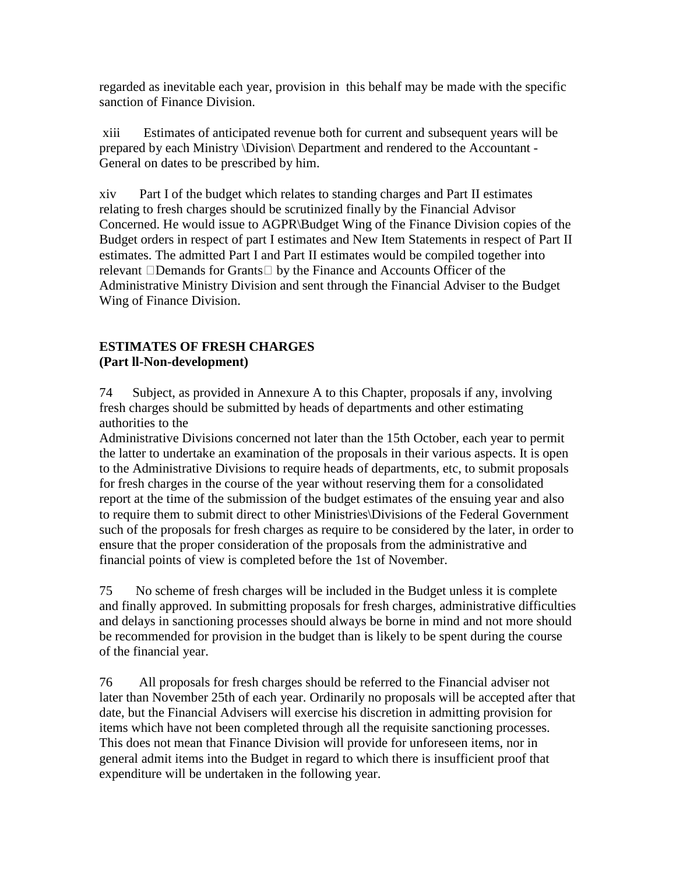regarded as inevitable each year, provision in this behalf may be made with the specific sanction of Finance Division.

 xiii Estimates of anticipated revenue both for current and subsequent years will be prepared by each Ministry \Division\ Department and rendered to the Accountant - General on dates to be prescribed by him.

xiv Part I of the budget which relates to standing charges and Part II estimates relating to fresh charges should be scrutinized finally by the Financial Advisor Concerned. He would issue to AGPR\Budget Wing of the Finance Division copies of the Budget orders in respect of part I estimates and New Item Statements in respect of Part II estimates. The admitted Part I and Part II estimates would be compiled together into relevant  $\Box$ Demands for Grants $\Box$  by the Finance and Accounts Officer of the Administrative Ministry Division and sent through the Financial Adviser to the Budget Wing of Finance Division.

## **ESTIMATES OF FRESH CHARGES (Part ll-Non-development)**

74 Subject, as provided in Annexure A to this Chapter, proposals if any, involving fresh charges should be submitted by heads of departments and other estimating authorities to the

Administrative Divisions concerned not later than the 15th October, each year to permit the latter to undertake an examination of the proposals in their various aspects. It is open to the Administrative Divisions to require heads of departments, etc, to submit proposals for fresh charges in the course of the year without reserving them for a consolidated report at the time of the submission of the budget estimates of the ensuing year and also to require them to submit direct to other Ministries\Divisions of the Federal Government such of the proposals for fresh charges as require to be considered by the later, in order to ensure that the proper consideration of the proposals from the administrative and financial points of view is completed before the 1st of November.

75 No scheme of fresh charges will be included in the Budget unless it is complete and finally approved. In submitting proposals for fresh charges, administrative difficulties and delays in sanctioning processes should always be borne in mind and not more should be recommended for provision in the budget than is likely to be spent during the course of the financial year.

76 All proposals for fresh charges should be referred to the Financial adviser not later than November 25th of each year. Ordinarily no proposals will be accepted after that date, but the Financial Advisers will exercise his discretion in admitting provision for items which have not been completed through all the requisite sanctioning processes. This does not mean that Finance Division will provide for unforeseen items, nor in general admit items into the Budget in regard to which there is insufficient proof that expenditure will be undertaken in the following year.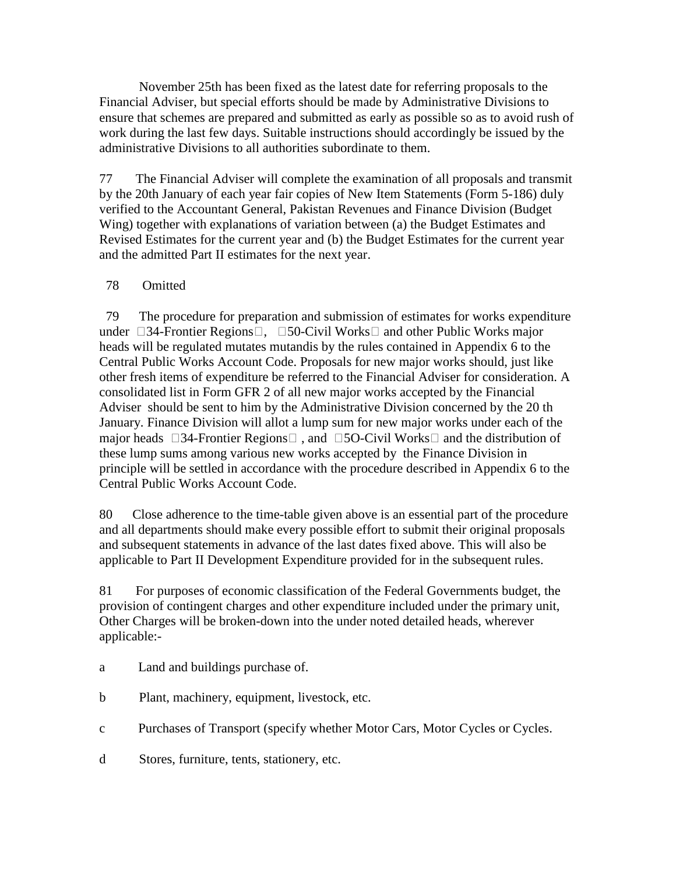November 25th has been fixed as the latest date for referring proposals to the Financial Adviser, but special efforts should be made by Administrative Divisions to ensure that schemes are prepared and submitted as early as possible so as to avoid rush of work during the last few days. Suitable instructions should accordingly be issued by the administrative Divisions to all authorities subordinate to them.

77 The Financial Adviser will complete the examination of all proposals and transmit by the 20th January of each year fair copies of New Item Statements (Form 5-186) duly verified to the Accountant General, Pakistan Revenues and Finance Division (Budget Wing) together with explanations of variation between (a) the Budget Estimates and Revised Estimates for the current year and (b) the Budget Estimates for the current year and the admitted Part II estimates for the next year.

## 78 Omitted

 79 The procedure for preparation and submission of estimates for works expenditure under  $\Box$ 34-Frontier Regions $\Box$ ,  $\Box$ 50-Civil Works and other Public Works major heads will be regulated mutates mutandis by the rules contained in Appendix 6 to the Central Public Works Account Code. Proposals for new major works should, just like other fresh items of expenditure be referred to the Financial Adviser for consideration. A consolidated list in Form GFR 2 of all new major works accepted by the Financial Adviser should be sent to him by the Administrative Division concerned by the 20 th January. Finance Division will allot a lump sum for new major works under each of the major heads  $\Box 34$ -Frontier Regions  $\Box$ , and  $\Box 5O$ -Civil Works  $\Box$  and the distribution of these lump sums among various new works accepted by the Finance Division in principle will be settled in accordance with the procedure described in Appendix 6 to the Central Public Works Account Code.

80 Close adherence to the time-table given above is an essential part of the procedure and all departments should make every possible effort to submit their original proposals and subsequent statements in advance of the last dates fixed above. This will also be applicable to Part II Development Expenditure provided for in the subsequent rules.

81 For purposes of economic classification of the Federal Governments budget, the provision of contingent charges and other expenditure included under the primary unit, Other Charges will be broken-down into the under noted detailed heads, wherever applicable:-

- a Land and buildings purchase of.
- b Plant, machinery, equipment, livestock, etc.
- c Purchases of Transport (specify whether Motor Cars, Motor Cycles or Cycles.
- d Stores, furniture, tents, stationery, etc.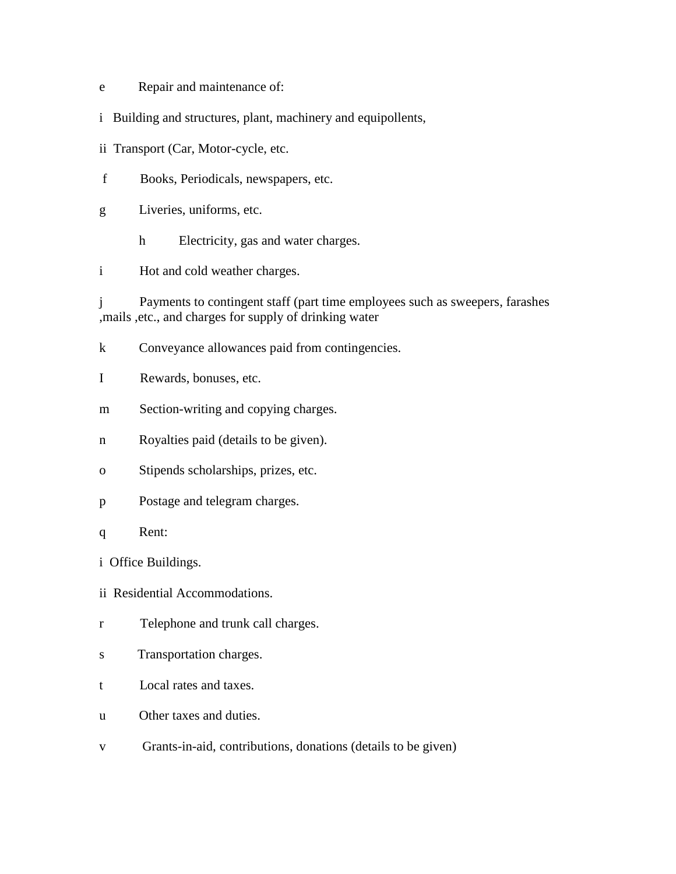- e Repair and maintenance of:
- i Building and structures, plant, machinery and equipollents,
- ii Transport (Car, Motor-cycle, etc.
- f Books, Periodicals, newspapers, etc.
- g Liveries, uniforms, etc.
	- h Electricity, gas and water charges.

i Hot and cold weather charges.

j Payments to contingent staff (part time employees such as sweepers, farashes ,mails ,etc., and charges for supply of drinking water

- k Conveyance allowances paid from contingencies.
- I Rewards, bonuses, etc.
- m Section-writing and copying charges.
- n Royalties paid (details to be given).
- o Stipends scholarships, prizes, etc.
- p Postage and telegram charges.
- q Rent:

i Office Buildings.

- ii Residential Accommodations.
- r Telephone and trunk call charges.
- s Transportation charges.
- t Local rates and taxes.
- u Other taxes and duties.
- v Grants-in-aid, contributions, donations (details to be given)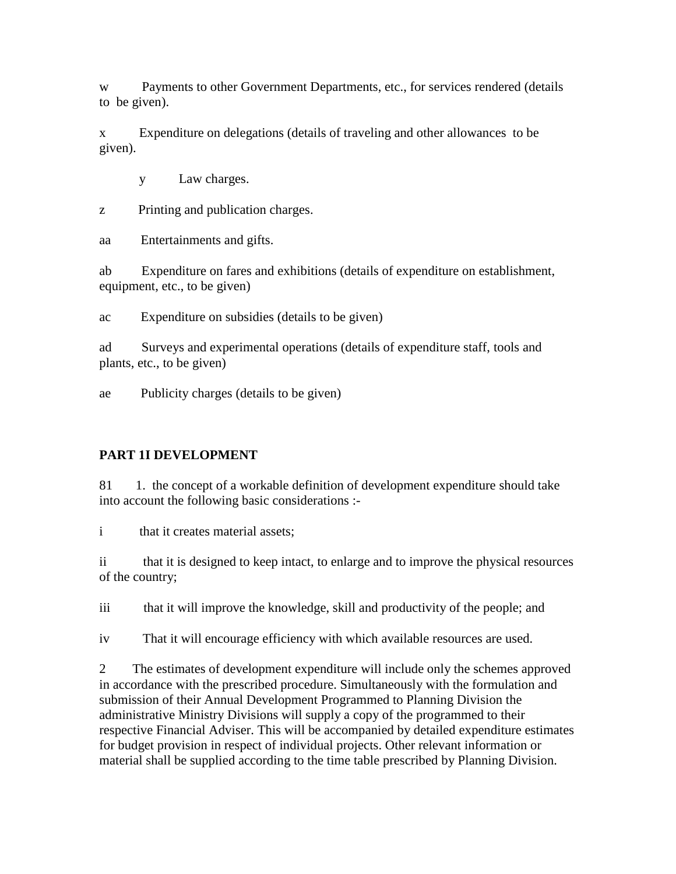w Payments to other Government Departments, etc., for services rendered (details to be given).

x Expenditure on delegations (details of traveling and other allowances to be given).

y Law charges.

z Printing and publication charges.

aa Entertainments and gifts.

ab Expenditure on fares and exhibitions (details of expenditure on establishment, equipment, etc., to be given)

ac Expenditure on subsidies (details to be given)

ad Surveys and experimental operations (details of expenditure staff, tools and plants, etc., to be given)

ae Publicity charges (details to be given)

## **PART 1I DEVELOPMENT**

81 1. the concept of a workable definition of development expenditure should take into account the following basic considerations :-

i that it creates material assets;

ii that it is designed to keep intact, to enlarge and to improve the physical resources of the country;

iii that it will improve the knowledge, skill and productivity of the people; and

iv That it will encourage efficiency with which available resources are used.

2 The estimates of development expenditure will include only the schemes approved in accordance with the prescribed procedure. Simultaneously with the formulation and submission of their Annual Development Programmed to Planning Division the administrative Ministry Divisions will supply a copy of the programmed to their respective Financial Adviser. This will be accompanied by detailed expenditure estimates for budget provision in respect of individual projects. Other relevant information or material shall be supplied according to the time table prescribed by Planning Division.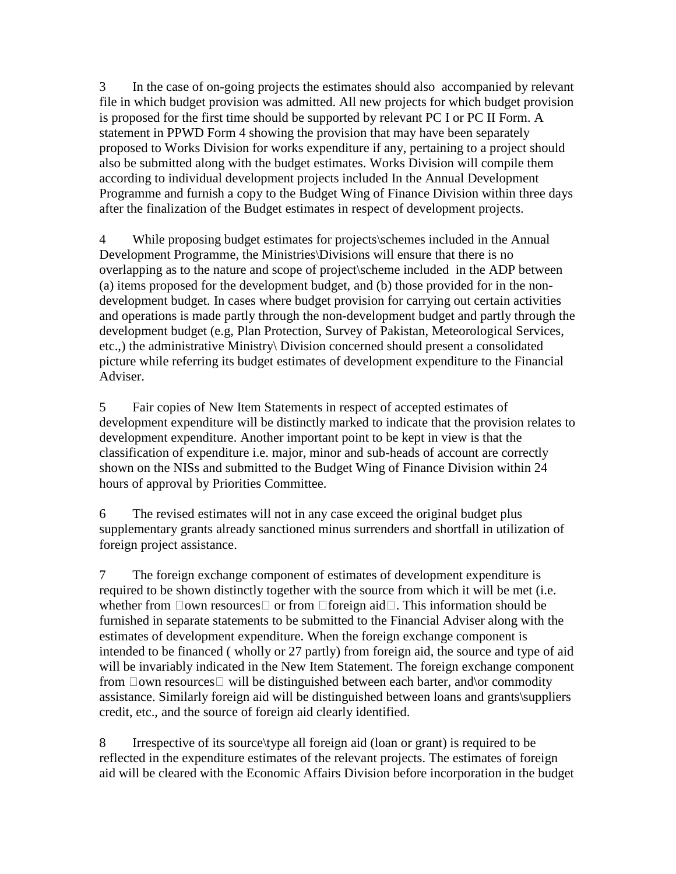3 In the case of on-going projects the estimates should also accompanied by relevant file in which budget provision was admitted. All new projects for which budget provision is proposed for the first time should be supported by relevant PC I or PC II Form. A statement in PPWD Form 4 showing the provision that may have been separately proposed to Works Division for works expenditure if any, pertaining to a project should also be submitted along with the budget estimates. Works Division will compile them according to individual development projects included In the Annual Development Programme and furnish a copy to the Budget Wing of Finance Division within three days after the finalization of the Budget estimates in respect of development projects.

4 While proposing budget estimates for projects\schemes included in the Annual Development Programme, the Ministries\Divisions will ensure that there is no overlapping as to the nature and scope of project\scheme included in the ADP between (a) items proposed for the development budget, and (b) those provided for in the nondevelopment budget. In cases where budget provision for carrying out certain activities and operations is made partly through the non-development budget and partly through the development budget (e.g, Plan Protection, Survey of Pakistan, Meteorological Services, etc.,) the administrative Ministry\ Division concerned should present a consolidated picture while referring its budget estimates of development expenditure to the Financial Adviser.

5 Fair copies of New Item Statements in respect of accepted estimates of development expenditure will be distinctly marked to indicate that the provision relates to development expenditure. Another important point to be kept in view is that the classification of expenditure i.e. major, minor and sub-heads of account are correctly shown on the NISs and submitted to the Budget Wing of Finance Division within 24 hours of approval by Priorities Committee.

6 The revised estimates will not in any case exceed the original budget plus supplementary grants already sanctioned minus surrenders and shortfall in utilization of foreign project assistance.

7 The foreign exchange component of estimates of development expenditure is required to be shown distinctly together with the source from which it will be met (i.e. whether from  $\Box$ own resources  $\Box$  or from  $\Box$ foreign aid $\Box$ . This information should be furnished in separate statements to be submitted to the Financial Adviser along with the estimates of development expenditure. When the foreign exchange component is intended to be financed ( wholly or 27 partly) from foreign aid, the source and type of aid will be invariably indicated in the New Item Statement. The foreign exchange component from  $\Box$ own resources  $\Box$  will be distinguished between each barter, and or commodity assistance. Similarly foreign aid will be distinguished between loans and grants\suppliers credit, etc., and the source of foreign aid clearly identified.

8 Irrespective of its source\type all foreign aid (loan or grant) is required to be reflected in the expenditure estimates of the relevant projects. The estimates of foreign aid will be cleared with the Economic Affairs Division before incorporation in the budget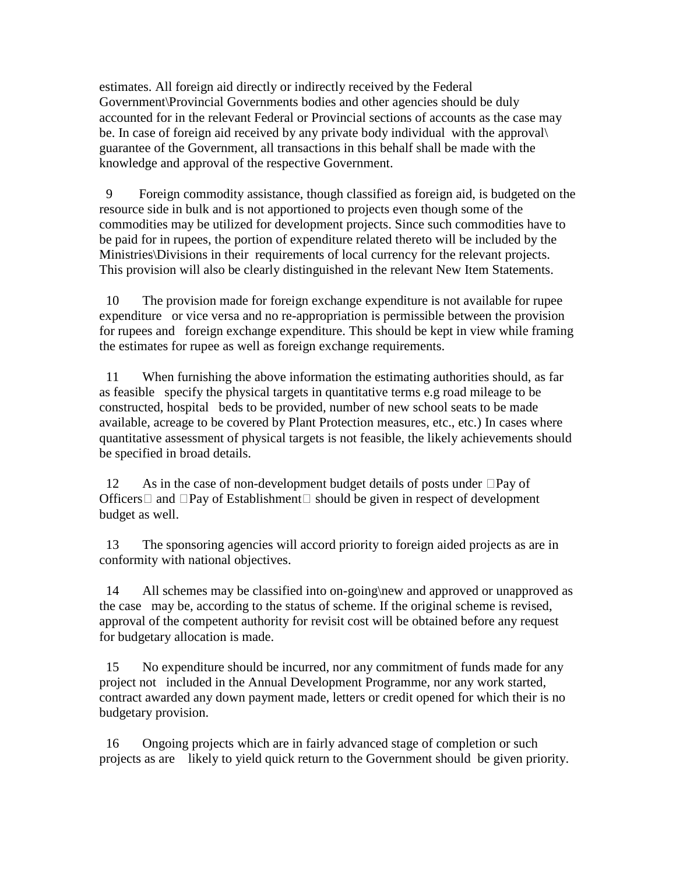estimates. All foreign aid directly or indirectly received by the Federal Government\Provincial Governments bodies and other agencies should be duly accounted for in the relevant Federal or Provincial sections of accounts as the case may be. In case of foreign aid received by any private body individual with the approval\ guarantee of the Government, all transactions in this behalf shall be made with the knowledge and approval of the respective Government.

 9 Foreign commodity assistance, though classified as foreign aid, is budgeted on the resource side in bulk and is not apportioned to projects even though some of the commodities may be utilized for development projects. Since such commodities have to be paid for in rupees, the portion of expenditure related thereto will be included by the Ministries\Divisions in their requirements of local currency for the relevant projects. This provision will also be clearly distinguished in the relevant New Item Statements.

 10 The provision made for foreign exchange expenditure is not available for rupee expenditure or vice versa and no re-appropriation is permissible between the provision for rupees and foreign exchange expenditure. This should be kept in view while framing the estimates for rupee as well as foreign exchange requirements.

 11 When furnishing the above information the estimating authorities should, as far as feasible specify the physical targets in quantitative terms e.g road mileage to be constructed, hospital beds to be provided, number of new school seats to be made available, acreage to be covered by Plant Protection measures, etc., etc.) In cases where quantitative assessment of physical targets is not feasible, the likely achievements should be specified in broad details.

12 As in the case of non-development budget details of posts under  $\Box$ Pay of Officers  $\Box$  and  $\Box$  Pay of Establishment  $\Box$  should be given in respect of development budget as well.

 13 The sponsoring agencies will accord priority to foreign aided projects as are in conformity with national objectives.

14 All schemes may be classified into on-going\new and approved or unapproved as the case may be, according to the status of scheme. If the original scheme is revised, approval of the competent authority for revisit cost will be obtained before any request for budgetary allocation is made.

 15 No expenditure should be incurred, nor any commitment of funds made for any project not included in the Annual Development Programme, nor any work started, contract awarded any down payment made, letters or credit opened for which their is no budgetary provision.

 16 Ongoing projects which are in fairly advanced stage of completion or such projects as are likely to yield quick return to the Government should be given priority.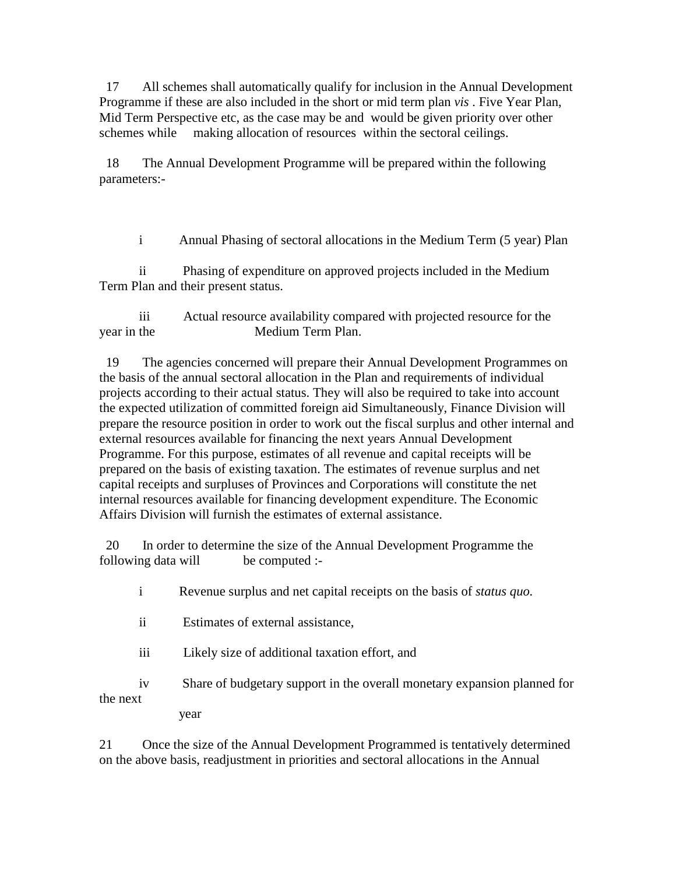17 All schemes shall automatically qualify for inclusion in the Annual Development Programme if these are also included in the short or mid term plan *vis* . Five Year Plan, Mid Term Perspective etc, as the case may be and would be given priority over other schemes while making allocation of resources within the sectoral ceilings.

 18 The Annual Development Programme will be prepared within the following parameters:-

i Annual Phasing of sectoral allocations in the Medium Term (5 year) Plan

 ii Phasing of expenditure on approved projects included in the Medium Term Plan and their present status.

 iii Actual resource availability compared with projected resource for the year in the Medium Term Plan.

 19 The agencies concerned will prepare their Annual Development Programmes on the basis of the annual sectoral allocation in the Plan and requirements of individual projects according to their actual status. They will also be required to take into account the expected utilization of committed foreign aid Simultaneously, Finance Division will prepare the resource position in order to work out the fiscal surplus and other internal and external resources available for financing the next years Annual Development Programme. For this purpose, estimates of all revenue and capital receipts will be prepared on the basis of existing taxation. The estimates of revenue surplus and net capital receipts and surpluses of Provinces and Corporations will constitute the net internal resources available for financing development expenditure. The Economic Affairs Division will furnish the estimates of external assistance.

 20 In order to determine the size of the Annual Development Programme the following data will be computed :-

i Revenue surplus and net capital receipts on the basis of *status quo.* 

- ii Estimates of external assistance,
- iii Likely size of additional taxation effort, and

 iv Share of budgetary support in the overall monetary expansion planned for the next

year

21 Once the size of the Annual Development Programmed is tentatively determined on the above basis, readjustment in priorities and sectoral allocations in the Annual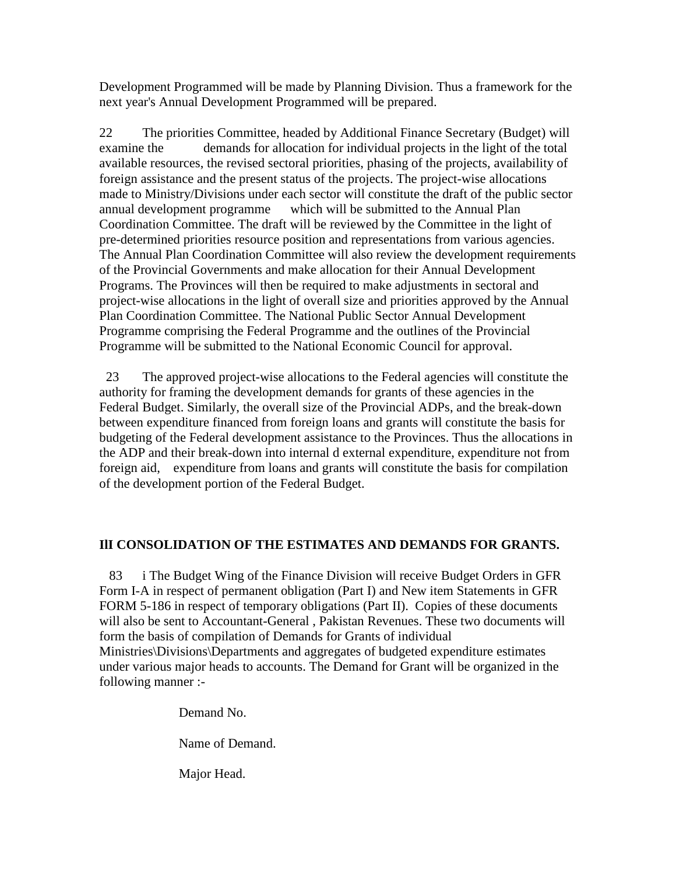Development Programmed will be made by Planning Division. Thus a framework for the next year's Annual Development Programmed will be prepared.

22 The priorities Committee, headed by Additional Finance Secretary (Budget) will examine the demands for allocation for individual projects in the light of the total available resources, the revised sectoral priorities, phasing of the projects, availability of foreign assistance and the present status of the projects. The project-wise allocations made to Ministry/Divisions under each sector will constitute the draft of the public sector annual development programme which will be submitted to the Annual Plan Coordination Committee. The draft will be reviewed by the Committee in the light of pre-determined priorities resource position and representations from various agencies. The Annual Plan Coordination Committee will also review the development requirements of the Provincial Governments and make allocation for their Annual Development Programs. The Provinces will then be required to make adjustments in sectoral and project-wise allocations in the light of overall size and priorities approved by the Annual Plan Coordination Committee. The National Public Sector Annual Development Programme comprising the Federal Programme and the outlines of the Provincial Programme will be submitted to the National Economic Council for approval.

 23 The approved project-wise allocations to the Federal agencies will constitute the authority for framing the development demands for grants of these agencies in the Federal Budget. Similarly, the overall size of the Provincial ADPs, and the break-down between expenditure financed from foreign loans and grants will constitute the basis for budgeting of the Federal development assistance to the Provinces. Thus the allocations in the ADP and their break-down into internal d external expenditure, expenditure not from foreign aid, expenditure from loans and grants will constitute the basis for compilation of the development portion of the Federal Budget.

# **IlI CONSOLIDATION OF THE ESTIMATES AND DEMANDS FOR GRANTS.**

 83 i The Budget Wing of the Finance Division will receive Budget Orders in GFR Form I-A in respect of permanent obligation (Part I) and New item Statements in GFR FORM 5-186 in respect of temporary obligations (Part II). Copies of these documents will also be sent to Accountant-General , Pakistan Revenues. These two documents will form the basis of compilation of Demands for Grants of individual Ministries\Divisions\Departments and aggregates of budgeted expenditure estimates under various major heads to accounts. The Demand for Grant will be organized in the following manner :-

Demand No.

Name of Demand.

Major Head.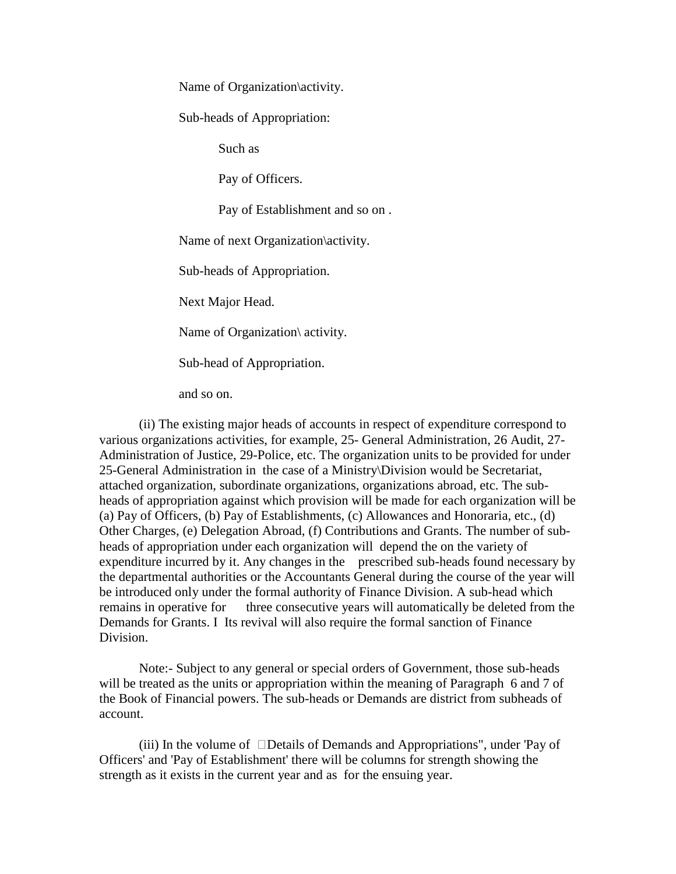Name of Organization\activity.

Sub-heads of Appropriation:

Such as

Pay of Officers.

Pay of Establishment and so on .

Name of next Organization\activity.

Sub-heads of Appropriation.

Next Major Head.

Name of Organization\ activity.

Sub-head of Appropriation.

and so on.

 (ii) The existing major heads of accounts in respect of expenditure correspond to various organizations activities, for example, 25- General Administration, 26 Audit, 27- Administration of Justice, 29-Police, etc. The organization units to be provided for under 25-General Administration in the case of a Ministry\Division would be Secretariat, attached organization, subordinate organizations, organizations abroad, etc. The subheads of appropriation against which provision will be made for each organization will be (a) Pay of Officers, (b) Pay of Establishments, (c) Allowances and Honoraria, etc., (d) Other Charges, (e) Delegation Abroad, (f) Contributions and Grants. The number of subheads of appropriation under each organization will depend the on the variety of expenditure incurred by it. Any changes in the prescribed sub-heads found necessary by the departmental authorities or the Accountants General during the course of the year will be introduced only under the formal authority of Finance Division. A sub-head which remains in operative for three consecutive years will automatically be deleted from the Demands for Grants. I Its revival will also require the formal sanction of Finance Division.

 Note:- Subject to any general or special orders of Government, those sub-heads will be treated as the units or appropriation within the meaning of Paragraph 6 and 7 of the Book of Financial powers. The sub-heads or Demands are district from subheads of account.

(iii) In the volume of  $\Box$ Details of Demands and Appropriations", under 'Pay of Officers' and 'Pay of Establishment' there will be columns for strength showing the strength as it exists in the current year and as for the ensuing year.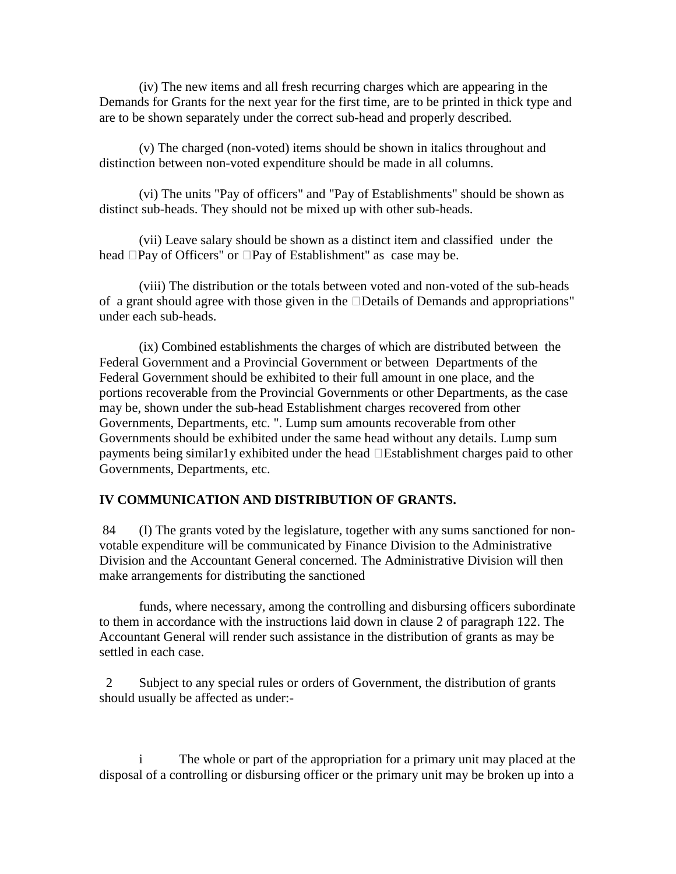(iv) The new items and all fresh recurring charges which are appearing in the Demands for Grants for the next year for the first time, are to be printed in thick type and are to be shown separately under the correct sub-head and properly described.

 (v) The charged (non-voted) items should be shown in italics throughout and distinction between non-voted expenditure should be made in all columns.

 (vi) The units "Pay of officers" and "Pay of Establishments" should be shown as distinct sub-heads. They should not be mixed up with other sub-heads.

 (vii) Leave salary should be shown as a distinct item and classified under the head  $\Box$ Pay of Officers" or  $\Box$ Pay of Establishment" as case may be.

 (viii) The distribution or the totals between voted and non-voted of the sub-heads of a grant should agree with those given in the  $\square$ Details of Demands and appropriations" under each sub-heads.

 (ix) Combined establishments the charges of which are distributed between the Federal Government and a Provincial Government or between Departments of the Federal Government should be exhibited to their full amount in one place, and the portions recoverable from the Provincial Governments or other Departments, as the case may be, shown under the sub-head Establishment charges recovered from other Governments, Departments, etc. ". Lump sum amounts recoverable from other Governments should be exhibited under the same head without any details. Lump sum payments being similar1y exhibited under the head  $\Box$  Establishment charges paid to other Governments, Departments, etc.

#### **IV COMMUNICATION AND DISTRIBUTION OF GRANTS.**

 84 (I) The grants voted by the legislature, together with any sums sanctioned for nonvotable expenditure will be communicated by Finance Division to the Administrative Division and the Accountant General concerned. The Administrative Division will then make arrangements for distributing the sanctioned

 funds, where necessary, among the controlling and disbursing officers subordinate to them in accordance with the instructions laid down in clause 2 of paragraph 122. The Accountant General will render such assistance in the distribution of grants as may be settled in each case.

 2 Subject to any special rules or orders of Government, the distribution of grants should usually be affected as under:-

The whole or part of the appropriation for a primary unit may placed at the disposal of a controlling or disbursing officer or the primary unit may be broken up into a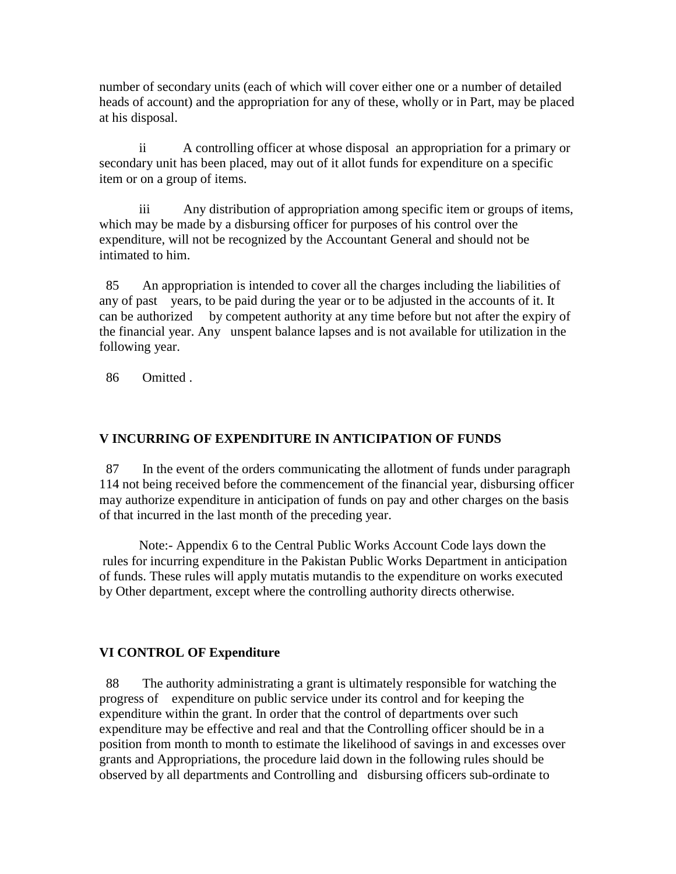number of secondary units (each of which will cover either one or a number of detailed heads of account) and the appropriation for any of these, wholly or in Part, may be placed at his disposal.

 ii A controlling officer at whose disposal an appropriation for a primary or secondary unit has been placed, may out of it allot funds for expenditure on a specific item or on a group of items.

 iii Any distribution of appropriation among specific item or groups of items, which may be made by a disbursing officer for purposes of his control over the expenditure, will not be recognized by the Accountant General and should not be intimated to him.

 85 An appropriation is intended to cover all the charges including the liabilities of any of past years, to be paid during the year or to be adjusted in the accounts of it. It can be authorized by competent authority at any time before but not after the expiry of the financial year. Any unspent balance lapses and is not available for utilization in the following year.

86 Omitted .

# **V INCURRING OF EXPENDITURE IN ANTICIPATION OF FUNDS**

 87 In the event of the orders communicating the allotment of funds under paragraph 114 not being received before the commencement of the financial year, disbursing officer may authorize expenditure in anticipation of funds on pay and other charges on the basis of that incurred in the last month of the preceding year.

 Note:- Appendix 6 to the Central Public Works Account Code lays down the rules for incurring expenditure in the Pakistan Public Works Department in anticipation of funds. These rules will apply mutatis mutandis to the expenditure on works executed by Other department, except where the controlling authority directs otherwise.

# **VI CONTROL OF Expenditure**

 88 The authority administrating a grant is ultimately responsible for watching the progress of expenditure on public service under its control and for keeping the expenditure within the grant. In order that the control of departments over such expenditure may be effective and real and that the Controlling officer should be in a position from month to month to estimate the likelihood of savings in and excesses over grants and Appropriations, the procedure laid down in the following rules should be observed by all departments and Controlling and disbursing officers sub-ordinate to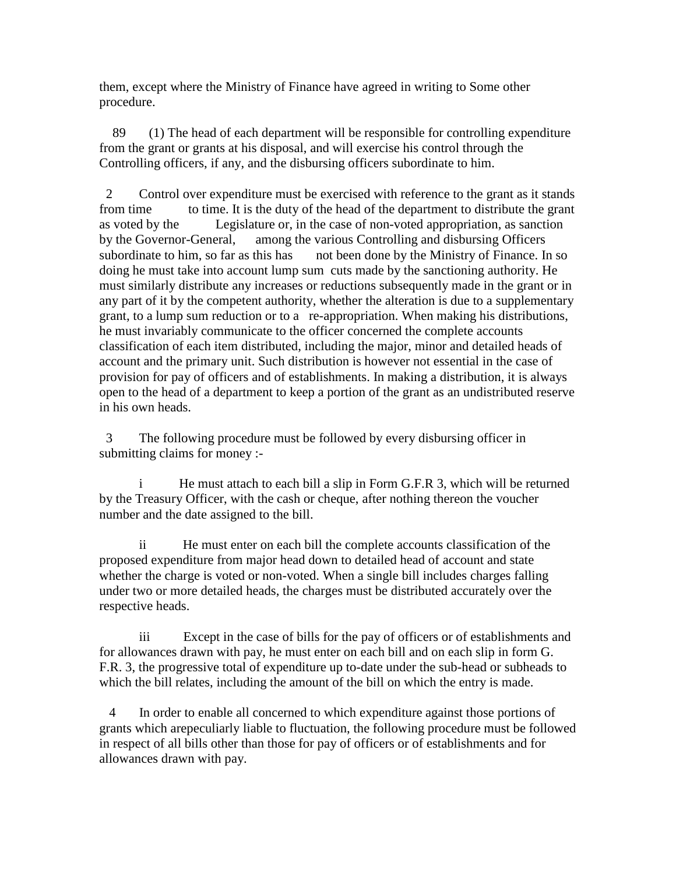them, except where the Ministry of Finance have agreed in writing to Some other procedure.

 89 (1) The head of each department will be responsible for controlling expenditure from the grant or grants at his disposal, and will exercise his control through the Controlling officers, if any, and the disbursing officers subordinate to him.

 2 Control over expenditure must be exercised with reference to the grant as it stands from time to time. It is the duty of the head of the department to distribute the grant as voted by the Legislature or, in the case of non-voted appropriation, as sanction by the Governor-General, among the various Controlling and disbursing Officers subordinate to him, so far as this has not been done by the Ministry of Finance. In so doing he must take into account lump sum cuts made by the sanctioning authority. He must similarly distribute any increases or reductions subsequently made in the grant or in any part of it by the competent authority, whether the alteration is due to a supplementary grant, to a lump sum reduction or to a re-appropriation. When making his distributions, he must invariably communicate to the officer concerned the complete accounts classification of each item distributed, including the major, minor and detailed heads of account and the primary unit. Such distribution is however not essential in the case of provision for pay of officers and of establishments. In making a distribution, it is always open to the head of a department to keep a portion of the grant as an undistributed reserve in his own heads.

 3 The following procedure must be followed by every disbursing officer in submitting claims for money :-

He must attach to each bill a slip in Form G.F.R 3, which will be returned by the Treasury Officer, with the cash or cheque, after nothing thereon the voucher number and the date assigned to the bill.

 ii He must enter on each bill the complete accounts classification of the proposed expenditure from major head down to detailed head of account and state whether the charge is voted or non-voted. When a single bill includes charges falling under two or more detailed heads, the charges must be distributed accurately over the respective heads.

 iii Except in the case of bills for the pay of officers or of establishments and for allowances drawn with pay, he must enter on each bill and on each slip in form G. F.R. 3, the progressive total of expenditure up to-date under the sub-head or subheads to which the bill relates, including the amount of the bill on which the entry is made.

 4 In order to enable all concerned to which expenditure against those portions of grants which arepeculiarly liable to fluctuation, the following procedure must be followed in respect of all bills other than those for pay of officers or of establishments and for allowances drawn with pay.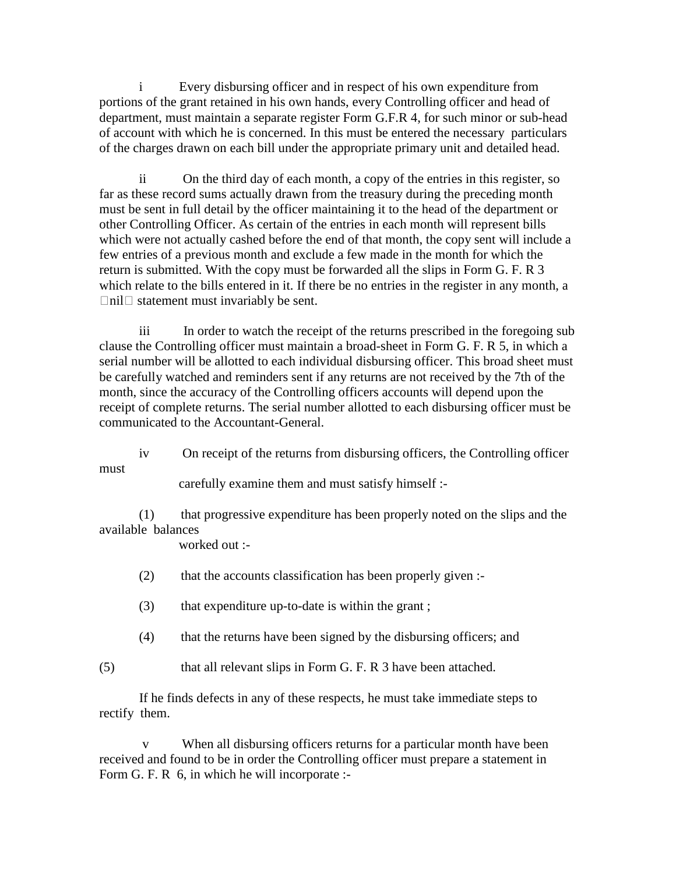Every disbursing officer and in respect of his own expenditure from portions of the grant retained in his own hands, every Controlling officer and head of department, must maintain a separate register Form G.F.R 4, for such minor or sub-head of account with which he is concerned. In this must be entered the necessary particulars of the charges drawn on each bill under the appropriate primary unit and detailed head.

 ii On the third day of each month, a copy of the entries in this register, so far as these record sums actually drawn from the treasury during the preceding month must be sent in full detail by the officer maintaining it to the head of the department or other Controlling Officer. As certain of the entries in each month will represent bills which were not actually cashed before the end of that month, the copy sent will include a few entries of a previous month and exclude a few made in the month for which the return is submitted. With the copy must be forwarded all the slips in Form G. F. R 3 which relate to the bills entered in it. If there be no entries in the register in any month, a  $\Box$ nil $\Box$  statement must invariably be sent.

 iii In order to watch the receipt of the returns prescribed in the foregoing sub clause the Controlling officer must maintain a broad-sheet in Form G. F. R 5, in which a serial number will be allotted to each individual disbursing officer. This broad sheet must be carefully watched and reminders sent if any returns are not received by the 7th of the month, since the accuracy of the Controlling officers accounts will depend upon the receipt of complete returns. The serial number allotted to each disbursing officer must be communicated to the Accountant-General.

iv On receipt of the returns from disbursing officers, the Controlling officer

must

carefully examine them and must satisfy himself :-

 (1) that progressive expenditure has been properly noted on the slips and the available balances

worked out :-

- (2) that the accounts classification has been properly given :-
- (3) that expenditure up-to-date is within the grant ;
- (4) that the returns have been signed by the disbursing officers; and

(5) that all relevant slips in Form G. F. R 3 have been attached.

 If he finds defects in any of these respects, he must take immediate steps to rectify them.

 v When all disbursing officers returns for a particular month have been received and found to be in order the Controlling officer must prepare a statement in Form G. F. R 6, in which he will incorporate :-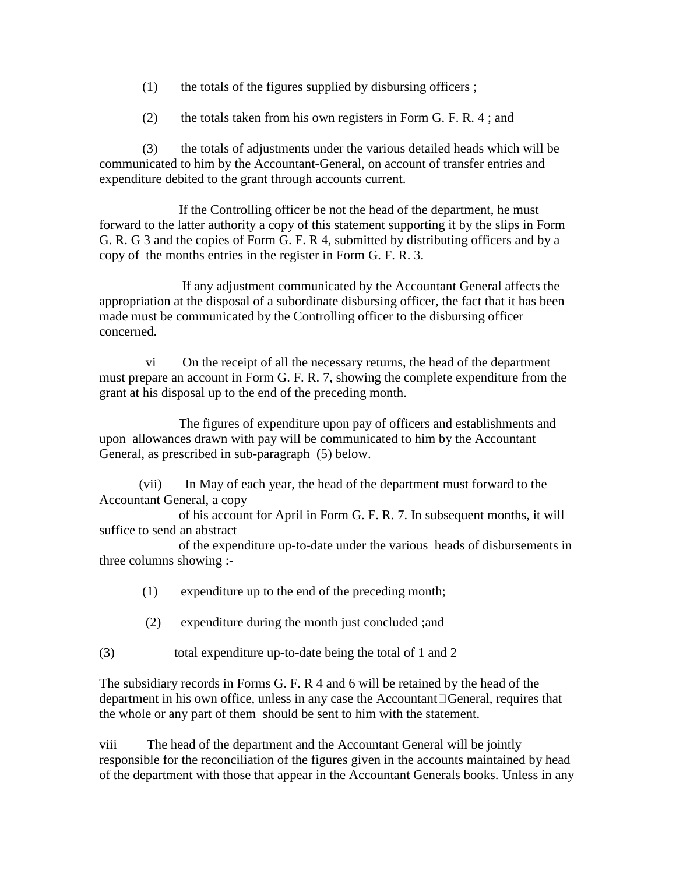- $(1)$  the totals of the figures supplied by disbursing officers ;
- (2) the totals taken from his own registers in Form G. F. R. 4 ; and

 (3) the totals of adjustments under the various detailed heads which will be communicated to him by the Accountant-General, on account of transfer entries and expenditure debited to the grant through accounts current.

 If the Controlling officer be not the head of the department, he must forward to the latter authority a copy of this statement supporting it by the slips in Form G. R. G 3 and the copies of Form G. F. R 4, submitted by distributing officers and by a copy of the months entries in the register in Form G. F. R. 3.

 If any adjustment communicated by the Accountant General affects the appropriation at the disposal of a subordinate disbursing officer, the fact that it has been made must be communicated by the Controlling officer to the disbursing officer concerned.

 vi On the receipt of all the necessary returns, the head of the department must prepare an account in Form G. F. R. 7, showing the complete expenditure from the grant at his disposal up to the end of the preceding month.

 The figures of expenditure upon pay of officers and establishments and upon allowances drawn with pay will be communicated to him by the Accountant General, as prescribed in sub-paragraph (5) below.

 (vii) In May of each year, the head of the department must forward to the Accountant General, a copy

 of his account for April in Form G. F. R. 7. In subsequent months, it will suffice to send an abstract

 of the expenditure up-to-date under the various heads of disbursements in three columns showing :-

- (1) expenditure up to the end of the preceding month;
- (2) expenditure during the month just concluded ;and

(3) total expenditure up-to-date being the total of 1 and 2

The subsidiary records in Forms G. F. R 4 and 6 will be retained by the head of the department in his own office, unless in any case the Accountant $\Box$ General, requires that the whole or any part of them should be sent to him with the statement.

viii The head of the department and the Accountant General will be jointly responsible for the reconciliation of the figures given in the accounts maintained by head of the department with those that appear in the Accountant Generals books. Unless in any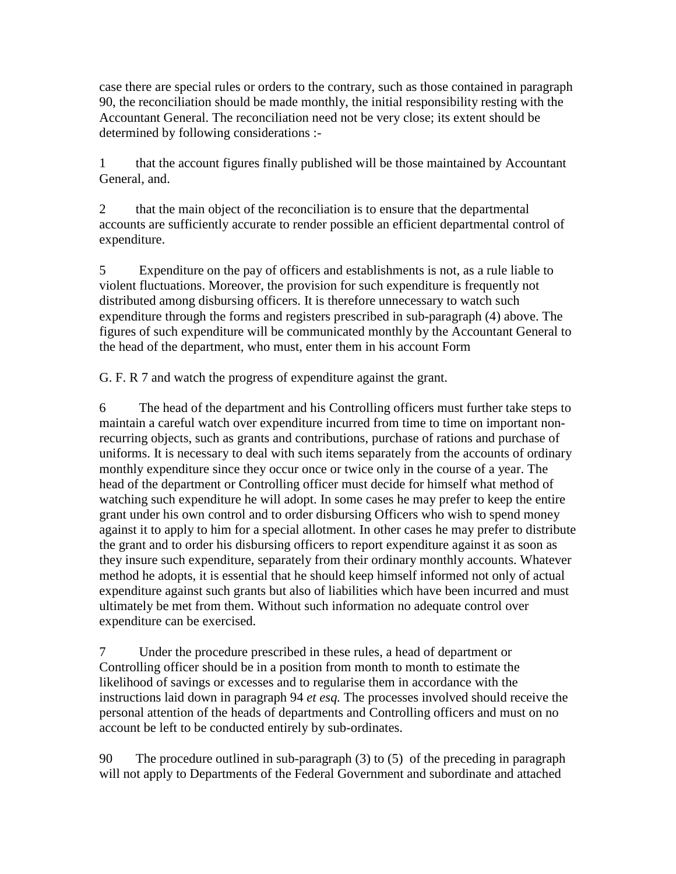case there are special rules or orders to the contrary, such as those contained in paragraph 90, the reconciliation should be made monthly, the initial responsibility resting with the Accountant General. The reconciliation need not be very close; its extent should be determined by following considerations :-

1 that the account figures finally published will be those maintained by Accountant General, and.

2 that the main object of the reconciliation is to ensure that the departmental accounts are sufficiently accurate to render possible an efficient departmental control of expenditure.

5 Expenditure on the pay of officers and establishments is not, as a rule liable to violent fluctuations. Moreover, the provision for such expenditure is frequently not distributed among disbursing officers. It is therefore unnecessary to watch such expenditure through the forms and registers prescribed in sub-paragraph (4) above. The figures of such expenditure will be communicated monthly by the Accountant General to the head of the department, who must, enter them in his account Form

G. F. R 7 and watch the progress of expenditure against the grant.

6 The head of the department and his Controlling officers must further take steps to maintain a careful watch over expenditure incurred from time to time on important nonrecurring objects, such as grants and contributions, purchase of rations and purchase of uniforms. It is necessary to deal with such items separately from the accounts of ordinary monthly expenditure since they occur once or twice only in the course of a year. The head of the department or Controlling officer must decide for himself what method of watching such expenditure he will adopt. In some cases he may prefer to keep the entire grant under his own control and to order disbursing Officers who wish to spend money against it to apply to him for a special allotment. In other cases he may prefer to distribute the grant and to order his disbursing officers to report expenditure against it as soon as they insure such expenditure, separately from their ordinary monthly accounts. Whatever method he adopts, it is essential that he should keep himself informed not only of actual expenditure against such grants but also of liabilities which have been incurred and must ultimately be met from them. Without such information no adequate control over expenditure can be exercised.

7 Under the procedure prescribed in these rules, a head of department or Controlling officer should be in a position from month to month to estimate the likelihood of savings or excesses and to regularise them in accordance with the instructions laid down in paragraph 94 *et esq.* The processes involved should receive the personal attention of the heads of departments and Controlling officers and must on no account be left to be conducted entirely by sub-ordinates.

90 The procedure outlined in sub-paragraph (3) to (5) of the preceding in paragraph will not apply to Departments of the Federal Government and subordinate and attached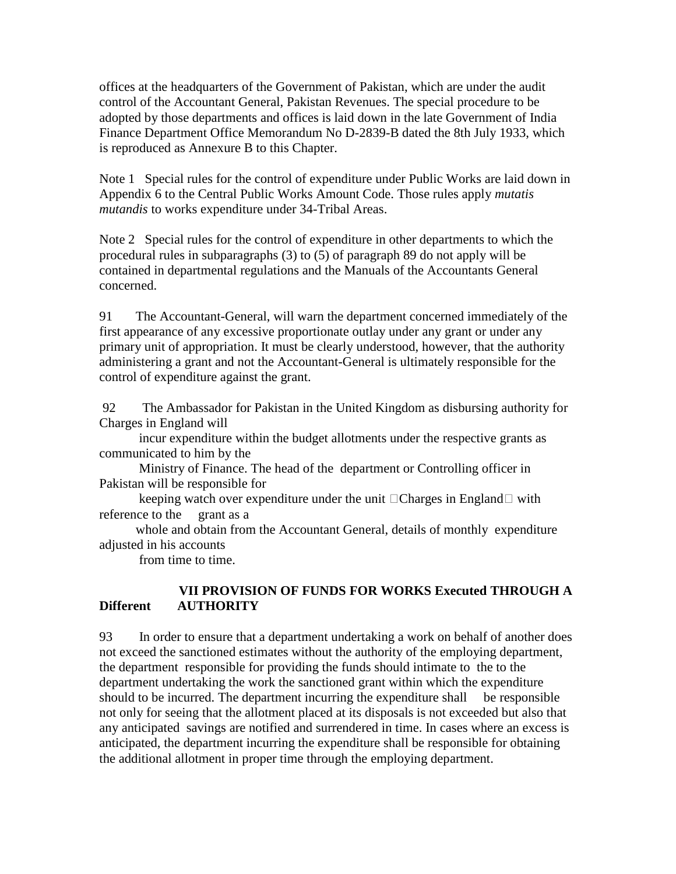offices at the headquarters of the Government of Pakistan, which are under the audit control of the Accountant General, Pakistan Revenues. The special procedure to be adopted by those departments and offices is laid down in the late Government of India Finance Department Office Memorandum No D-2839-B dated the 8th July 1933, which is reproduced as Annexure B to this Chapter.

Note 1 Special rules for the control of expenditure under Public Works are laid down in Appendix 6 to the Central Public Works Amount Code. Those rules apply *mutatis mutandis* to works expenditure under 34-Tribal Areas.

Note 2 Special rules for the control of expenditure in other departments to which the procedural rules in subparagraphs (3) to (5) of paragraph 89 do not apply will be contained in departmental regulations and the Manuals of the Accountants General concerned.

91 The Accountant-General, will warn the department concerned immediately of the first appearance of any excessive proportionate outlay under any grant or under any primary unit of appropriation. It must be clearly understood, however, that the authority administering a grant and not the Accountant-General is ultimately responsible for the control of expenditure against the grant.

 92 The Ambassador for Pakistan in the United Kingdom as disbursing authority for Charges in England will

 incur expenditure within the budget allotments under the respective grants as communicated to him by the

 Ministry of Finance. The head of the department or Controlling officer in Pakistan will be responsible for

keeping watch over expenditure under the unit  $\Box$ Charges in England  $\Box$  with reference to the grant as a

 whole and obtain from the Accountant General, details of monthly expenditure adjusted in his accounts

from time to time.

### **VII PROVISION OF FUNDS FOR WORKS Executed THROUGH A Different AUTHORITY**

93 In order to ensure that a department undertaking a work on behalf of another does not exceed the sanctioned estimates without the authority of the employing department, the department responsible for providing the funds should intimate to the to the department undertaking the work the sanctioned grant within which the expenditure should to be incurred. The department incurring the expenditure shall be responsible not only for seeing that the allotment placed at its disposals is not exceeded but also that any anticipated savings are notified and surrendered in time. In cases where an excess is anticipated, the department incurring the expenditure shall be responsible for obtaining the additional allotment in proper time through the employing department.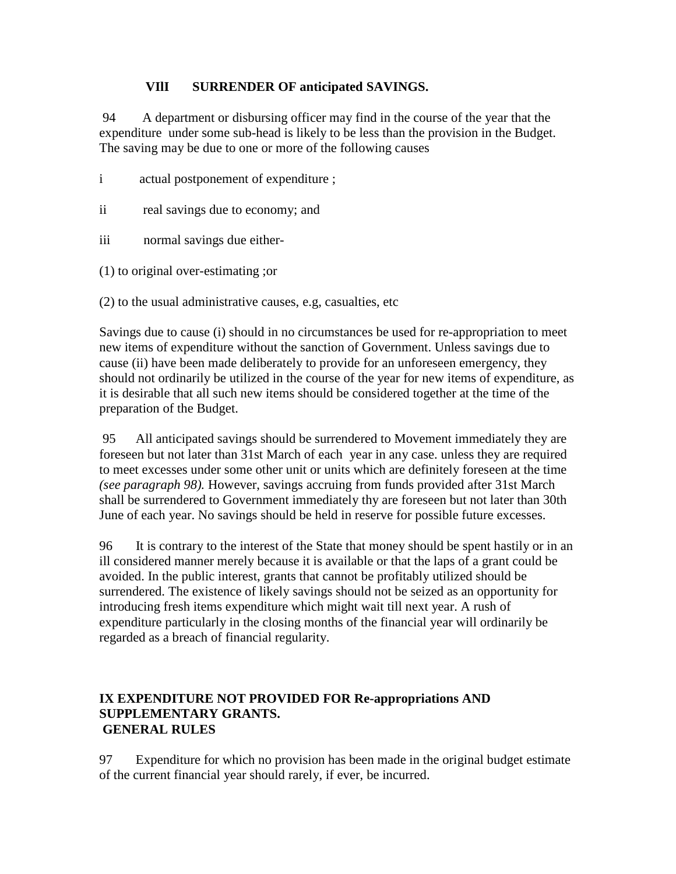### **VIlI SURRENDER OF anticipated SAVINGS.**

 94 A department or disbursing officer may find in the course of the year that the expenditure under some sub-head is likely to be less than the provision in the Budget. The saving may be due to one or more of the following causes

- i actual postponement of expenditure ;
- ii real savings due to economy; and
- iii normal savings due either-
- (1) to original over-estimating ;or
- (2) to the usual administrative causes, e.g, casualties, etc

Savings due to cause (i) should in no circumstances be used for re-appropriation to meet new items of expenditure without the sanction of Government. Unless savings due to cause (ii) have been made deliberately to provide for an unforeseen emergency, they should not ordinarily be utilized in the course of the year for new items of expenditure, as it is desirable that all such new items should be considered together at the time of the preparation of the Budget.

 95 All anticipated savings should be surrendered to Movement immediately they are foreseen but not later than 31st March of each year in any case. unless they are required to meet excesses under some other unit or units which are definitely foreseen at the time *(see paragraph 98).* However, savings accruing from funds provided after 31st March shall be surrendered to Government immediately thy are foreseen but not later than 30th June of each year. No savings should be held in reserve for possible future excesses.

96 It is contrary to the interest of the State that money should be spent hastily or in an ill considered manner merely because it is available or that the laps of a grant could be avoided. In the public interest, grants that cannot be profitably utilized should be surrendered. The existence of likely savings should not be seized as an opportunity for introducing fresh items expenditure which might wait till next year. A rush of expenditure particularly in the closing months of the financial year will ordinarily be regarded as a breach of financial regularity.

#### **IX EXPENDITURE NOT PROVIDED FOR Re-appropriations AND SUPPLEMENTARY GRANTS. GENERAL RULES**

97 Expenditure for which no provision has been made in the original budget estimate of the current financial year should rarely, if ever, be incurred.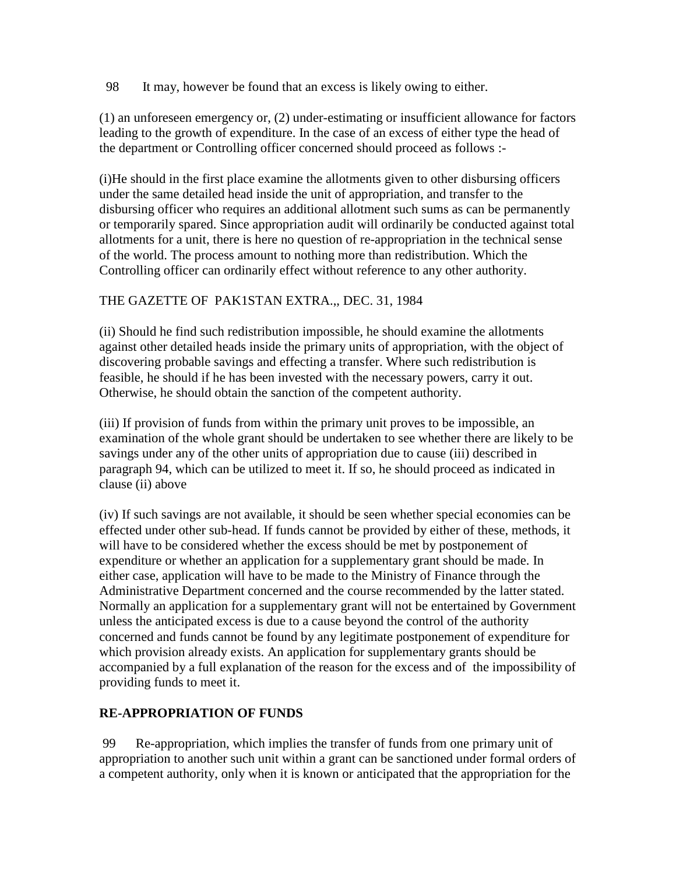98 It may, however be found that an excess is likely owing to either.

(1) an unforeseen emergency or, (2) under-estimating or insufficient allowance for factors leading to the growth of expenditure. In the case of an excess of either type the head of the department or Controlling officer concerned should proceed as follows :-

(i)He should in the first place examine the allotments given to other disbursing officers under the same detailed head inside the unit of appropriation, and transfer to the disbursing officer who requires an additional allotment such sums as can be permanently or temporarily spared. Since appropriation audit will ordinarily be conducted against total allotments for a unit, there is here no question of re-appropriation in the technical sense of the world. The process amount to nothing more than redistribution. Which the Controlling officer can ordinarily effect without reference to any other authority.

# THE GAZETTE OF PAK1STAN EXTRA.,, DEC. 31, 1984

(ii) Should he find such redistribution impossible, he should examine the allotments against other detailed heads inside the primary units of appropriation, with the object of discovering probable savings and effecting a transfer. Where such redistribution is feasible, he should if he has been invested with the necessary powers, carry it out. Otherwise, he should obtain the sanction of the competent authority.

(iii) If provision of funds from within the primary unit proves to be impossible, an examination of the whole grant should be undertaken to see whether there are likely to be savings under any of the other units of appropriation due to cause (iii) described in paragraph 94, which can be utilized to meet it. If so, he should proceed as indicated in clause (ii) above

(iv) If such savings are not available, it should be seen whether special economies can be effected under other sub-head. If funds cannot be provided by either of these, methods, it will have to be considered whether the excess should be met by postponement of expenditure or whether an application for a supplementary grant should be made. In either case, application will have to be made to the Ministry of Finance through the Administrative Department concerned and the course recommended by the latter stated. Normally an application for a supplementary grant will not be entertained by Government unless the anticipated excess is due to a cause beyond the control of the authority concerned and funds cannot be found by any legitimate postponement of expenditure for which provision already exists. An application for supplementary grants should be accompanied by a full explanation of the reason for the excess and of the impossibility of providing funds to meet it.

# **RE-APPROPRIATION OF FUNDS**

 99 Re-appropriation, which implies the transfer of funds from one primary unit of appropriation to another such unit within a grant can be sanctioned under formal orders of a competent authority, only when it is known or anticipated that the appropriation for the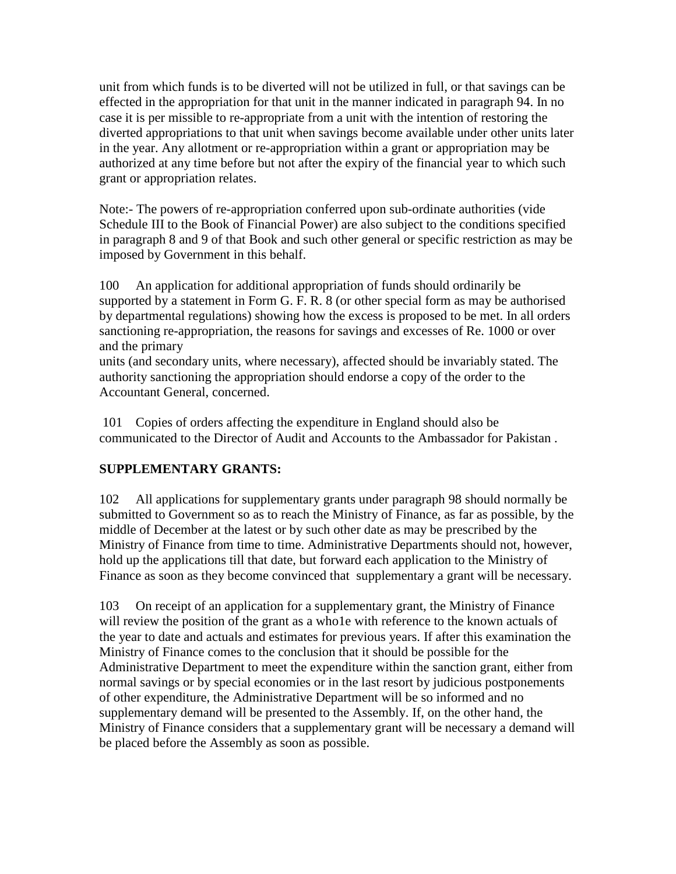unit from which funds is to be diverted will not be utilized in full, or that savings can be effected in the appropriation for that unit in the manner indicated in paragraph 94. In no case it is per missible to re-appropriate from a unit with the intention of restoring the diverted appropriations to that unit when savings become available under other units later in the year. Any allotment or re-appropriation within a grant or appropriation may be authorized at any time before but not after the expiry of the financial year to which such grant or appropriation relates.

Note:- The powers of re-appropriation conferred upon sub-ordinate authorities (vide Schedule III to the Book of Financial Power) are also subject to the conditions specified in paragraph 8 and 9 of that Book and such other general or specific restriction as may be imposed by Government in this behalf.

100 An application for additional appropriation of funds should ordinarily be supported by a statement in Form G. F. R. 8 (or other special form as may be authorised by departmental regulations) showing how the excess is proposed to be met. In all orders sanctioning re-appropriation, the reasons for savings and excesses of Re. 1000 or over and the primary

units (and secondary units, where necessary), affected should be invariably stated. The authority sanctioning the appropriation should endorse a copy of the order to the Accountant General, concerned.

 101 Copies of orders affecting the expenditure in England should also be communicated to the Director of Audit and Accounts to the Ambassador for Pakistan .

# **SUPPLEMENTARY GRANTS:**

102 All applications for supplementary grants under paragraph 98 should normally be submitted to Government so as to reach the Ministry of Finance, as far as possible, by the middle of December at the latest or by such other date as may be prescribed by the Ministry of Finance from time to time. Administrative Departments should not, however, hold up the applications till that date, but forward each application to the Ministry of Finance as soon as they become convinced that supplementary a grant will be necessary.

103 On receipt of an application for a supplementary grant, the Ministry of Finance will review the position of the grant as a who1e with reference to the known actuals of the year to date and actuals and estimates for previous years. If after this examination the Ministry of Finance comes to the conclusion that it should be possible for the Administrative Department to meet the expenditure within the sanction grant, either from normal savings or by special economies or in the last resort by judicious postponements of other expenditure, the Administrative Department will be so informed and no supplementary demand will be presented to the Assembly. If, on the other hand, the Ministry of Finance considers that a supplementary grant will be necessary a demand will be placed before the Assembly as soon as possible.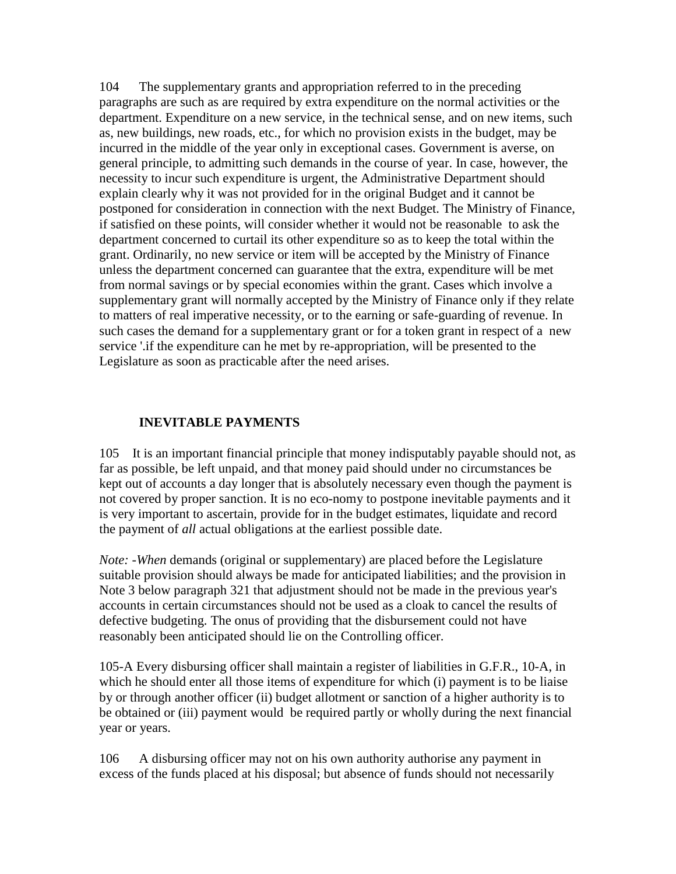104 The supplementary grants and appropriation referred to in the preceding paragraphs are such as are required by extra expenditure on the normal activities or the department. Expenditure on a new service, in the technical sense, and on new items, such as, new buildings, new roads, etc., for which no provision exists in the budget, may be incurred in the middle of the year only in exceptional cases. Government is averse, on general principle, to admitting such demands in the course of year. In case, however, the necessity to incur such expenditure is urgent, the Administrative Department should explain clearly why it was not provided for in the original Budget and it cannot be postponed for consideration in connection with the next Budget. The Ministry of Finance, if satisfied on these points, will consider whether it would not be reasonable to ask the department concerned to curtail its other expenditure so as to keep the total within the grant. Ordinarily, no new service or item will be accepted by the Ministry of Finance unless the department concerned can guarantee that the extra, expenditure will be met from normal savings or by special economies within the grant. Cases which involve a supplementary grant will normally accepted by the Ministry of Finance only if they relate to matters of real imperative necessity, or to the earning or safe-guarding of revenue. In such cases the demand for a supplementary grant or for a token grant in respect of a new service '.if the expenditure can he met by re-appropriation, will be presented to the Legislature as soon as practicable after the need arises.

### **INEVITABLE PAYMENTS**

105 It is an important financial principle that money indisputably payable should not, as far as possible, be left unpaid, and that money paid should under no circumstances be kept out of accounts a day longer that is absolutely necessary even though the payment is not covered by proper sanction. It is no eco-nomy to postpone inevitable payments and it is very important to ascertain, provide for in the budget estimates, liquidate and record the payment of *all* actual obligations at the earliest possible date.

*Note: -When* demands (original or supplementary) are placed before the Legislature suitable provision should always be made for anticipated liabilities; and the provision in Note 3 below paragraph 321 that adjustment should not be made in the previous year's accounts in certain circumstances should not be used as a cloak to cancel the results of defective budgeting. The onus of providing that the disbursement could not have reasonably been anticipated should lie on the Controlling officer.

105-A Every disbursing officer shall maintain a register of liabilities in G.F.R., 10-A, in which he should enter all those items of expenditure for which (i) payment is to be liaise by or through another officer (ii) budget allotment or sanction of a higher authority is to be obtained or (iii) payment would be required partly or wholly during the next financial year or years.

106 A disbursing officer may not on his own authority authorise any payment in excess of the funds placed at his disposal; but absence of funds should not necessarily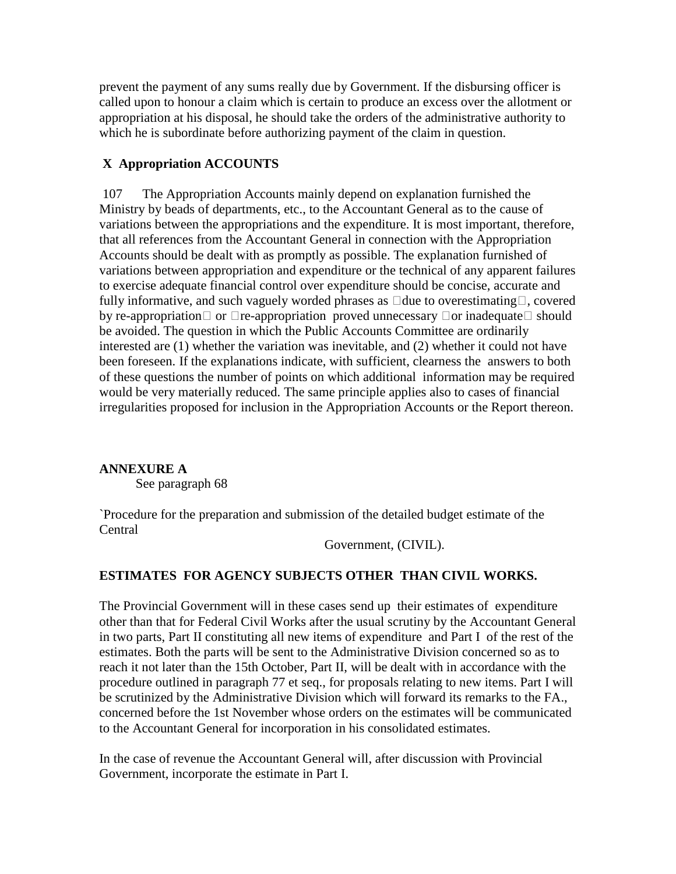prevent the payment of any sums really due by Government. If the disbursing officer is called upon to honour a claim which is certain to produce an excess over the allotment or appropriation at his disposal, he should take the orders of the administrative authority to which he is subordinate before authorizing payment of the claim in question.

# **X Appropriation ACCOUNTS**

 107 The Appropriation Accounts mainly depend on explanation furnished the Ministry by beads of departments, etc., to the Accountant General as to the cause of variations between the appropriations and the expenditure. It is most important, therefore, that all references from the Accountant General in connection with the Appropriation Accounts should be dealt with as promptly as possible. The explanation furnished of variations between appropriation and expenditure or the technical of any apparent failures to exercise adequate financial control over expenditure should be concise, accurate and fully informative, and such vaguely worded phrases as  $\Box$  due to overestimating $\Box$ , covered by re-appropriation  $\Box$  or  $\Box$  re-appropriation proved unnecessary  $\Box$  or inadequate  $\Box$  should be avoided. The question in which the Public Accounts Committee are ordinarily interested are (1) whether the variation was inevitable, and (2) whether it could not have been foreseen. If the explanations indicate, with sufficient, clearness the answers to both of these questions the number of points on which additional information may be required would be very materially reduced. The same principle applies also to cases of financial irregularities proposed for inclusion in the Appropriation Accounts or the Report thereon.

# **ANNEXURE A**

See paragraph 68

`Procedure for the preparation and submission of the detailed budget estimate of the Central

Government, (CIVIL).

# **ESTIMATES FOR AGENCY SUBJECTS OTHER THAN CIVIL WORKS.**

The Provincial Government will in these cases send up their estimates of expenditure other than that for Federal Civil Works after the usual scrutiny by the Accountant General in two parts, Part II constituting all new items of expenditure and Part I of the rest of the estimates. Both the parts will be sent to the Administrative Division concerned so as to reach it not later than the 15th October, Part II, will be dealt with in accordance with the procedure outlined in paragraph 77 et seq., for proposals relating to new items. Part I will be scrutinized by the Administrative Division which will forward its remarks to the FA., concerned before the 1st November whose orders on the estimates will be communicated to the Accountant General for incorporation in his consolidated estimates.

In the case of revenue the Accountant General will, after discussion with Provincial Government, incorporate the estimate in Part I.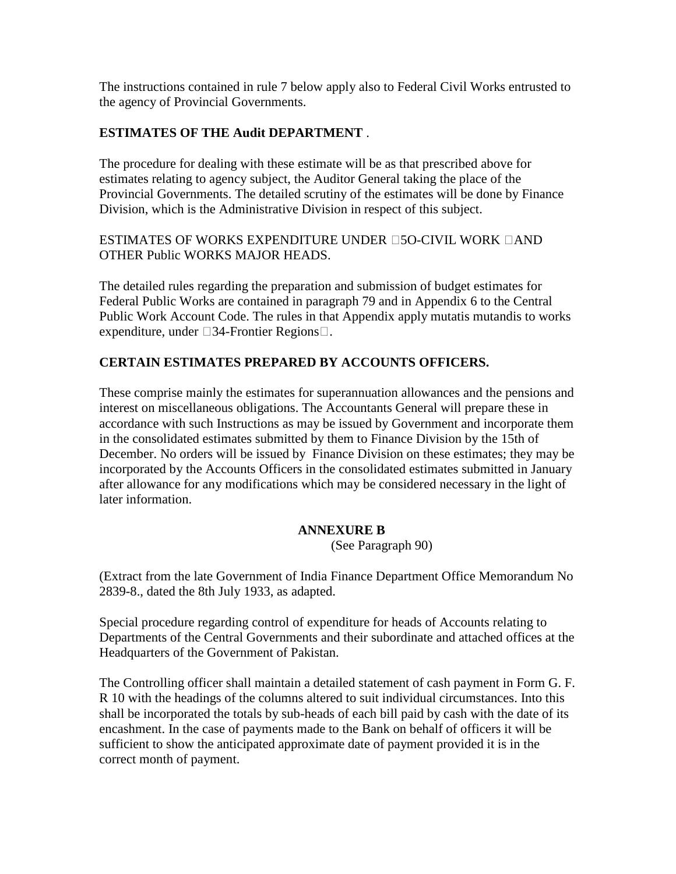The instructions contained in rule 7 below apply also to Federal Civil Works entrusted to the agency of Provincial Governments.

# **ESTIMATES OF THE Audit DEPARTMENT** .

The procedure for dealing with these estimate will be as that prescribed above for estimates relating to agency subject, the Auditor General taking the place of the Provincial Governments. The detailed scrutiny of the estimates will be done by Finance Division, which is the Administrative Division in respect of this subject.

ESTIMATES OF WORKS EXPENDITURE UNDER **150-CIVIL WORK** 14ND OTHER Public WORKS MAJOR HEADS.

The detailed rules regarding the preparation and submission of budget estimates for Federal Public Works are contained in paragraph 79 and in Appendix 6 to the Central Public Work Account Code. The rules in that Appendix apply mutatis mutandis to works expenditure, under  $\square$ 34-Frontier Regions $\square$ .

# **CERTAIN ESTIMATES PREPARED BY ACCOUNTS OFFICERS.**

These comprise mainly the estimates for superannuation allowances and the pensions and interest on miscellaneous obligations. The Accountants General will prepare these in accordance with such Instructions as may be issued by Government and incorporate them in the consolidated estimates submitted by them to Finance Division by the 15th of December. No orders will be issued by Finance Division on these estimates; they may be incorporated by the Accounts Officers in the consolidated estimates submitted in January after allowance for any modifications which may be considered necessary in the light of later information.

# **ANNEXURE B**

(See Paragraph 90)

(Extract from the late Government of India Finance Department Office Memorandum No 2839-8., dated the 8th July 1933, as adapted.

Special procedure regarding control of expenditure for heads of Accounts relating to Departments of the Central Governments and their subordinate and attached offices at the Headquarters of the Government of Pakistan.

The Controlling officer shall maintain a detailed statement of cash payment in Form G. F. R 10 with the headings of the columns altered to suit individual circumstances. Into this shall be incorporated the totals by sub-heads of each bill paid by cash with the date of its encashment. In the case of payments made to the Bank on behalf of officers it will be sufficient to show the anticipated approximate date of payment provided it is in the correct month of payment.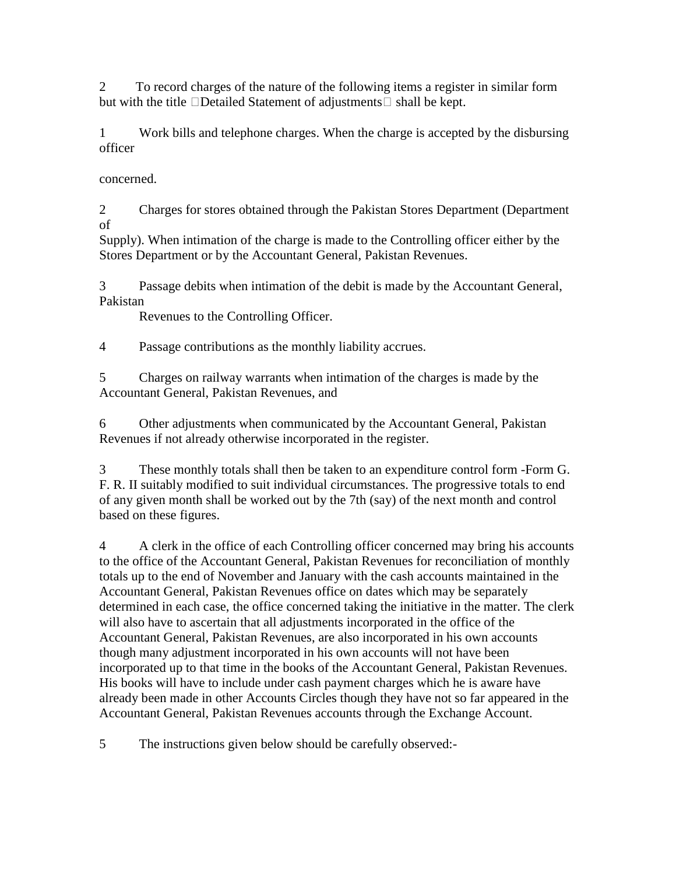2 To record charges of the nature of the following items a register in similar form but with the title  $\Box$ Detailed Statement of adjustments  $\Box$  shall be kept.

1 Work bills and telephone charges. When the charge is accepted by the disbursing officer

concerned.

2 Charges for stores obtained through the Pakistan Stores Department (Department of

Supply). When intimation of the charge is made to the Controlling officer either by the Stores Department or by the Accountant General, Pakistan Revenues.

3 Passage debits when intimation of the debit is made by the Accountant General, Pakistan

Revenues to the Controlling Officer.

4 Passage contributions as the monthly liability accrues.

5 Charges on railway warrants when intimation of the charges is made by the Accountant General, Pakistan Revenues, and

6 Other adjustments when communicated by the Accountant General, Pakistan Revenues if not already otherwise incorporated in the register.

3 These monthly totals shall then be taken to an expenditure control form -Form G. F. R. II suitably modified to suit individual circumstances. The progressive totals to end of any given month shall be worked out by the 7th (say) of the next month and control based on these figures.

4 A clerk in the office of each Controlling officer concerned may bring his accounts to the office of the Accountant General, Pakistan Revenues for reconciliation of monthly totals up to the end of November and January with the cash accounts maintained in the Accountant General, Pakistan Revenues office on dates which may be separately determined in each case, the office concerned taking the initiative in the matter. The clerk will also have to ascertain that all adjustments incorporated in the office of the Accountant General, Pakistan Revenues, are also incorporated in his own accounts though many adjustment incorporated in his own accounts will not have been incorporated up to that time in the books of the Accountant General, Pakistan Revenues. His books will have to include under cash payment charges which he is aware have already been made in other Accounts Circles though they have not so far appeared in the Accountant General, Pakistan Revenues accounts through the Exchange Account.

5 The instructions given below should be carefully observed:-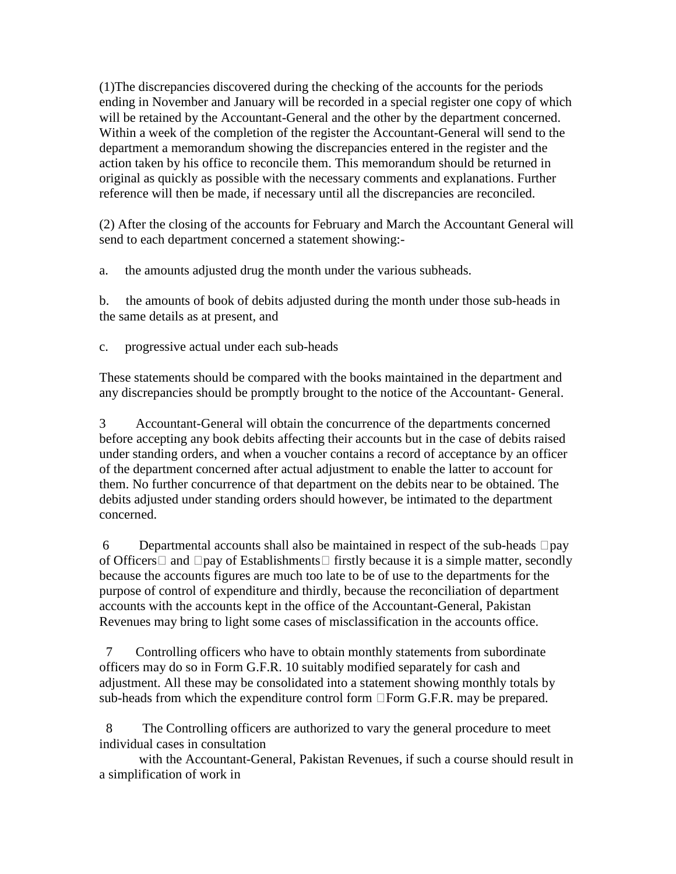(1)The discrepancies discovered during the checking of the accounts for the periods ending in November and January will be recorded in a special register one copy of which will be retained by the Accountant-General and the other by the department concerned. Within a week of the completion of the register the Accountant-General will send to the department a memorandum showing the discrepancies entered in the register and the action taken by his office to reconcile them. This memorandum should be returned in original as quickly as possible with the necessary comments and explanations. Further reference will then be made, if necessary until all the discrepancies are reconciled.

(2) After the closing of the accounts for February and March the Accountant General will send to each department concerned a statement showing:-

a. the amounts adjusted drug the month under the various subheads.

b. the amounts of book of debits adjusted during the month under those sub-heads in the same details as at present, and

c. progressive actual under each sub-heads

These statements should be compared with the books maintained in the department and any discrepancies should be promptly brought to the notice of the Accountant- General.

3 Accountant-General will obtain the concurrence of the departments concerned before accepting any book debits affecting their accounts but in the case of debits raised under standing orders, and when a voucher contains a record of acceptance by an officer of the department concerned after actual adjustment to enable the latter to account for them. No further concurrence of that department on the debits near to be obtained. The debits adjusted under standing orders should however, be intimated to the department concerned.

6 Departmental accounts shall also be maintained in respect of the sub-heads  $\Box$ pay of Officers  $\Box$  and  $\Box$  pay of Establishments  $\Box$  firstly because it is a simple matter, secondly because the accounts figures are much too late to be of use to the departments for the purpose of control of expenditure and thirdly, because the reconciliation of department accounts with the accounts kept in the office of the Accountant-General, Pakistan Revenues may bring to light some cases of misclassification in the accounts office.

 7 Controlling officers who have to obtain monthly statements from subordinate officers may do so in Form G.F.R. 10 suitably modified separately for cash and adjustment. All these may be consolidated into a statement showing monthly totals by sub-heads from which the expenditure control form  $\Box$  Form G.F.R. may be prepared.

 8 The Controlling officers are authorized to vary the general procedure to meet individual cases in consultation

 with the Accountant-General, Pakistan Revenues, if such a course should result in a simplification of work in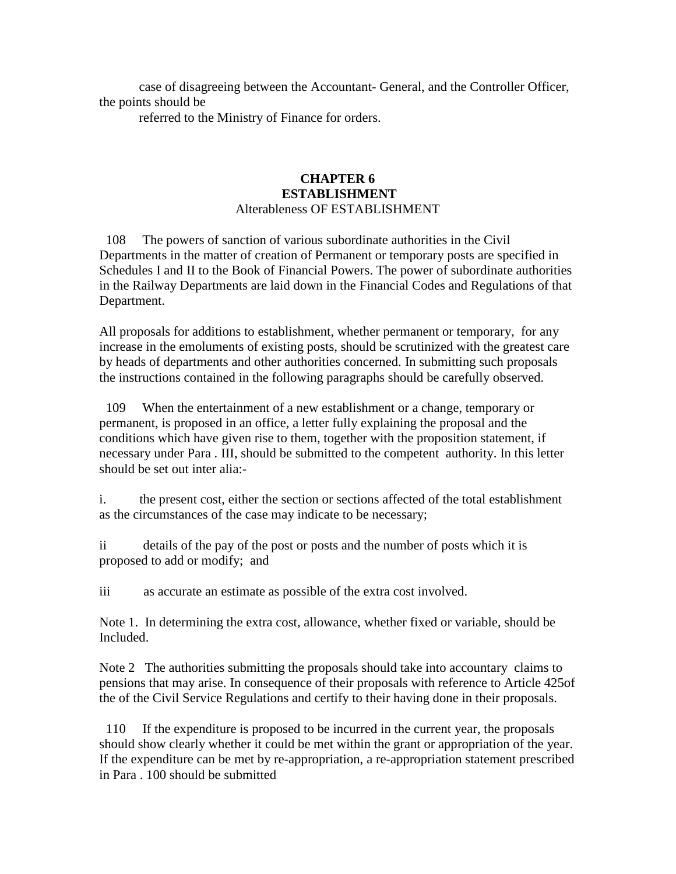case of disagreeing between the Accountant- General, and the Controller Officer, the points should be

referred to the Ministry of Finance for orders.

#### **CHAPTER 6 ESTABLISHMENT**  Alterableness OF ESTABLISHMENT

 108 The powers of sanction of various subordinate authorities in the Civil Departments in the matter of creation of Permanent or temporary posts are specified in Schedules I and II to the Book of Financial Powers. The power of subordinate authorities in the Railway Departments are laid down in the Financial Codes and Regulations of that Department.

All proposals for additions to establishment, whether permanent or temporary, for any increase in the emoluments of existing posts, should be scrutinized with the greatest care by heads of departments and other authorities concerned. In submitting such proposals the instructions contained in the following paragraphs should be carefully observed.

 109 When the entertainment of a new establishment or a change, temporary or permanent, is proposed in an office, a letter fully explaining the proposal and the conditions which have given rise to them, together with the proposition statement, if necessary under Para . III, should be submitted to the competent authority. In this letter should be set out inter alia:-

i. the present cost, either the section or sections affected of the total establishment as the circumstances of the case may indicate to be necessary;

ii details of the pay of the post or posts and the number of posts which it is proposed to add or modify; and

iii as accurate an estimate as possible of the extra cost involved.

Note 1. In determining the extra cost, allowance, whether fixed or variable, should be Included.

Note 2 The authorities submitting the proposals should take into accountary claims to pensions that may arise. In consequence of their proposals with reference to Article 425of the of the Civil Service Regulations and certify to their having done in their proposals.

 110 If the expenditure is proposed to be incurred in the current year, the proposals should show clearly whether it could be met within the grant or appropriation of the year. If the expenditure can be met by re-appropriation, a re-appropriation statement prescribed in Para . 100 should be submitted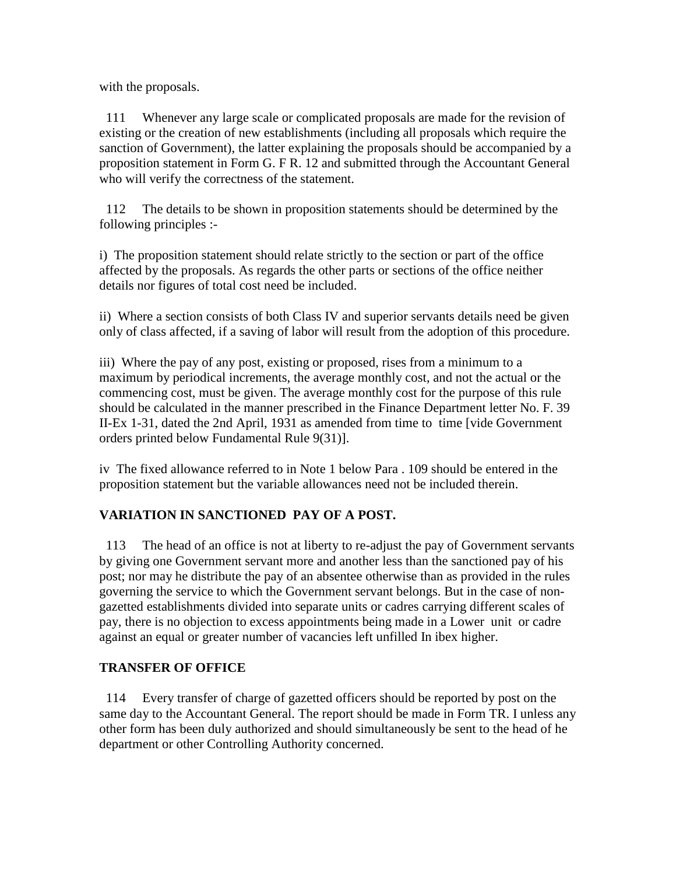with the proposals.

 111 Whenever any large scale or complicated proposals are made for the revision of existing or the creation of new establishments (including all proposals which require the sanction of Government), the latter explaining the proposals should be accompanied by a proposition statement in Form G. F R. 12 and submitted through the Accountant General who will verify the correctness of the statement.

 112 The details to be shown in proposition statements should be determined by the following principles :-

i) The proposition statement should relate strictly to the section or part of the office affected by the proposals. As regards the other parts or sections of the office neither details nor figures of total cost need be included.

ii) Where a section consists of both Class IV and superior servants details need be given only of class affected, if a saving of labor will result from the adoption of this procedure.

iii) Where the pay of any post, existing or proposed, rises from a minimum to a maximum by periodical increments, the average monthly cost, and not the actual or the commencing cost, must be given. The average monthly cost for the purpose of this rule should be calculated in the manner prescribed in the Finance Department letter No. F. 39 II-Ex 1-31, dated the 2nd April, 1931 as amended from time to time [vide Government orders printed below Fundamental Rule 9(31)].

iv The fixed allowance referred to in Note 1 below Para . 109 should be entered in the proposition statement but the variable allowances need not be included therein.

# **VARIATION IN SANCTIONED PAY OF A POST.**

 113 The head of an office is not at liberty to re-adjust the pay of Government servants by giving one Government servant more and another less than the sanctioned pay of his post; nor may he distribute the pay of an absentee otherwise than as provided in the rules governing the service to which the Government servant belongs. But in the case of nongazetted establishments divided into separate units or cadres carrying different scales of pay, there is no objection to excess appointments being made in a Lower unit or cadre against an equal or greater number of vacancies left unfilled In ibex higher.

# **TRANSFER OF OFFICE**

 114 Every transfer of charge of gazetted officers should be reported by post on the same day to the Accountant General. The report should be made in Form TR. I unless any other form has been duly authorized and should simultaneously be sent to the head of he department or other Controlling Authority concerned.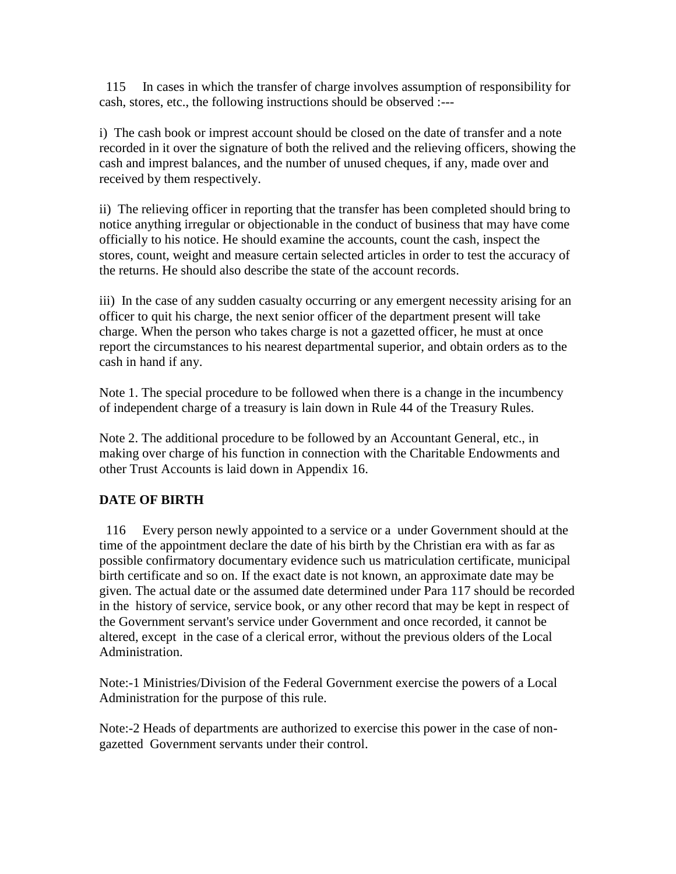115 In cases in which the transfer of charge involves assumption of responsibility for cash, stores, etc., the following instructions should be observed :---

i) The cash book or imprest account should be closed on the date of transfer and a note recorded in it over the signature of both the relived and the relieving officers, showing the cash and imprest balances, and the number of unused cheques, if any, made over and received by them respectively.

ii) The relieving officer in reporting that the transfer has been completed should bring to notice anything irregular or objectionable in the conduct of business that may have come officially to his notice. He should examine the accounts, count the cash, inspect the stores, count, weight and measure certain selected articles in order to test the accuracy of the returns. He should also describe the state of the account records.

iii) In the case of any sudden casualty occurring or any emergent necessity arising for an officer to quit his charge, the next senior officer of the department present will take charge. When the person who takes charge is not a gazetted officer, he must at once report the circumstances to his nearest departmental superior, and obtain orders as to the cash in hand if any.

Note 1. The special procedure to be followed when there is a change in the incumbency of independent charge of a treasury is lain down in Rule 44 of the Treasury Rules.

Note 2. The additional procedure to be followed by an Accountant General, etc., in making over charge of his function in connection with the Charitable Endowments and other Trust Accounts is laid down in Appendix 16.

# **DATE OF BIRTH**

 116 Every person newly appointed to a service or a under Government should at the time of the appointment declare the date of his birth by the Christian era with as far as possible confirmatory documentary evidence such us matriculation certificate, municipal birth certificate and so on. If the exact date is not known, an approximate date may be given. The actual date or the assumed date determined under Para 117 should be recorded in the history of service, service book, or any other record that may be kept in respect of the Government servant's service under Government and once recorded, it cannot be altered, except in the case of a clerical error, without the previous olders of the Local Administration.

Note:-1 Ministries/Division of the Federal Government exercise the powers of a Local Administration for the purpose of this rule.

Note:-2 Heads of departments are authorized to exercise this power in the case of nongazetted Government servants under their control.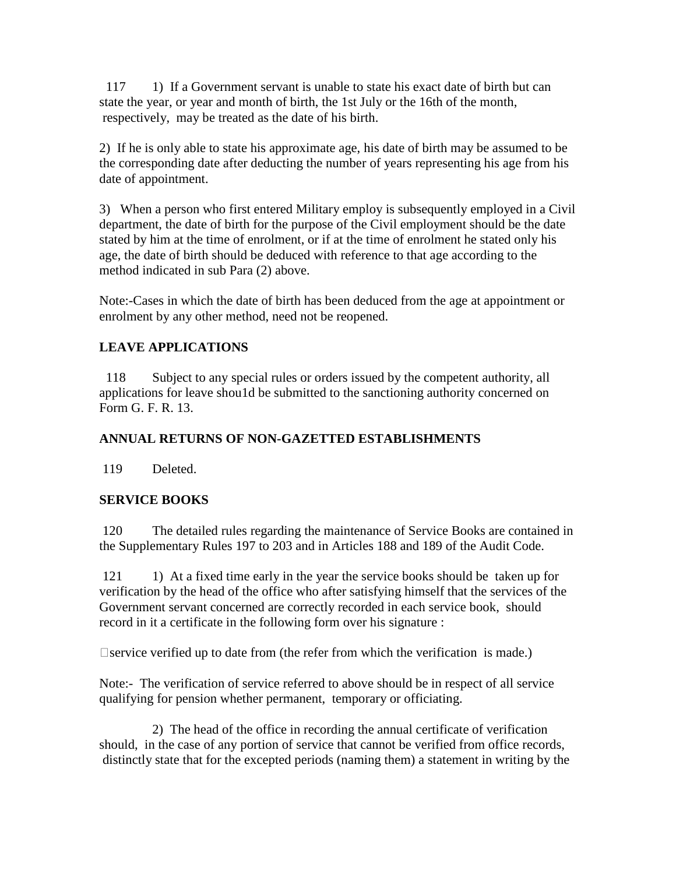117 1) If a Government servant is unable to state his exact date of birth but can state the year, or year and month of birth, the 1st July or the 16th of the month, respectively, may be treated as the date of his birth.

2) If he is only able to state his approximate age, his date of birth may be assumed to be the corresponding date after deducting the number of years representing his age from his date of appointment.

3) When a person who first entered Military employ is subsequently employed in a Civil department, the date of birth for the purpose of the Civil employment should be the date stated by him at the time of enrolment, or if at the time of enrolment he stated only his age, the date of birth should be deduced with reference to that age according to the method indicated in sub Para (2) above.

Note:-Cases in which the date of birth has been deduced from the age at appointment or enrolment by any other method, need not be reopened.

# **LEAVE APPLICATIONS**

 118 Subject to any special rules or orders issued by the competent authority, all applications for leave shou1d be submitted to the sanctioning authority concerned on Form G. F. R. 13.

# **ANNUAL RETURNS OF NON-GAZETTED ESTABLISHMENTS**

119 Deleted.

# **SERVICE BOOKS**

 120 The detailed rules regarding the maintenance of Service Books are contained in the Supplementary Rules 197 to 203 and in Articles 188 and 189 of the Audit Code.

121 1) At a fixed time early in the year the service books should be taken up for verification by the head of the office who after satisfying himself that the services of the Government servant concerned are correctly recorded in each service book, should record in it a certificate in the following form over his signature :

 $\Box$  service verified up to date from (the refer from which the verification is made.)

Note:- The verification of service referred to above should be in respect of all service qualifying for pension whether permanent, temporary or officiating.

 2) The head of the office in recording the annual certificate of verification should, in the case of any portion of service that cannot be verified from office records, distinctly state that for the excepted periods (naming them) a statement in writing by the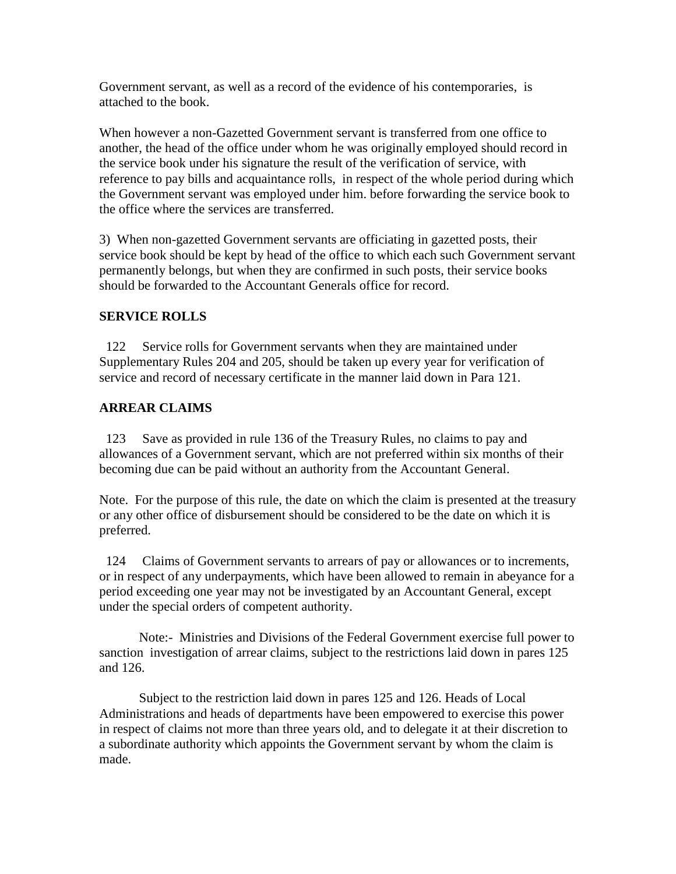Government servant, as well as a record of the evidence of his contemporaries, is attached to the book.

When however a non-Gazetted Government servant is transferred from one office to another, the head of the office under whom he was originally employed should record in the service book under his signature the result of the verification of service, with reference to pay bills and acquaintance rolls, in respect of the whole period during which the Government servant was employed under him. before forwarding the service book to the office where the services are transferred.

3) When non-gazetted Government servants are officiating in gazetted posts, their service book should be kept by head of the office to which each such Government servant permanently belongs, but when they are confirmed in such posts, their service books should be forwarded to the Accountant Generals office for record.

# **SERVICE ROLLS**

 122 Service rolls for Government servants when they are maintained under Supplementary Rules 204 and 205, should be taken up every year for verification of service and record of necessary certificate in the manner laid down in Para 121.

# **ARREAR CLAIMS**

 123 Save as provided in rule 136 of the Treasury Rules, no claims to pay and allowances of a Government servant, which are not preferred within six months of their becoming due can be paid without an authority from the Accountant General.

Note. For the purpose of this rule, the date on which the claim is presented at the treasury or any other office of disbursement should be considered to be the date on which it is preferred.

 124 Claims of Government servants to arrears of pay or allowances or to increments, or in respect of any underpayments, which have been allowed to remain in abeyance for a period exceeding one year may not be investigated by an Accountant General, except under the special orders of competent authority.

 Note:- Ministries and Divisions of the Federal Government exercise full power to sanction investigation of arrear claims, subject to the restrictions laid down in pares 125 and 126.

 Subject to the restriction laid down in pares 125 and 126. Heads of Local Administrations and heads of departments have been empowered to exercise this power in respect of claims not more than three years old, and to delegate it at their discretion to a subordinate authority which appoints the Government servant by whom the claim is made.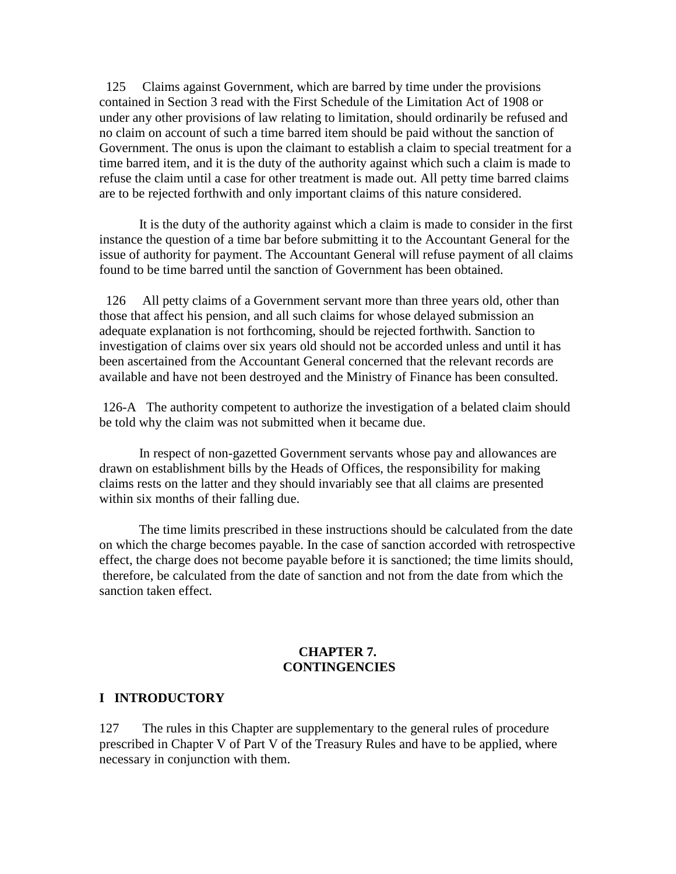125 Claims against Government, which are barred by time under the provisions contained in Section 3 read with the First Schedule of the Limitation Act of 1908 or under any other provisions of law relating to limitation, should ordinarily be refused and no claim on account of such a time barred item should be paid without the sanction of Government. The onus is upon the claimant to establish a claim to special treatment for a time barred item, and it is the duty of the authority against which such a claim is made to refuse the claim until a case for other treatment is made out. All petty time barred claims are to be rejected forthwith and only important claims of this nature considered.

 It is the duty of the authority against which a claim is made to consider in the first instance the question of a time bar before submitting it to the Accountant General for the issue of authority for payment. The Accountant General will refuse payment of all claims found to be time barred until the sanction of Government has been obtained.

 126 All petty claims of a Government servant more than three years old, other than those that affect his pension, and all such claims for whose delayed submission an adequate explanation is not forthcoming, should be rejected forthwith. Sanction to investigation of claims over six years old should not be accorded unless and until it has been ascertained from the Accountant General concerned that the relevant records are available and have not been destroyed and the Ministry of Finance has been consulted.

 126-A The authority competent to authorize the investigation of a belated claim should be told why the claim was not submitted when it became due.

 In respect of non-gazetted Government servants whose pay and allowances are drawn on establishment bills by the Heads of Offices, the responsibility for making claims rests on the latter and they should invariably see that all claims are presented within six months of their falling due.

 The time limits prescribed in these instructions should be calculated from the date on which the charge becomes payable. In the case of sanction accorded with retrospective effect, the charge does not become payable before it is sanctioned; the time limits should, therefore, be calculated from the date of sanction and not from the date from which the sanction taken effect.

#### **CHAPTER 7. CONTINGENCIES**

#### **I INTRODUCTORY**

127 The rules in this Chapter are supplementary to the general rules of procedure prescribed in Chapter V of Part V of the Treasury Rules and have to be applied, where necessary in conjunction with them.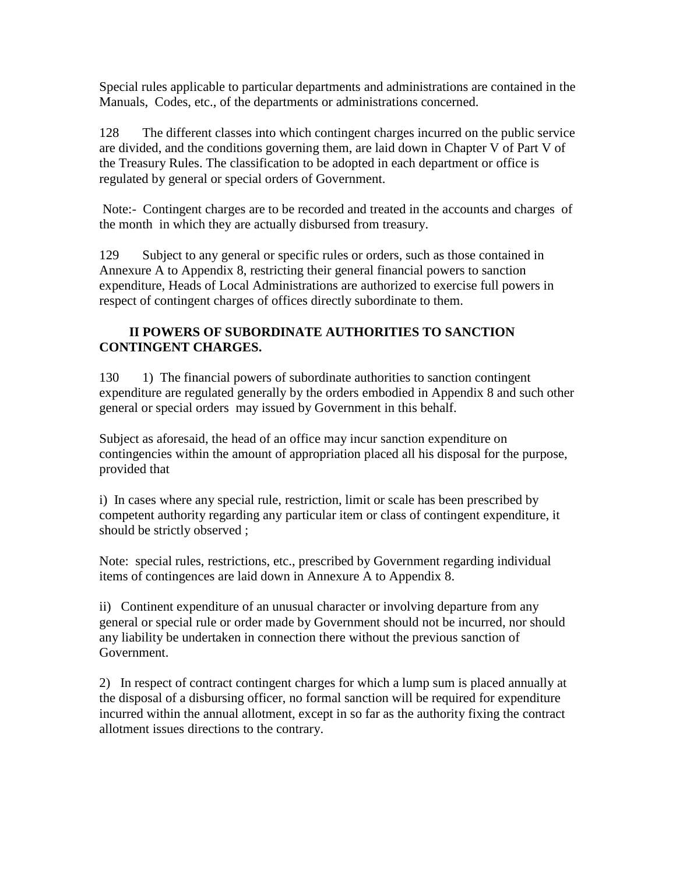Special rules applicable to particular departments and administrations are contained in the Manuals, Codes, etc., of the departments or administrations concerned.

128 The different classes into which contingent charges incurred on the public service are divided, and the conditions governing them, are laid down in Chapter V of Part V of the Treasury Rules. The classification to be adopted in each department or office is regulated by general or special orders of Government.

 Note:- Contingent charges are to be recorded and treated in the accounts and charges of the month in which they are actually disbursed from treasury.

129 Subject to any general or specific rules or orders, such as those contained in Annexure A to Appendix 8, restricting their general financial powers to sanction expenditure, Heads of Local Administrations are authorized to exercise full powers in respect of contingent charges of offices directly subordinate to them.

# **II POWERS OF SUBORDINATE AUTHORITIES TO SANCTION CONTINGENT CHARGES.**

130 1) The financial powers of subordinate authorities to sanction contingent expenditure are regulated generally by the orders embodied in Appendix 8 and such other general or special orders may issued by Government in this behalf.

Subject as aforesaid, the head of an office may incur sanction expenditure on contingencies within the amount of appropriation placed all his disposal for the purpose, provided that

i) In cases where any special rule, restriction, limit or scale has been prescribed by competent authority regarding any particular item or class of contingent expenditure, it should be strictly observed ;

Note: special rules, restrictions, etc., prescribed by Government regarding individual items of contingences are laid down in Annexure A to Appendix 8.

ii) Continent expenditure of an unusual character or involving departure from any general or special rule or order made by Government should not be incurred, nor should any liability be undertaken in connection there without the previous sanction of Government.

2) In respect of contract contingent charges for which a lump sum is placed annually at the disposal of a disbursing officer, no formal sanction will be required for expenditure incurred within the annual allotment, except in so far as the authority fixing the contract allotment issues directions to the contrary.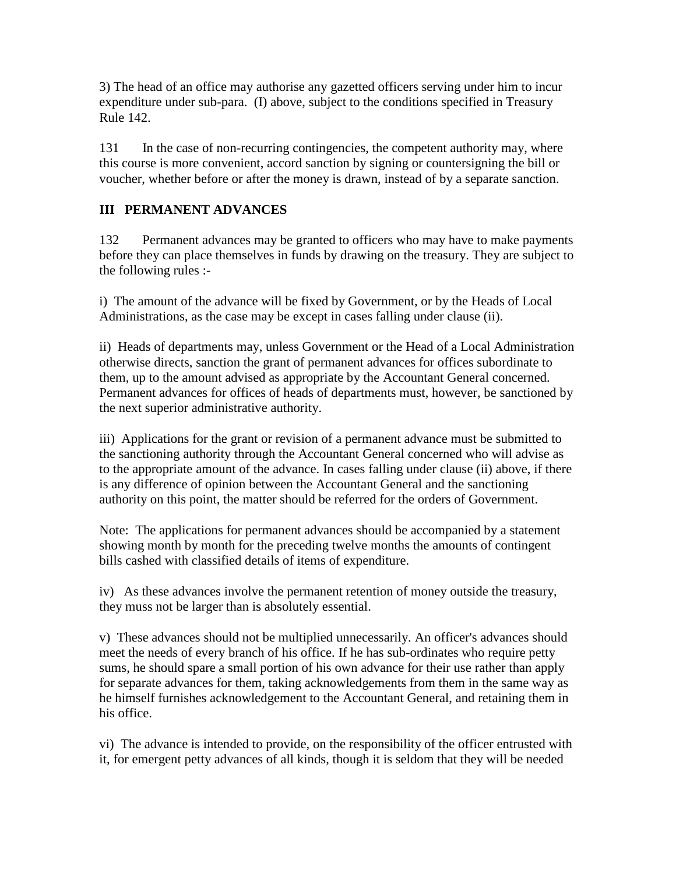3) The head of an office may authorise any gazetted officers serving under him to incur expenditure under sub-para. (I) above, subject to the conditions specified in Treasury Rule 142.

131 In the case of non-recurring contingencies, the competent authority may, where this course is more convenient, accord sanction by signing or countersigning the bill or voucher, whether before or after the money is drawn, instead of by a separate sanction.

# **III PERMANENT ADVANCES**

132 Permanent advances may be granted to officers who may have to make payments before they can place themselves in funds by drawing on the treasury. They are subject to the following rules :-

i) The amount of the advance will be fixed by Government, or by the Heads of Local Administrations, as the case may be except in cases falling under clause (ii).

ii) Heads of departments may, unless Government or the Head of a Local Administration otherwise directs, sanction the grant of permanent advances for offices subordinate to them, up to the amount advised as appropriate by the Accountant General concerned. Permanent advances for offices of heads of departments must, however, be sanctioned by the next superior administrative authority.

iii) Applications for the grant or revision of a permanent advance must be submitted to the sanctioning authority through the Accountant General concerned who will advise as to the appropriate amount of the advance. In cases falling under clause (ii) above, if there is any difference of opinion between the Accountant General and the sanctioning authority on this point, the matter should be referred for the orders of Government.

Note: The applications for permanent advances should be accompanied by a statement showing month by month for the preceding twelve months the amounts of contingent bills cashed with classified details of items of expenditure.

iv) As these advances involve the permanent retention of money outside the treasury, they muss not be larger than is absolutely essential.

v) These advances should not be multiplied unnecessarily. An officer's advances should meet the needs of every branch of his office. If he has sub-ordinates who require petty sums, he should spare a small portion of his own advance for their use rather than apply for separate advances for them, taking acknowledgements from them in the same way as he himself furnishes acknowledgement to the Accountant General, and retaining them in his office.

vi) The advance is intended to provide, on the responsibility of the officer entrusted with it, for emergent petty advances of all kinds, though it is seldom that they will be needed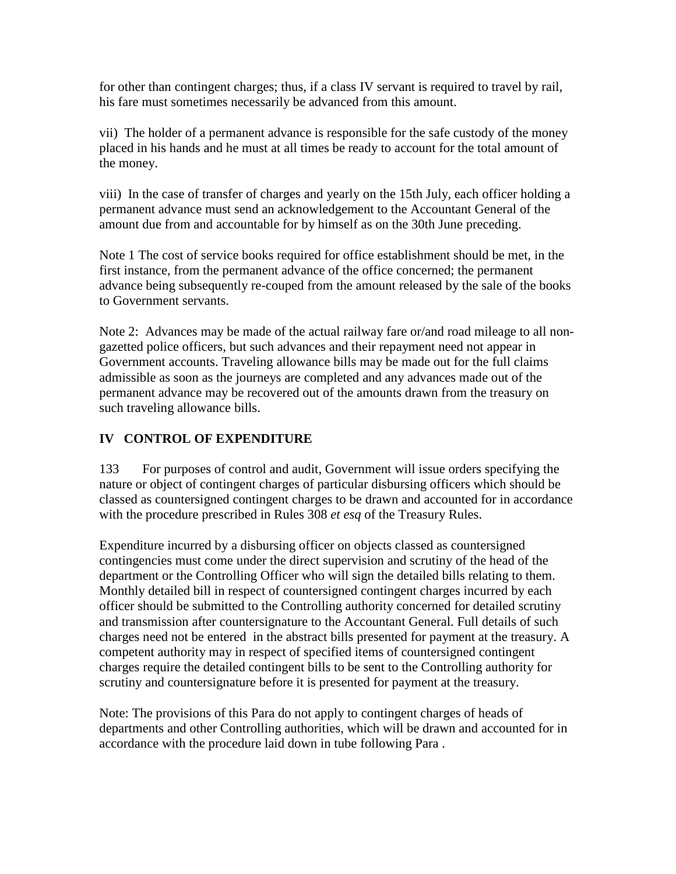for other than contingent charges; thus, if a class IV servant is required to travel by rail, his fare must sometimes necessarily be advanced from this amount.

vii) The holder of a permanent advance is responsible for the safe custody of the money placed in his hands and he must at all times be ready to account for the total amount of the money.

viii) In the case of transfer of charges and yearly on the 15th July, each officer holding a permanent advance must send an acknowledgement to the Accountant General of the amount due from and accountable for by himself as on the 30th June preceding.

Note 1 The cost of service books required for office establishment should be met, in the first instance, from the permanent advance of the office concerned; the permanent advance being subsequently re-couped from the amount released by the sale of the books to Government servants.

Note 2: Advances may be made of the actual railway fare or/and road mileage to all nongazetted police officers, but such advances and their repayment need not appear in Government accounts. Traveling allowance bills may be made out for the full claims admissible as soon as the journeys are completed and any advances made out of the permanent advance may be recovered out of the amounts drawn from the treasury on such traveling allowance bills.

# **IV CONTROL OF EXPENDITURE**

133 For purposes of control and audit, Government will issue orders specifying the nature or object of contingent charges of particular disbursing officers which should be classed as countersigned contingent charges to be drawn and accounted for in accordance with the procedure prescribed in Rules 308 *et esq* of the Treasury Rules.

Expenditure incurred by a disbursing officer on objects classed as countersigned contingencies must come under the direct supervision and scrutiny of the head of the department or the Controlling Officer who will sign the detailed bills relating to them. Monthly detailed bill in respect of countersigned contingent charges incurred by each officer should be submitted to the Controlling authority concerned for detailed scrutiny and transmission after countersignature to the Accountant General. Full details of such charges need not be entered in the abstract bills presented for payment at the treasury. A competent authority may in respect of specified items of countersigned contingent charges require the detailed contingent bills to be sent to the Controlling authority for scrutiny and countersignature before it is presented for payment at the treasury.

Note: The provisions of this Para do not apply to contingent charges of heads of departments and other Controlling authorities, which will be drawn and accounted for in accordance with the procedure laid down in tube following Para .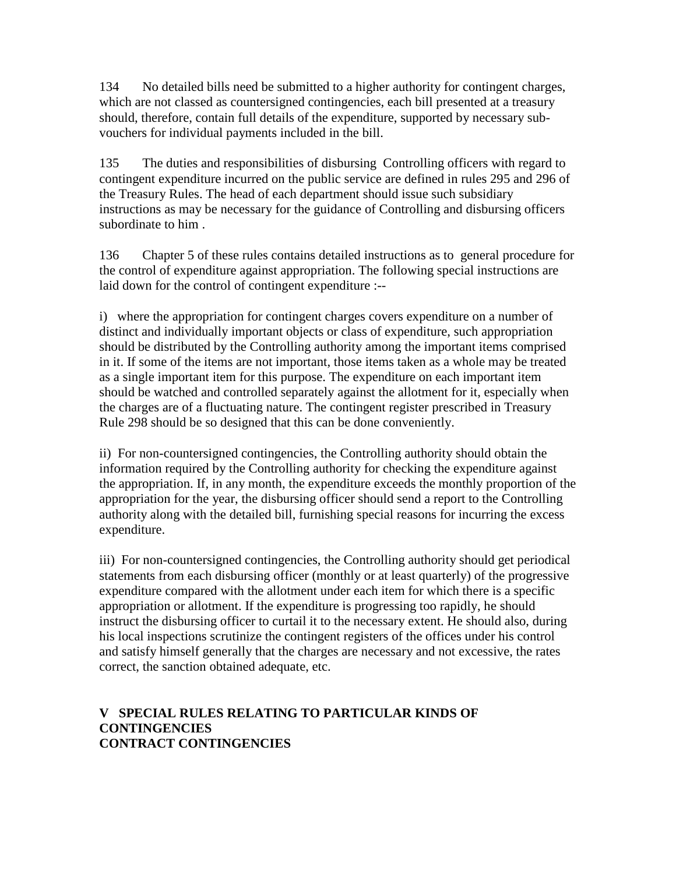134 No detailed bills need be submitted to a higher authority for contingent charges, which are not classed as countersigned contingencies, each bill presented at a treasury should, therefore, contain full details of the expenditure, supported by necessary subvouchers for individual payments included in the bill.

135 The duties and responsibilities of disbursing Controlling officers with regard to contingent expenditure incurred on the public service are defined in rules 295 and 296 of the Treasury Rules. The head of each department should issue such subsidiary instructions as may be necessary for the guidance of Controlling and disbursing officers subordinate to him .

136 Chapter 5 of these rules contains detailed instructions as to general procedure for the control of expenditure against appropriation. The following special instructions are laid down for the control of contingent expenditure :--

i) where the appropriation for contingent charges covers expenditure on a number of distinct and individually important objects or class of expenditure, such appropriation should be distributed by the Controlling authority among the important items comprised in it. If some of the items are not important, those items taken as a whole may be treated as a single important item for this purpose. The expenditure on each important item should be watched and controlled separately against the allotment for it, especially when the charges are of a fluctuating nature. The contingent register prescribed in Treasury Rule 298 should be so designed that this can be done conveniently.

ii) For non-countersigned contingencies, the Controlling authority should obtain the information required by the Controlling authority for checking the expenditure against the appropriation. If, in any month, the expenditure exceeds the monthly proportion of the appropriation for the year, the disbursing officer should send a report to the Controlling authority along with the detailed bill, furnishing special reasons for incurring the excess expenditure.

iii) For non-countersigned contingencies, the Controlling authority should get periodical statements from each disbursing officer (monthly or at least quarterly) of the progressive expenditure compared with the allotment under each item for which there is a specific appropriation or allotment. If the expenditure is progressing too rapidly, he should instruct the disbursing officer to curtail it to the necessary extent. He should also, during his local inspections scrutinize the contingent registers of the offices under his control and satisfy himself generally that the charges are necessary and not excessive, the rates correct, the sanction obtained adequate, etc.

# **V SPECIAL RULES RELATING TO PARTICULAR KINDS OF CONTINGENCIES CONTRACT CONTINGENCIES**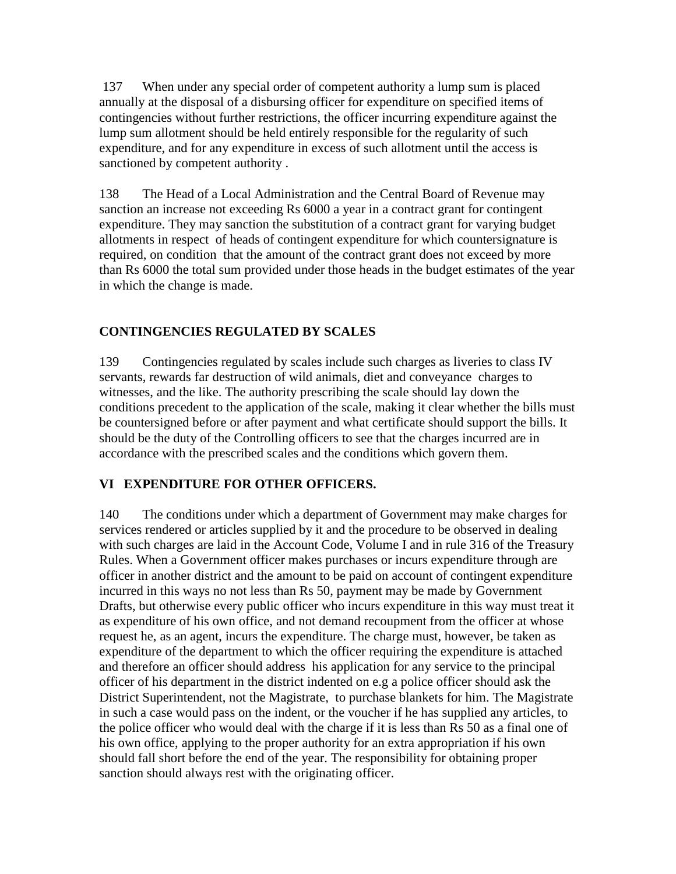137 When under any special order of competent authority a lump sum is placed annually at the disposal of a disbursing officer for expenditure on specified items of contingencies without further restrictions, the officer incurring expenditure against the lump sum allotment should be held entirely responsible for the regularity of such expenditure, and for any expenditure in excess of such allotment until the access is sanctioned by competent authority .

138 The Head of a Local Administration and the Central Board of Revenue may sanction an increase not exceeding Rs 6000 a year in a contract grant for contingent expenditure. They may sanction the substitution of a contract grant for varying budget allotments in respect of heads of contingent expenditure for which countersignature is required, on condition that the amount of the contract grant does not exceed by more than Rs 6000 the total sum provided under those heads in the budget estimates of the year in which the change is made.

# **CONTINGENCIES REGULATED BY SCALES**

139 Contingencies regulated by scales include such charges as liveries to class IV servants, rewards far destruction of wild animals, diet and conveyance charges to witnesses, and the like. The authority prescribing the scale should lay down the conditions precedent to the application of the scale, making it clear whether the bills must be countersigned before or after payment and what certificate should support the bills. It should be the duty of the Controlling officers to see that the charges incurred are in accordance with the prescribed scales and the conditions which govern them.

# **VI EXPENDITURE FOR OTHER OFFICERS.**

140 The conditions under which a department of Government may make charges for services rendered or articles supplied by it and the procedure to be observed in dealing with such charges are laid in the Account Code, Volume I and in rule 316 of the Treasury Rules. When a Government officer makes purchases or incurs expenditure through are officer in another district and the amount to be paid on account of contingent expenditure incurred in this ways no not less than Rs 50, payment may be made by Government Drafts, but otherwise every public officer who incurs expenditure in this way must treat it as expenditure of his own office, and not demand recoupment from the officer at whose request he, as an agent, incurs the expenditure. The charge must, however, be taken as expenditure of the department to which the officer requiring the expenditure is attached and therefore an officer should address his application for any service to the principal officer of his department in the district indented on e.g a police officer should ask the District Superintendent, not the Magistrate, to purchase blankets for him. The Magistrate in such a case would pass on the indent, or the voucher if he has supplied any articles, to the police officer who would deal with the charge if it is less than Rs 50 as a final one of his own office, applying to the proper authority for an extra appropriation if his own should fall short before the end of the year. The responsibility for obtaining proper sanction should always rest with the originating officer.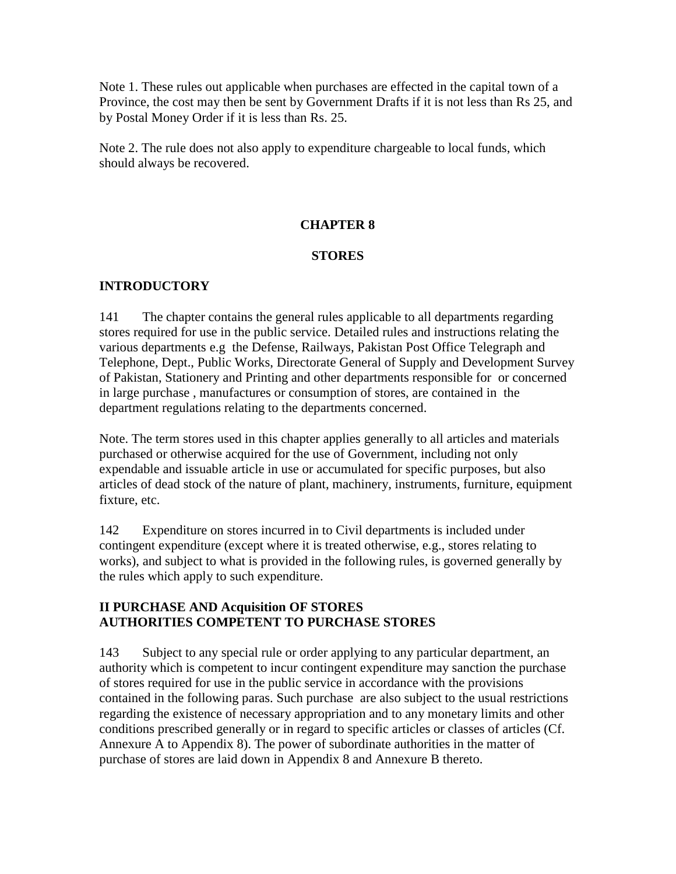Note 1. These rules out applicable when purchases are effected in the capital town of a Province, the cost may then be sent by Government Drafts if it is not less than Rs 25, and by Postal Money Order if it is less than Rs. 25.

Note 2. The rule does not also apply to expenditure chargeable to local funds, which should always be recovered.

# **CHAPTER 8**

# **STORES**

# **INTRODUCTORY**

141 The chapter contains the general rules applicable to all departments regarding stores required for use in the public service. Detailed rules and instructions relating the various departments e.g the Defense, Railways, Pakistan Post Office Telegraph and Telephone, Dept., Public Works, Directorate General of Supply and Development Survey of Pakistan, Stationery and Printing and other departments responsible for or concerned in large purchase , manufactures or consumption of stores, are contained in the department regulations relating to the departments concerned.

Note. The term stores used in this chapter applies generally to all articles and materials purchased or otherwise acquired for the use of Government, including not only expendable and issuable article in use or accumulated for specific purposes, but also articles of dead stock of the nature of plant, machinery, instruments, furniture, equipment fixture, etc.

142 Expenditure on stores incurred in to Civil departments is included under contingent expenditure (except where it is treated otherwise, e.g., stores relating to works), and subject to what is provided in the following rules, is governed generally by the rules which apply to such expenditure.

# **II PURCHASE AND Acquisition OF STORES AUTHORITIES COMPETENT TO PURCHASE STORES**

143 Subject to any special rule or order applying to any particular department, an authority which is competent to incur contingent expenditure may sanction the purchase of stores required for use in the public service in accordance with the provisions contained in the following paras. Such purchase are also subject to the usual restrictions regarding the existence of necessary appropriation and to any monetary limits and other conditions prescribed generally or in regard to specific articles or classes of articles (Cf. Annexure A to Appendix 8). The power of subordinate authorities in the matter of purchase of stores are laid down in Appendix 8 and Annexure B thereto.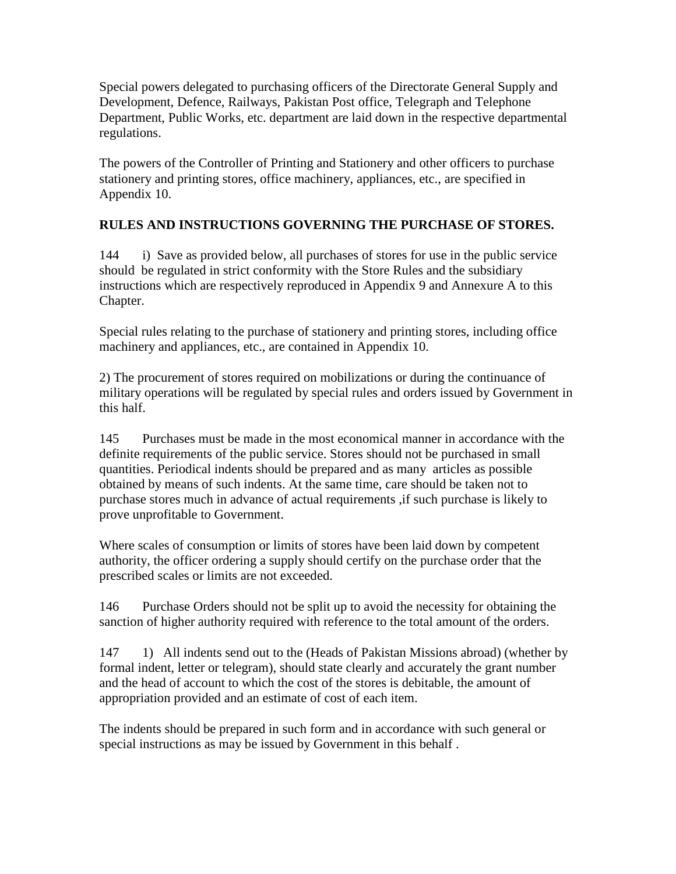Special powers delegated to purchasing officers of the Directorate General Supply and Development, Defence, Railways, Pakistan Post office, Telegraph and Telephone Department, Public Works, etc. department are laid down in the respective departmental regulations.

The powers of the Controller of Printing and Stationery and other officers to purchase stationery and printing stores, office machinery, appliances, etc., are specified in Appendix 10.

# **RULES AND INSTRUCTIONS GOVERNING THE PURCHASE OF STORES.**

144 i) Save as provided below, all purchases of stores for use in the public service should be regulated in strict conformity with the Store Rules and the subsidiary instructions which are respectively reproduced in Appendix 9 and Annexure A to this Chapter.

Special rules relating to the purchase of stationery and printing stores, including office machinery and appliances, etc., are contained in Appendix 10.

2) The procurement of stores required on mobilizations or during the continuance of military operations will be regulated by special rules and orders issued by Government in this half.

145 Purchases must be made in the most economical manner in accordance with the definite requirements of the public service. Stores should not be purchased in small quantities. Periodical indents should be prepared and as many articles as possible obtained by means of such indents. At the same time, care should be taken not to purchase stores much in advance of actual requirements ,if such purchase is likely to prove unprofitable to Government.

Where scales of consumption or limits of stores have been laid down by competent authority, the officer ordering a supply should certify on the purchase order that the prescribed scales or limits are not exceeded.

146 Purchase Orders should not be split up to avoid the necessity for obtaining the sanction of higher authority required with reference to the total amount of the orders.

147 1) All indents send out to the (Heads of Pakistan Missions abroad) (whether by formal indent, letter or telegram), should state clearly and accurately the grant number and the head of account to which the cost of the stores is debitable, the amount of appropriation provided and an estimate of cost of each item.

The indents should be prepared in such form and in accordance with such general or special instructions as may be issued by Government in this behalf .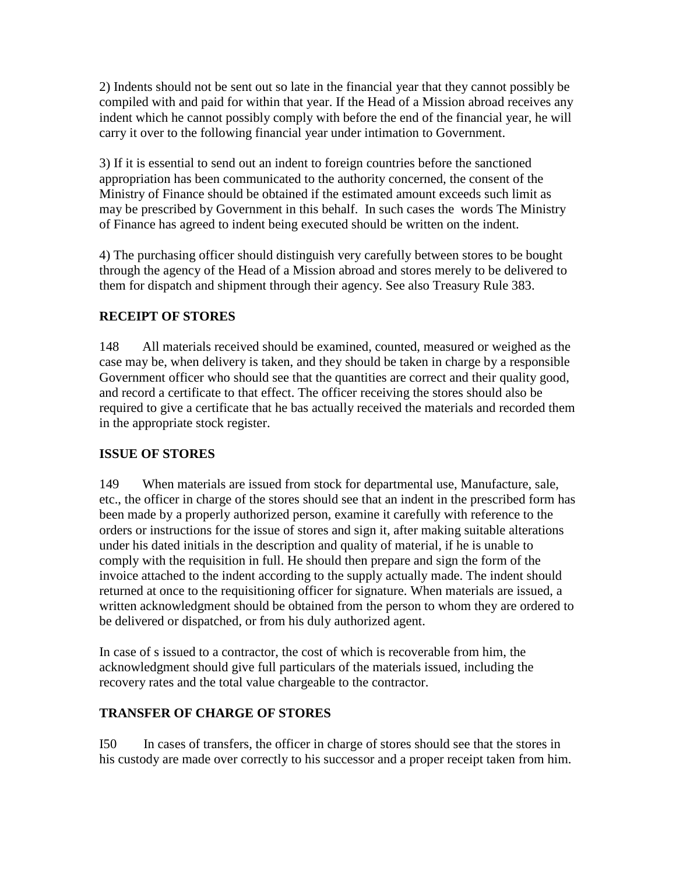2) Indents should not be sent out so late in the financial year that they cannot possibly be compiled with and paid for within that year. If the Head of a Mission abroad receives any indent which he cannot possibly comply with before the end of the financial year, he will carry it over to the following financial year under intimation to Government.

3) If it is essential to send out an indent to foreign countries before the sanctioned appropriation has been communicated to the authority concerned, the consent of the Ministry of Finance should be obtained if the estimated amount exceeds such limit as may be prescribed by Government in this behalf. In such cases the words The Ministry of Finance has agreed to indent being executed should be written on the indent.

4) The purchasing officer should distinguish very carefully between stores to be bought through the agency of the Head of a Mission abroad and stores merely to be delivered to them for dispatch and shipment through their agency. See also Treasury Rule 383.

# **RECEIPT OF STORES**

148 All materials received should be examined, counted, measured or weighed as the case may be, when delivery is taken, and they should be taken in charge by a responsible Government officer who should see that the quantities are correct and their quality good, and record a certificate to that effect. The officer receiving the stores should also be required to give a certificate that he bas actually received the materials and recorded them in the appropriate stock register.

# **ISSUE OF STORES**

149 When materials are issued from stock for departmental use, Manufacture, sale, etc., the officer in charge of the stores should see that an indent in the prescribed form has been made by a properly authorized person, examine it carefully with reference to the orders or instructions for the issue of stores and sign it, after making suitable alterations under his dated initials in the description and quality of material, if he is unable to comply with the requisition in full. He should then prepare and sign the form of the invoice attached to the indent according to the supply actually made. The indent should returned at once to the requisitioning officer for signature. When materials are issued, a written acknowledgment should be obtained from the person to whom they are ordered to be delivered or dispatched, or from his duly authorized agent.

In case of s issued to a contractor, the cost of which is recoverable from him, the acknowledgment should give full particulars of the materials issued, including the recovery rates and the total value chargeable to the contractor.

# **TRANSFER OF CHARGE OF STORES**

I50 In cases of transfers, the officer in charge of stores should see that the stores in his custody are made over correctly to his successor and a proper receipt taken from him.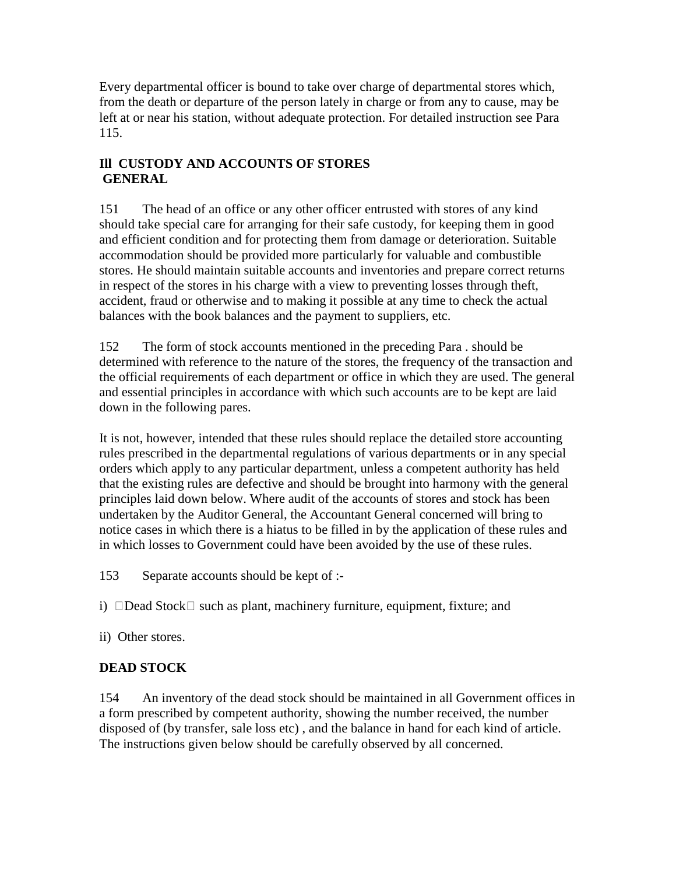Every departmental officer is bound to take over charge of departmental stores which, from the death or departure of the person lately in charge or from any to cause, may be left at or near his station, without adequate protection. For detailed instruction see Para 115.

# **Ill CUSTODY AND ACCOUNTS OF STORES GENERAL**

151 The head of an office or any other officer entrusted with stores of any kind should take special care for arranging for their safe custody, for keeping them in good and efficient condition and for protecting them from damage or deterioration. Suitable accommodation should be provided more particularly for valuable and combustible stores. He should maintain suitable accounts and inventories and prepare correct returns in respect of the stores in his charge with a view to preventing losses through theft, accident, fraud or otherwise and to making it possible at any time to check the actual balances with the book balances and the payment to suppliers, etc.

152 The form of stock accounts mentioned in the preceding Para . should be determined with reference to the nature of the stores, the frequency of the transaction and the official requirements of each department or office in which they are used. The general and essential principles in accordance with which such accounts are to be kept are laid down in the following pares.

It is not, however, intended that these rules should replace the detailed store accounting rules prescribed in the departmental regulations of various departments or in any special orders which apply to any particular department, unless a competent authority has held that the existing rules are defective and should be brought into harmony with the general principles laid down below. Where audit of the accounts of stores and stock has been undertaken by the Auditor General, the Accountant General concerned will bring to notice cases in which there is a hiatus to be filled in by the application of these rules and in which losses to Government could have been avoided by the use of these rules.

153 Separate accounts should be kept of :-

i)  $\Box$ Dead Stock $\Box$  such as plant, machinery furniture, equipment, fixture; and

ii) Other stores.

# **DEAD STOCK**

154 An inventory of the dead stock should be maintained in all Government offices in a form prescribed by competent authority, showing the number received, the number disposed of (by transfer, sale loss etc) , and the balance in hand for each kind of article. The instructions given below should be carefully observed by all concerned.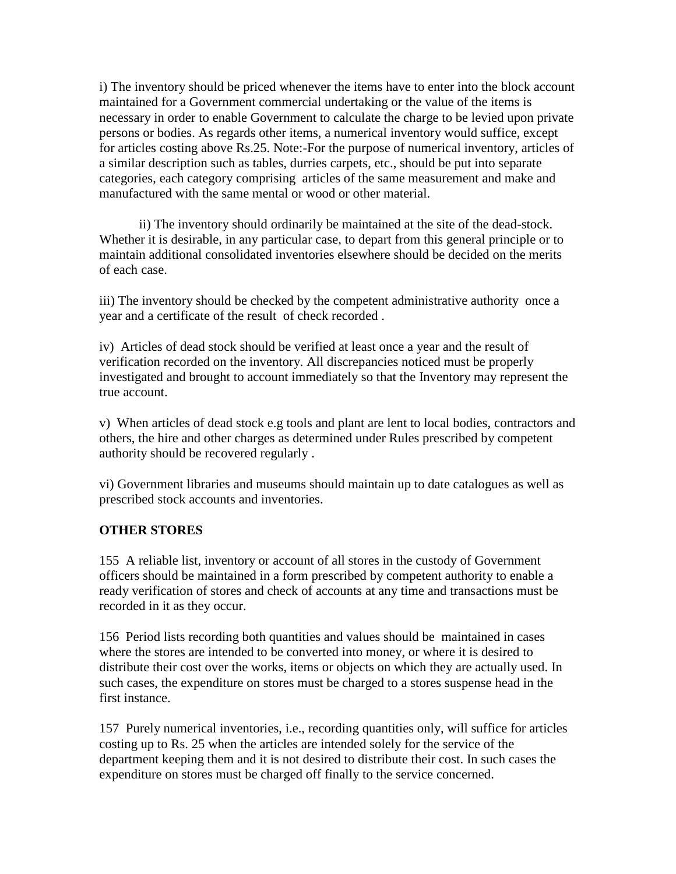i) The inventory should be priced whenever the items have to enter into the block account maintained for a Government commercial undertaking or the value of the items is necessary in order to enable Government to calculate the charge to be levied upon private persons or bodies. As regards other items, a numerical inventory would suffice, except for articles costing above Rs.25. Note:-For the purpose of numerical inventory, articles of a similar description such as tables, durries carpets, etc., should be put into separate categories, each category comprising articles of the same measurement and make and manufactured with the same mental or wood or other material.

 ii) The inventory should ordinarily be maintained at the site of the dead-stock. Whether it is desirable, in any particular case, to depart from this general principle or to maintain additional consolidated inventories elsewhere should be decided on the merits of each case.

iii) The inventory should be checked by the competent administrative authority once a year and a certificate of the result of check recorded .

iv) Articles of dead stock should be verified at least once a year and the result of verification recorded on the inventory. All discrepancies noticed must be properly investigated and brought to account immediately so that the Inventory may represent the true account.

v) When articles of dead stock e.g tools and plant are lent to local bodies, contractors and others, the hire and other charges as determined under Rules prescribed by competent authority should be recovered regularly .

vi) Government libraries and museums should maintain up to date catalogues as well as prescribed stock accounts and inventories.

# **OTHER STORES**

155 A reliable list, inventory or account of all stores in the custody of Government officers should be maintained in a form prescribed by competent authority to enable a ready verification of stores and check of accounts at any time and transactions must be recorded in it as they occur.

156 Period lists recording both quantities and values should be maintained in cases where the stores are intended to be converted into money, or where it is desired to distribute their cost over the works, items or objects on which they are actually used. In such cases, the expenditure on stores must be charged to a stores suspense head in the first instance.

157 Purely numerical inventories, i.e., recording quantities only, will suffice for articles costing up to Rs. 25 when the articles are intended solely for the service of the department keeping them and it is not desired to distribute their cost. In such cases the expenditure on stores must be charged off finally to the service concerned.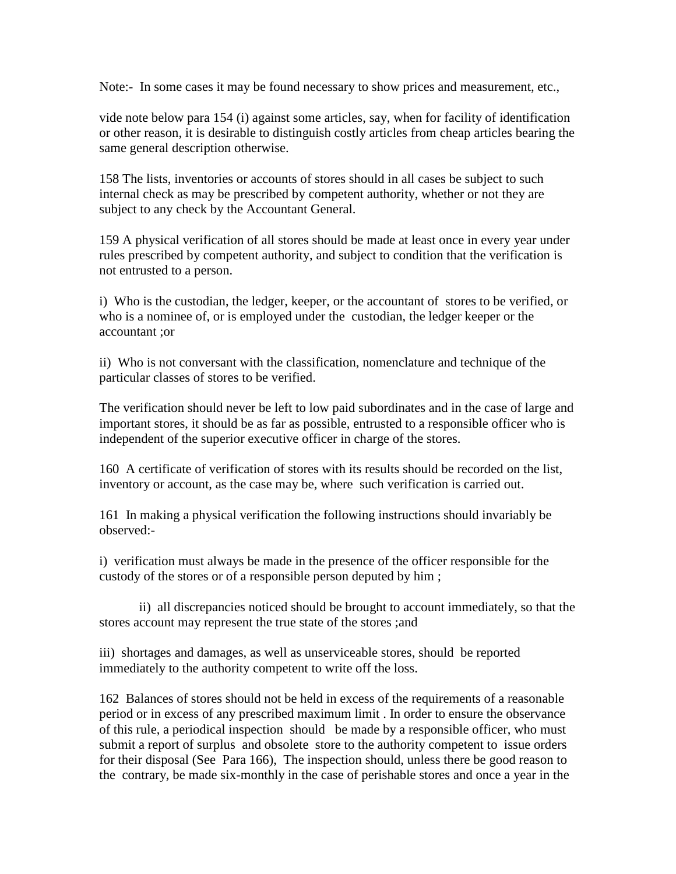Note:- In some cases it may be found necessary to show prices and measurement, etc.,

vide note below para 154 (i) against some articles, say, when for facility of identification or other reason, it is desirable to distinguish costly articles from cheap articles bearing the same general description otherwise.

158 The lists, inventories or accounts of stores should in all cases be subject to such internal check as may be prescribed by competent authority, whether or not they are subject to any check by the Accountant General.

159 A physical verification of all stores should be made at least once in every year under rules prescribed by competent authority, and subject to condition that the verification is not entrusted to a person.

i) Who is the custodian, the ledger, keeper, or the accountant of stores to be verified, or who is a nominee of, or is employed under the custodian, the ledger keeper or the accountant ;or

ii) Who is not conversant with the classification, nomenclature and technique of the particular classes of stores to be verified.

The verification should never be left to low paid subordinates and in the case of large and important stores, it should be as far as possible, entrusted to a responsible officer who is independent of the superior executive officer in charge of the stores.

160 A certificate of verification of stores with its results should be recorded on the list, inventory or account, as the case may be, where such verification is carried out.

161 In making a physical verification the following instructions should invariably be observed:-

i) verification must always be made in the presence of the officer responsible for the custody of the stores or of a responsible person deputed by him ;

 ii) all discrepancies noticed should be brought to account immediately, so that the stores account may represent the true state of the stores ;and

iii) shortages and damages, as well as unserviceable stores, should be reported immediately to the authority competent to write off the loss.

162 Balances of stores should not be held in excess of the requirements of a reasonable period or in excess of any prescribed maximum limit . In order to ensure the observance of this rule, a periodical inspection should be made by a responsible officer, who must submit a report of surplus and obsolete store to the authority competent to issue orders for their disposal (See Para 166), The inspection should, unless there be good reason to the contrary, be made six-monthly in the case of perishable stores and once a year in the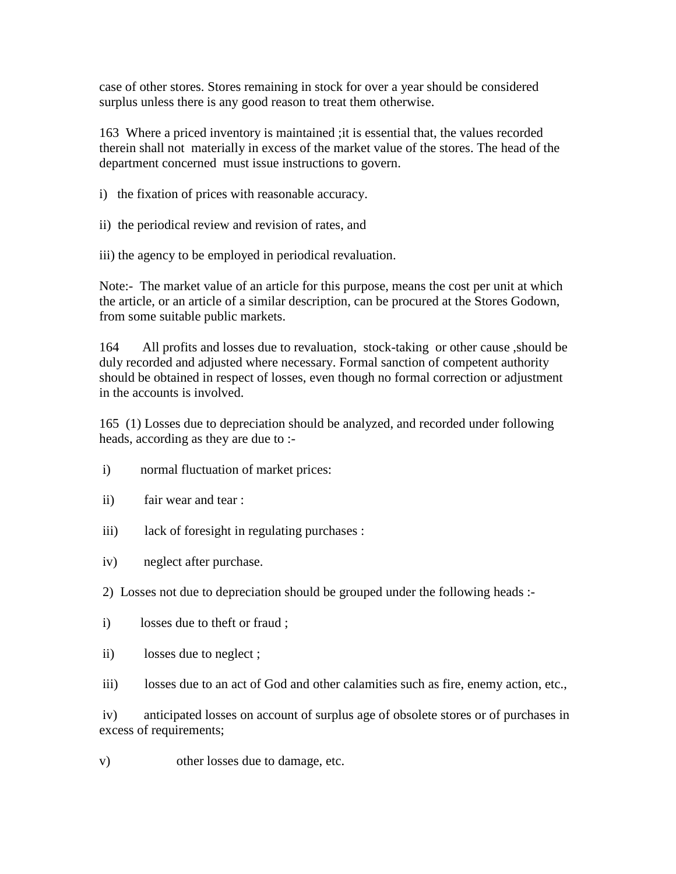case of other stores. Stores remaining in stock for over a year should be considered surplus unless there is any good reason to treat them otherwise.

163 Where a priced inventory is maintained ;it is essential that, the values recorded therein shall not materially in excess of the market value of the stores. The head of the department concerned must issue instructions to govern.

i) the fixation of prices with reasonable accuracy.

ii) the periodical review and revision of rates, and

iii) the agency to be employed in periodical revaluation.

Note:- The market value of an article for this purpose, means the cost per unit at which the article, or an article of a similar description, can be procured at the Stores Godown, from some suitable public markets.

164 All profits and losses due to revaluation, stock-taking or other cause ,should be duly recorded and adjusted where necessary. Formal sanction of competent authority should be obtained in respect of losses, even though no formal correction or adjustment in the accounts is involved.

165 (1) Losses due to depreciation should be analyzed, and recorded under following heads, according as they are due to :-

- i) normal fluctuation of market prices:
- ii) fair wear and tear :
- iii) lack of foresight in regulating purchases :
- iv) neglect after purchase.
- 2) Losses not due to depreciation should be grouped under the following heads :-
- i) losses due to theft or fraud ;
- ii) losses due to neglect ;
- iii) losses due to an act of God and other calamities such as fire, enemy action, etc.,

 iv) anticipated losses on account of surplus age of obsolete stores or of purchases in excess of requirements;

v) other losses due to damage, etc.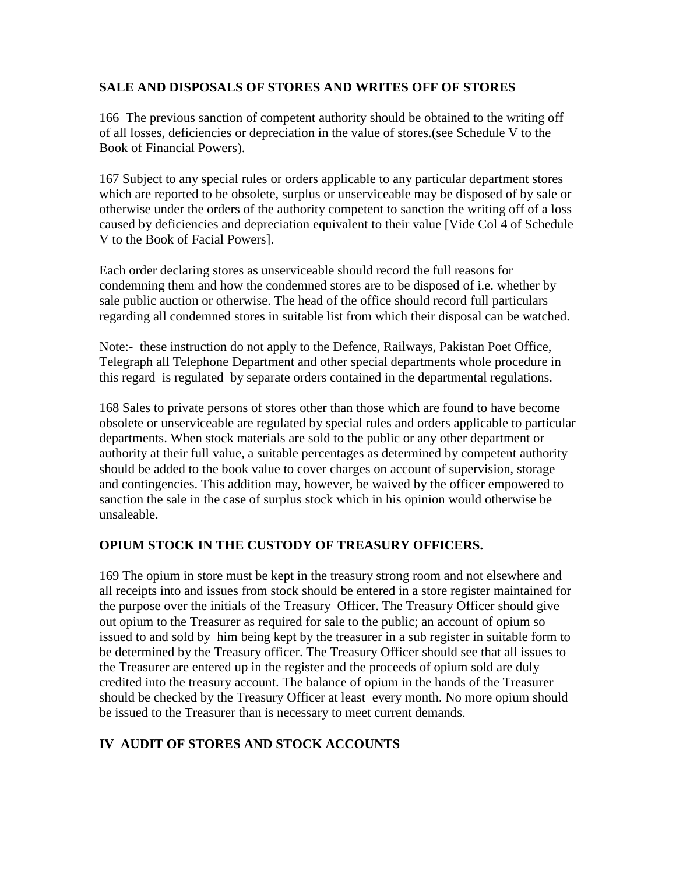# **SALE AND DISPOSALS OF STORES AND WRITES OFF OF STORES**

166 The previous sanction of competent authority should be obtained to the writing off of all losses, deficiencies or depreciation in the value of stores.(see Schedule V to the Book of Financial Powers).

167 Subject to any special rules or orders applicable to any particular department stores which are reported to be obsolete, surplus or unserviceable may be disposed of by sale or otherwise under the orders of the authority competent to sanction the writing off of a loss caused by deficiencies and depreciation equivalent to their value [Vide Col 4 of Schedule V to the Book of Facial Powers].

Each order declaring stores as unserviceable should record the full reasons for condemning them and how the condemned stores are to be disposed of i.e. whether by sale public auction or otherwise. The head of the office should record full particulars regarding all condemned stores in suitable list from which their disposal can be watched.

Note:- these instruction do not apply to the Defence, Railways, Pakistan Poet Office, Telegraph all Telephone Department and other special departments whole procedure in this regard is regulated by separate orders contained in the departmental regulations.

168 Sales to private persons of stores other than those which are found to have become obsolete or unserviceable are regulated by special rules and orders applicable to particular departments. When stock materials are sold to the public or any other department or authority at their full value, a suitable percentages as determined by competent authority should be added to the book value to cover charges on account of supervision, storage and contingencies. This addition may, however, be waived by the officer empowered to sanction the sale in the case of surplus stock which in his opinion would otherwise be unsaleable.

# **OPIUM STOCK IN THE CUSTODY OF TREASURY OFFICERS.**

169 The opium in store must be kept in the treasury strong room and not elsewhere and all receipts into and issues from stock should be entered in a store register maintained for the purpose over the initials of the Treasury Officer. The Treasury Officer should give out opium to the Treasurer as required for sale to the public; an account of opium so issued to and sold by him being kept by the treasurer in a sub register in suitable form to be determined by the Treasury officer. The Treasury Officer should see that all issues to the Treasurer are entered up in the register and the proceeds of opium sold are duly credited into the treasury account. The balance of opium in the hands of the Treasurer should be checked by the Treasury Officer at least every month. No more opium should be issued to the Treasurer than is necessary to meet current demands.

# **IV AUDIT OF STORES AND STOCK ACCOUNTS**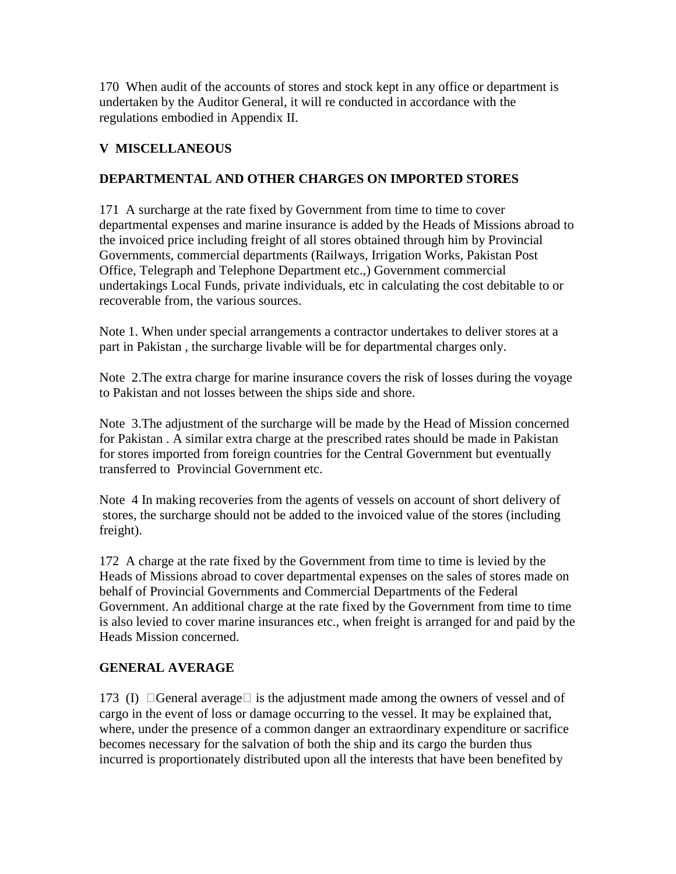170 When audit of the accounts of stores and stock kept in any office or department is undertaken by the Auditor General, it will re conducted in accordance with the regulations embodied in Appendix II.

## **V MISCELLANEOUS**

## **DEPARTMENTAL AND OTHER CHARGES ON IMPORTED STORES**

171 A surcharge at the rate fixed by Government from time to time to cover departmental expenses and marine insurance is added by the Heads of Missions abroad to the invoiced price including freight of all stores obtained through him by Provincial Governments, commercial departments (Railways, Irrigation Works, Pakistan Post Office, Telegraph and Telephone Department etc.,) Government commercial undertakings Local Funds, private individuals, etc in calculating the cost debitable to or recoverable from, the various sources.

Note 1. When under special arrangements a contractor undertakes to deliver stores at a part in Pakistan , the surcharge livable will be for departmental charges only.

Note 2.The extra charge for marine insurance covers the risk of losses during the voyage to Pakistan and not losses between the ships side and shore.

Note 3.The adjustment of the surcharge will be made by the Head of Mission concerned for Pakistan . A similar extra charge at the prescribed rates should be made in Pakistan for stores imported from foreign countries for the Central Government but eventually transferred to Provincial Government etc.

Note 4 In making recoveries from the agents of vessels on account of short delivery of stores, the surcharge should not be added to the invoiced value of the stores (including freight).

172 A charge at the rate fixed by the Government from time to time is levied by the Heads of Missions abroad to cover departmental expenses on the sales of stores made on behalf of Provincial Governments and Commercial Departments of the Federal Government. An additional charge at the rate fixed by the Government from time to time is also levied to cover marine insurances etc., when freight is arranged for and paid by the Heads Mission concerned.

## **GENERAL AVERAGE**

173 (I)  $\Box$  General average  $\Box$  is the adjustment made among the owners of vessel and of cargo in the event of loss or damage occurring to the vessel. It may be explained that, where, under the presence of a common danger an extraordinary expenditure or sacrifice becomes necessary for the salvation of both the ship and its cargo the burden thus incurred is proportionately distributed upon all the interests that have been benefited by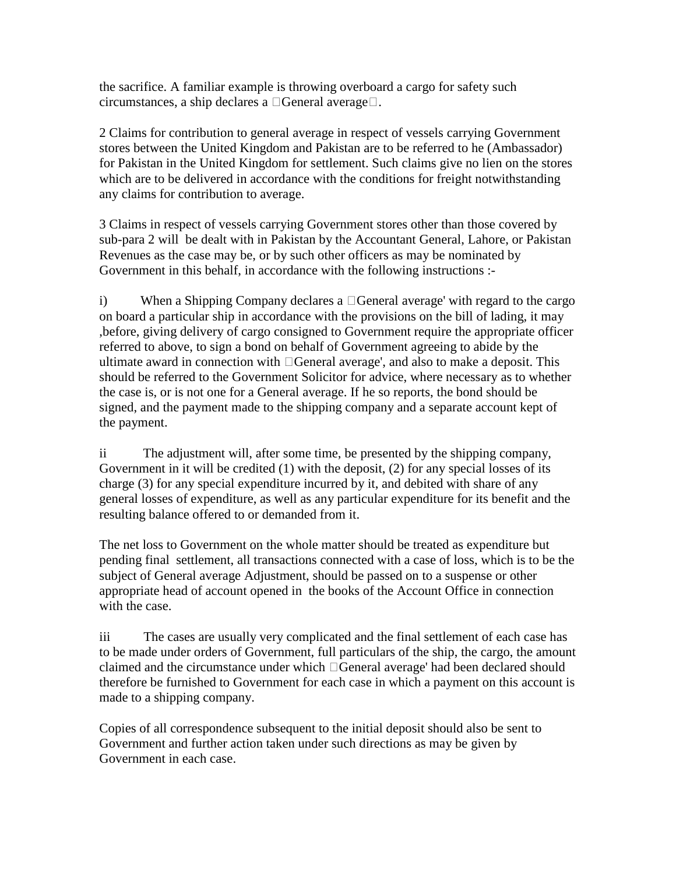the sacrifice. A familiar example is throwing overboard a cargo for safety such circumstances, a ship declares a  $\Box$ General average $\Box$ .

2 Claims for contribution to general average in respect of vessels carrying Government stores between the United Kingdom and Pakistan are to be referred to he (Ambassador) for Pakistan in the United Kingdom for settlement. Such claims give no lien on the stores which are to be delivered in accordance with the conditions for freight notwithstanding any claims for contribution to average.

3 Claims in respect of vessels carrying Government stores other than those covered by sub-para 2 will be dealt with in Pakistan by the Accountant General, Lahore, or Pakistan Revenues as the case may be, or by such other officers as may be nominated by Government in this behalf, in accordance with the following instructions :-

i) When a Shipping Company declares a  $\Box$  General average' with regard to the cargo on board a particular ship in accordance with the provisions on the bill of lading, it may ,before, giving delivery of cargo consigned to Government require the appropriate officer referred to above, to sign a bond on behalf of Government agreeing to abide by the ultimate award in connection with  $\Box$  General average', and also to make a deposit. This should be referred to the Government Solicitor for advice, where necessary as to whether the case is, or is not one for a General average. If he so reports, the bond should be signed, and the payment made to the shipping company and a separate account kept of the payment.

ii The adjustment will, after some time, be presented by the shipping company, Government in it will be credited (1) with the deposit, (2) for any special losses of its charge (3) for any special expenditure incurred by it, and debited with share of any general losses of expenditure, as well as any particular expenditure for its benefit and the resulting balance offered to or demanded from it.

The net loss to Government on the whole matter should be treated as expenditure but pending final settlement, all transactions connected with a case of loss, which is to be the subject of General average Adjustment, should be passed on to a suspense or other appropriate head of account opened in the books of the Account Office in connection with the case.

iii The cases are usually very complicated and the final settlement of each case has to be made under orders of Government, full particulars of the ship, the cargo, the amount claimed and the circumstance under which General average' had been declared should therefore be furnished to Government for each case in which a payment on this account is made to a shipping company.

Copies of all correspondence subsequent to the initial deposit should also be sent to Government and further action taken under such directions as may be given by Government in each case.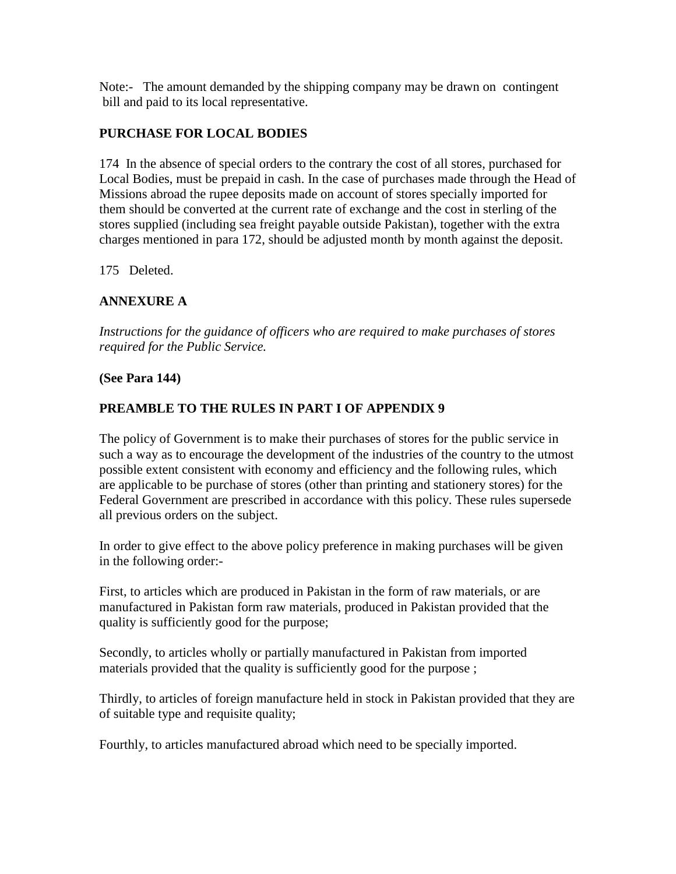Note:- The amount demanded by the shipping company may be drawn on contingent bill and paid to its local representative.

### **PURCHASE FOR LOCAL BODIES**

174 In the absence of special orders to the contrary the cost of all stores, purchased for Local Bodies, must be prepaid in cash. In the case of purchases made through the Head of Missions abroad the rupee deposits made on account of stores specially imported for them should be converted at the current rate of exchange and the cost in sterling of the stores supplied (including sea freight payable outside Pakistan), together with the extra charges mentioned in para 172, should be adjusted month by month against the deposit.

175 Deleted.

## **ANNEXURE A**

*Instructions for the guidance of officers who are required to make purchases of stores required for the Public Service.* 

#### **(See Para 144)**

### **PREAMBLE TO THE RULES IN PART I OF APPENDIX 9**

The policy of Government is to make their purchases of stores for the public service in such a way as to encourage the development of the industries of the country to the utmost possible extent consistent with economy and efficiency and the following rules, which are applicable to be purchase of stores (other than printing and stationery stores) for the Federal Government are prescribed in accordance with this policy. These rules supersede all previous orders on the subject.

In order to give effect to the above policy preference in making purchases will be given in the following order:-

First, to articles which are produced in Pakistan in the form of raw materials, or are manufactured in Pakistan form raw materials, produced in Pakistan provided that the quality is sufficiently good for the purpose;

Secondly, to articles wholly or partially manufactured in Pakistan from imported materials provided that the quality is sufficiently good for the purpose ;

Thirdly, to articles of foreign manufacture held in stock in Pakistan provided that they are of suitable type and requisite quality;

Fourthly, to articles manufactured abroad which need to be specially imported.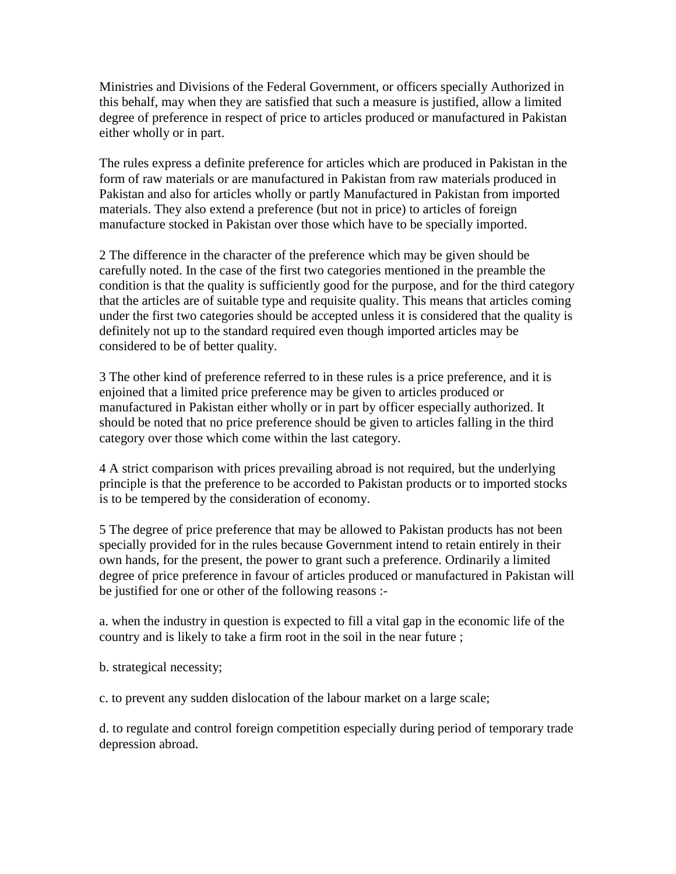Ministries and Divisions of the Federal Government, or officers specially Authorized in this behalf, may when they are satisfied that such a measure is justified, allow a limited degree of preference in respect of price to articles produced or manufactured in Pakistan either wholly or in part.

The rules express a definite preference for articles which are produced in Pakistan in the form of raw materials or are manufactured in Pakistan from raw materials produced in Pakistan and also for articles wholly or partly Manufactured in Pakistan from imported materials. They also extend a preference (but not in price) to articles of foreign manufacture stocked in Pakistan over those which have to be specially imported.

2 The difference in the character of the preference which may be given should be carefully noted. In the case of the first two categories mentioned in the preamble the condition is that the quality is sufficiently good for the purpose, and for the third category that the articles are of suitable type and requisite quality. This means that articles coming under the first two categories should be accepted unless it is considered that the quality is definitely not up to the standard required even though imported articles may be considered to be of better quality.

3 The other kind of preference referred to in these rules is a price preference, and it is enjoined that a limited price preference may be given to articles produced or manufactured in Pakistan either wholly or in part by officer especially authorized. It should be noted that no price preference should be given to articles falling in the third category over those which come within the last category.

4 A strict comparison with prices prevailing abroad is not required, but the underlying principle is that the preference to be accorded to Pakistan products or to imported stocks is to be tempered by the consideration of economy.

5 The degree of price preference that may be allowed to Pakistan products has not been specially provided for in the rules because Government intend to retain entirely in their own hands, for the present, the power to grant such a preference. Ordinarily a limited degree of price preference in favour of articles produced or manufactured in Pakistan will be justified for one or other of the following reasons :-

a. when the industry in question is expected to fill a vital gap in the economic life of the country and is likely to take a firm root in the soil in the near future ;

b. strategical necessity;

c. to prevent any sudden dislocation of the labour market on a large scale;

d. to regulate and control foreign competition especially during period of temporary trade depression abroad.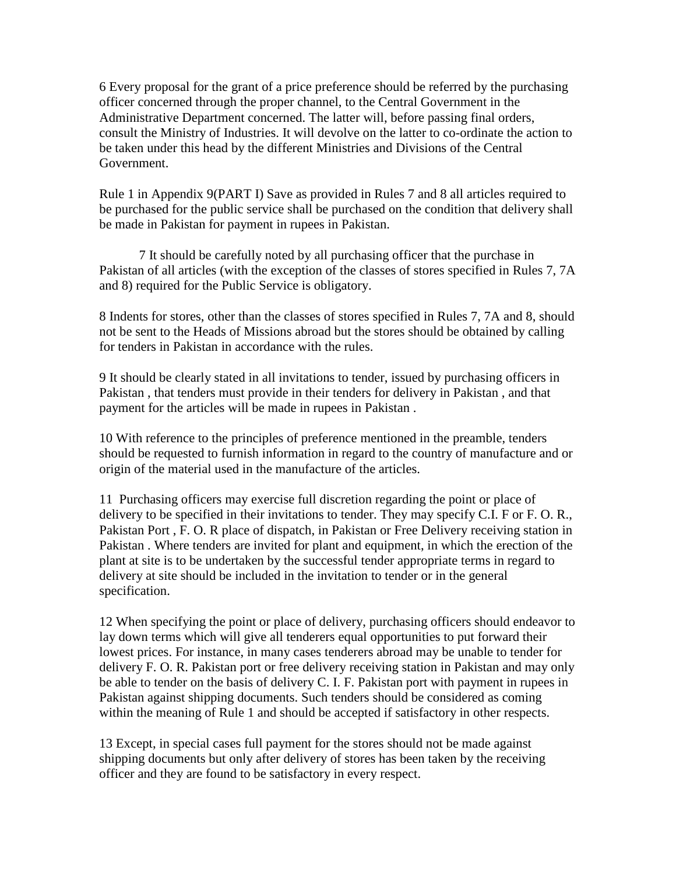6 Every proposal for the grant of a price preference should be referred by the purchasing officer concerned through the proper channel, to the Central Government in the Administrative Department concerned. The latter will, before passing final orders, consult the Ministry of Industries. It will devolve on the latter to co-ordinate the action to be taken under this head by the different Ministries and Divisions of the Central Government.

Rule 1 in Appendix 9(PART I) Save as provided in Rules 7 and 8 all articles required to be purchased for the public service shall be purchased on the condition that delivery shall be made in Pakistan for payment in rupees in Pakistan.

 7 It should be carefully noted by all purchasing officer that the purchase in Pakistan of all articles (with the exception of the classes of stores specified in Rules 7, 7A and 8) required for the Public Service is obligatory.

8 Indents for stores, other than the classes of stores specified in Rules 7, 7A and 8, should not be sent to the Heads of Missions abroad but the stores should be obtained by calling for tenders in Pakistan in accordance with the rules.

9 It should be clearly stated in all invitations to tender, issued by purchasing officers in Pakistan , that tenders must provide in their tenders for delivery in Pakistan , and that payment for the articles will be made in rupees in Pakistan .

10 With reference to the principles of preference mentioned in the preamble, tenders should be requested to furnish information in regard to the country of manufacture and or origin of the material used in the manufacture of the articles.

11 Purchasing officers may exercise full discretion regarding the point or place of delivery to be specified in their invitations to tender. They may specify C.I. F or F. O. R., Pakistan Port , F. O. R place of dispatch, in Pakistan or Free Delivery receiving station in Pakistan . Where tenders are invited for plant and equipment, in which the erection of the plant at site is to be undertaken by the successful tender appropriate terms in regard to delivery at site should be included in the invitation to tender or in the general specification.

12 When specifying the point or place of delivery, purchasing officers should endeavor to lay down terms which will give all tenderers equal opportunities to put forward their lowest prices. For instance, in many cases tenderers abroad may be unable to tender for delivery F. O. R. Pakistan port or free delivery receiving station in Pakistan and may only be able to tender on the basis of delivery C. I. F. Pakistan port with payment in rupees in Pakistan against shipping documents. Such tenders should be considered as coming within the meaning of Rule 1 and should be accepted if satisfactory in other respects.

13 Except, in special cases full payment for the stores should not be made against shipping documents but only after delivery of stores has been taken by the receiving officer and they are found to be satisfactory in every respect.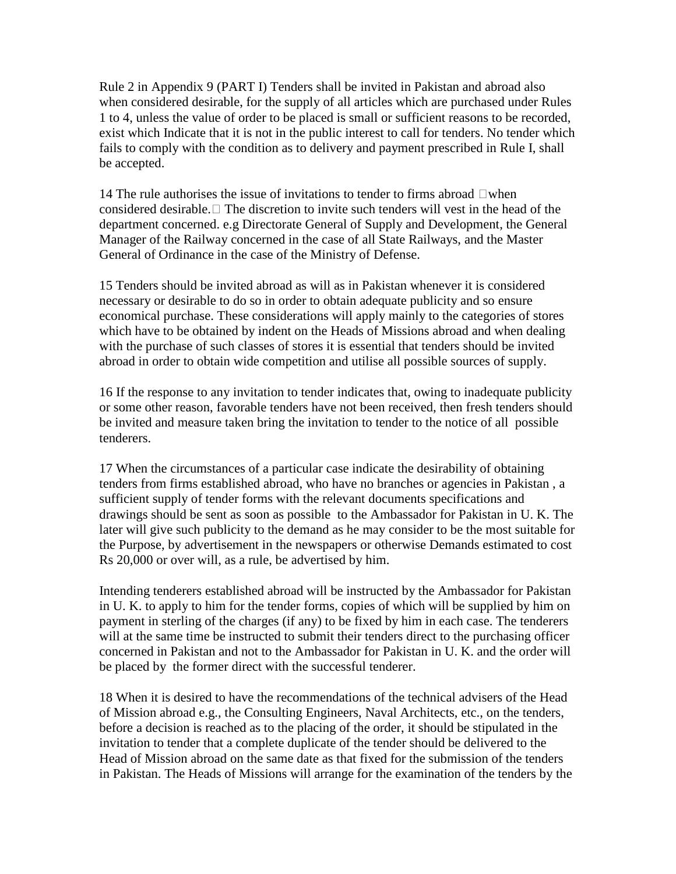Rule 2 in Appendix 9 (PART I) Tenders shall be invited in Pakistan and abroad also when considered desirable, for the supply of all articles which are purchased under Rules 1 to 4, unless the value of order to be placed is small or sufficient reasons to be recorded, exist which Indicate that it is not in the public interest to call for tenders. No tender which fails to comply with the condition as to delivery and payment prescribed in Rule I, shall be accepted.

14 The rule authorises the issue of invitations to tender to firms abroad  $\Box$  when considered desirable.  $\Box$  The discretion to invite such tenders will vest in the head of the department concerned. e.g Directorate General of Supply and Development, the General Manager of the Railway concerned in the case of all State Railways, and the Master General of Ordinance in the case of the Ministry of Defense.

15 Tenders should be invited abroad as will as in Pakistan whenever it is considered necessary or desirable to do so in order to obtain adequate publicity and so ensure economical purchase. These considerations will apply mainly to the categories of stores which have to be obtained by indent on the Heads of Missions abroad and when dealing with the purchase of such classes of stores it is essential that tenders should be invited abroad in order to obtain wide competition and utilise all possible sources of supply.

16 If the response to any invitation to tender indicates that, owing to inadequate publicity or some other reason, favorable tenders have not been received, then fresh tenders should be invited and measure taken bring the invitation to tender to the notice of all possible tenderers.

17 When the circumstances of a particular case indicate the desirability of obtaining tenders from firms established abroad, who have no branches or agencies in Pakistan , a sufficient supply of tender forms with the relevant documents specifications and drawings should be sent as soon as possible to the Ambassador for Pakistan in U. K. The later will give such publicity to the demand as he may consider to be the most suitable for the Purpose, by advertisement in the newspapers or otherwise Demands estimated to cost Rs 20,000 or over will, as a rule, be advertised by him.

Intending tenderers established abroad will be instructed by the Ambassador for Pakistan in U. K. to apply to him for the tender forms, copies of which will be supplied by him on payment in sterling of the charges (if any) to be fixed by him in each case. The tenderers will at the same time be instructed to submit their tenders direct to the purchasing officer concerned in Pakistan and not to the Ambassador for Pakistan in U. K. and the order will be placed by the former direct with the successful tenderer.

18 When it is desired to have the recommendations of the technical advisers of the Head of Mission abroad e.g., the Consulting Engineers, Naval Architects, etc., on the tenders, before a decision is reached as to the placing of the order, it should be stipulated in the invitation to tender that a complete duplicate of the tender should be delivered to the Head of Mission abroad on the same date as that fixed for the submission of the tenders in Pakistan. The Heads of Missions will arrange for the examination of the tenders by the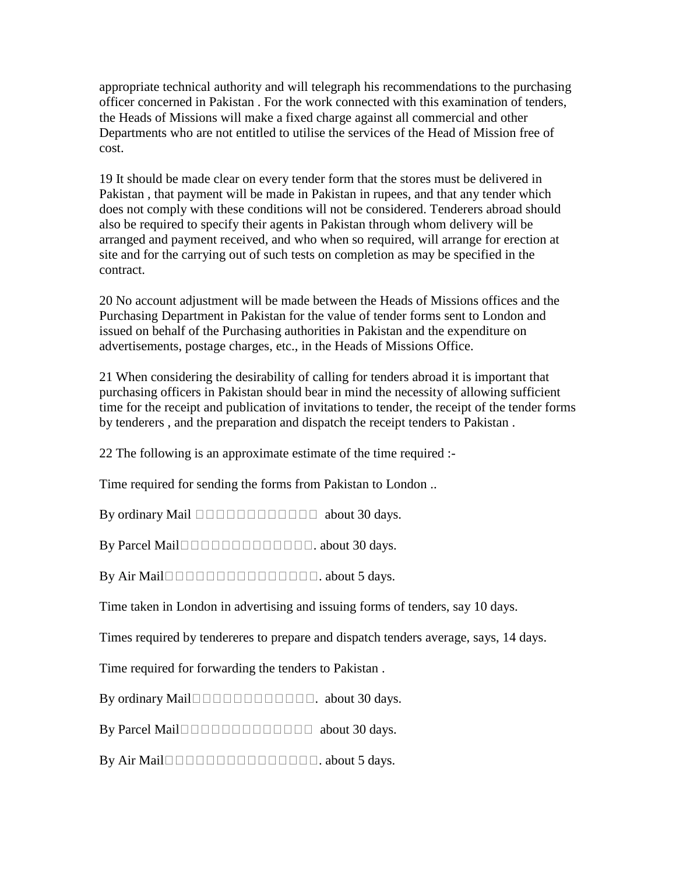appropriate technical authority and will telegraph his recommendations to the purchasing officer concerned in Pakistan . For the work connected with this examination of tenders, the Heads of Missions will make a fixed charge against all commercial and other Departments who are not entitled to utilise the services of the Head of Mission free of cost.

19 It should be made clear on every tender form that the stores must be delivered in Pakistan , that payment will be made in Pakistan in rupees, and that any tender which does not comply with these conditions will not be considered. Tenderers abroad should also be required to specify their agents in Pakistan through whom delivery will be arranged and payment received, and who when so required, will arrange for erection at site and for the carrying out of such tests on completion as may be specified in the contract.

20 No account adjustment will be made between the Heads of Missions offices and the Purchasing Department in Pakistan for the value of tender forms sent to London and issued on behalf of the Purchasing authorities in Pakistan and the expenditure on advertisements, postage charges, etc., in the Heads of Missions Office.

21 When considering the desirability of calling for tenders abroad it is important that purchasing officers in Pakistan should bear in mind the necessity of allowing sufficient time for the receipt and publication of invitations to tender, the receipt of the tender forms by tenderers , and the preparation and dispatch the receipt tenders to Pakistan .

22 The following is an approximate estimate of the time required :-

Time required for sending the forms from Pakistan to London ..

By ordinary Mail  $\Box$  $\Box$  $\Box$  $\Box$  $\Box$  $\Box$  $\Box$  $\Box$  $\Box$  about 30 days.

By Parcel Mail $\square \square \square \square \square \square \square \square \square \square$ . about 30 days.

By Air Mail. about 5 days.

Time taken in London in advertising and issuing forms of tenders, say 10 days.

Times required by tendereres to prepare and dispatch tenders average, says, 14 days.

Time required for forwarding the tenders to Pakistan .

By ordinary Mail $\Box$  $\Box$  $\Box$  $\Box$  $\Box$  $\Box$  $\Box$  $\Box$  $\Box$ . about 30 days.

By Parcel Mail about 30 days.

By Air Mail. about 5 days.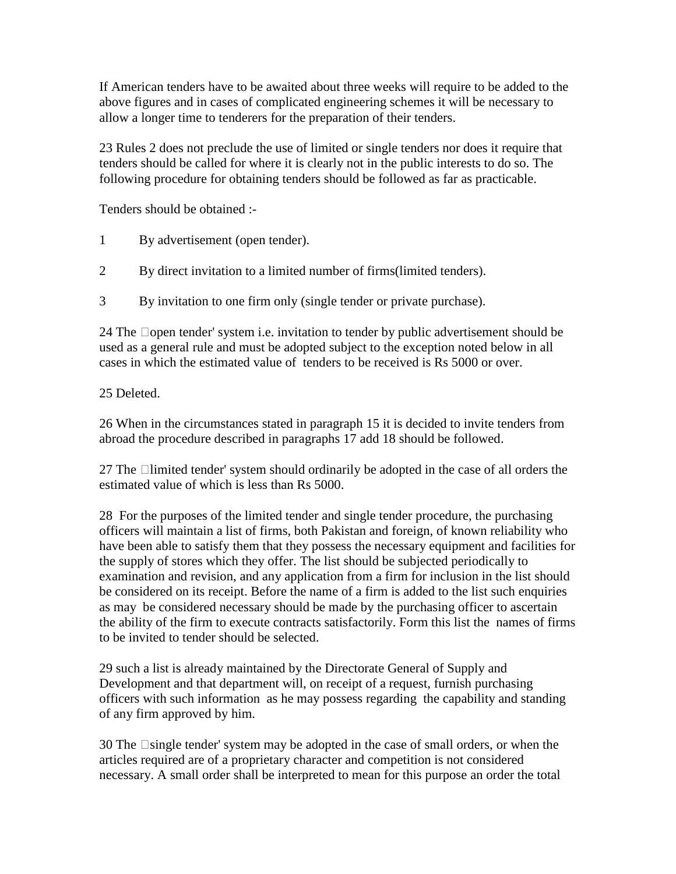If American tenders have to be awaited about three weeks will require to be added to the above figures and in cases of complicated engineering schemes it will be necessary to allow a longer time to tenderers for the preparation of their tenders.

23 Rules 2 does not preclude the use of limited or single tenders nor does it require that tenders should be called for where it is clearly not in the public interests to do so. The following procedure for obtaining tenders should be followed as far as practicable.

Tenders should be obtained :-

- 1 By advertisement (open tender).
- 2 By direct invitation to a limited number of firms(limited tenders).
- 3 By invitation to one firm only (single tender or private purchase).

24 The  $\Box$ open tender' system i.e. invitation to tender by public advertisement should be used as a general rule and must be adopted subject to the exception noted below in all cases in which the estimated value of tenders to be received is Rs 5000 or over.

#### 25 Deleted.

26 When in the circumstances stated in paragraph 15 it is decided to invite tenders from abroad the procedure described in paragraphs 17 add 18 should be followed.

27 The  $\Box$ limited tender' system should ordinarily be adopted in the case of all orders the estimated value of which is less than Rs 5000.

28 For the purposes of the limited tender and single tender procedure, the purchasing officers will maintain a list of firms, both Pakistan and foreign, of known reliability who have been able to satisfy them that they possess the necessary equipment and facilities for the supply of stores which they offer. The list should be subjected periodically to examination and revision, and any application from a firm for inclusion in the list should be considered on its receipt. Before the name of a firm is added to the list such enquiries as may be considered necessary should be made by the purchasing officer to ascertain the ability of the firm to execute contracts satisfactorily. Form this list the names of firms to be invited to tender should be selected.

29 such a list is already maintained by the Directorate General of Supply and Development and that department will, on receipt of a request, furnish purchasing officers with such information as he may possess regarding the capability and standing of any firm approved by him.

 $30$  The  $\Box$ single tender' system may be adopted in the case of small orders, or when the articles required are of a proprietary character and competition is not considered necessary. A small order shall be interpreted to mean for this purpose an order the total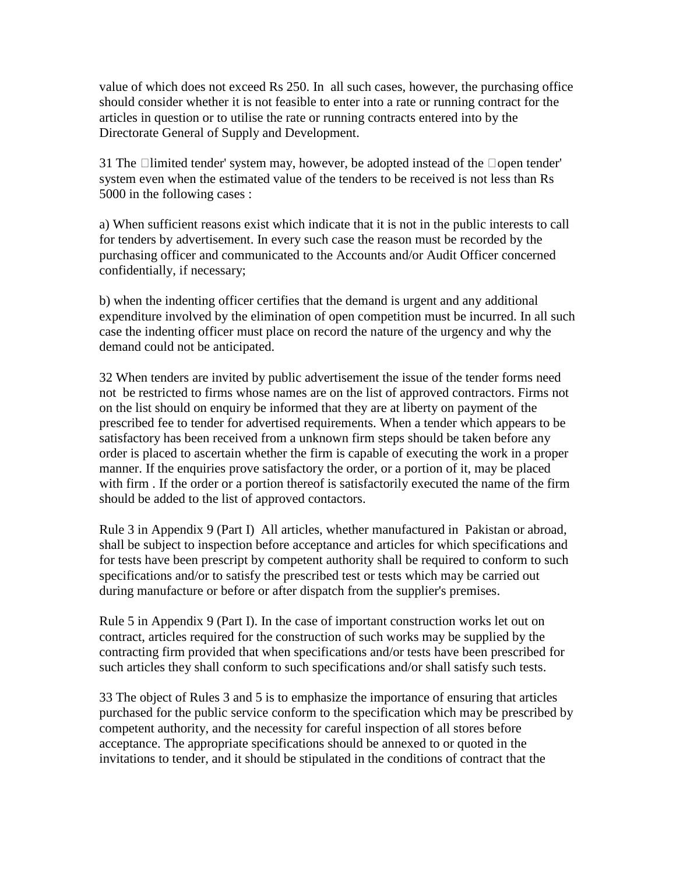value of which does not exceed Rs 250. In all such cases, however, the purchasing office should consider whether it is not feasible to enter into a rate or running contract for the articles in question or to utilise the rate or running contracts entered into by the Directorate General of Supply and Development.

31 The  $\Box$ limited tender' system may, however, be adopted instead of the  $\Box$ open tender' system even when the estimated value of the tenders to be received is not less than Rs 5000 in the following cases :

a) When sufficient reasons exist which indicate that it is not in the public interests to call for tenders by advertisement. In every such case the reason must be recorded by the purchasing officer and communicated to the Accounts and/or Audit Officer concerned confidentially, if necessary;

b) when the indenting officer certifies that the demand is urgent and any additional expenditure involved by the elimination of open competition must be incurred. In all such case the indenting officer must place on record the nature of the urgency and why the demand could not be anticipated.

32 When tenders are invited by public advertisement the issue of the tender forms need not be restricted to firms whose names are on the list of approved contractors. Firms not on the list should on enquiry be informed that they are at liberty on payment of the prescribed fee to tender for advertised requirements. When a tender which appears to be satisfactory has been received from a unknown firm steps should be taken before any order is placed to ascertain whether the firm is capable of executing the work in a proper manner. If the enquiries prove satisfactory the order, or a portion of it, may be placed with firm . If the order or a portion thereof is satisfactorily executed the name of the firm should be added to the list of approved contactors.

Rule 3 in Appendix 9 (Part I) All articles, whether manufactured in Pakistan or abroad, shall be subject to inspection before acceptance and articles for which specifications and for tests have been prescript by competent authority shall be required to conform to such specifications and/or to satisfy the prescribed test or tests which may be carried out during manufacture or before or after dispatch from the supplier's premises.

Rule 5 in Appendix 9 (Part I). In the case of important construction works let out on contract, articles required for the construction of such works may be supplied by the contracting firm provided that when specifications and/or tests have been prescribed for such articles they shall conform to such specifications and/or shall satisfy such tests.

33 The object of Rules 3 and 5 is to emphasize the importance of ensuring that articles purchased for the public service conform to the specification which may be prescribed by competent authority, and the necessity for careful inspection of all stores before acceptance. The appropriate specifications should be annexed to or quoted in the invitations to tender, and it should be stipulated in the conditions of contract that the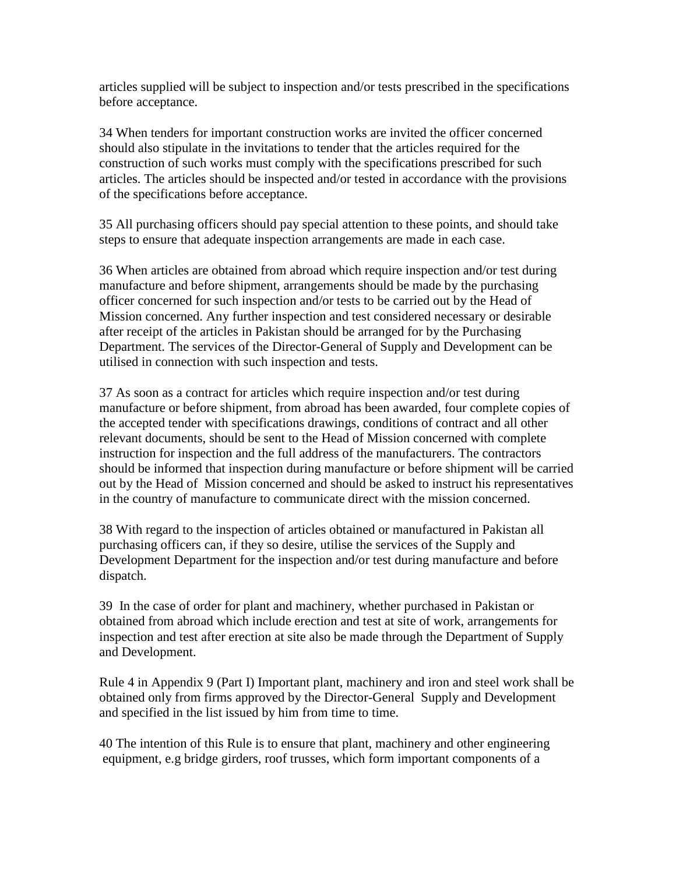articles supplied will be subject to inspection and/or tests prescribed in the specifications before acceptance.

34 When tenders for important construction works are invited the officer concerned should also stipulate in the invitations to tender that the articles required for the construction of such works must comply with the specifications prescribed for such articles. The articles should be inspected and/or tested in accordance with the provisions of the specifications before acceptance.

35 All purchasing officers should pay special attention to these points, and should take steps to ensure that adequate inspection arrangements are made in each case.

36 When articles are obtained from abroad which require inspection and/or test during manufacture and before shipment, arrangements should be made by the purchasing officer concerned for such inspection and/or tests to be carried out by the Head of Mission concerned. Any further inspection and test considered necessary or desirable after receipt of the articles in Pakistan should be arranged for by the Purchasing Department. The services of the Director-General of Supply and Development can be utilised in connection with such inspection and tests.

37 As soon as a contract for articles which require inspection and/or test during manufacture or before shipment, from abroad has been awarded, four complete copies of the accepted tender with specifications drawings, conditions of contract and all other relevant documents, should be sent to the Head of Mission concerned with complete instruction for inspection and the full address of the manufacturers. The contractors should be informed that inspection during manufacture or before shipment will be carried out by the Head of Mission concerned and should be asked to instruct his representatives in the country of manufacture to communicate direct with the mission concerned.

38 With regard to the inspection of articles obtained or manufactured in Pakistan all purchasing officers can, if they so desire, utilise the services of the Supply and Development Department for the inspection and/or test during manufacture and before dispatch.

39 In the case of order for plant and machinery, whether purchased in Pakistan or obtained from abroad which include erection and test at site of work, arrangements for inspection and test after erection at site also be made through the Department of Supply and Development.

Rule 4 in Appendix 9 (Part I) Important plant, machinery and iron and steel work shall be obtained only from firms approved by the Director-General Supply and Development and specified in the list issued by him from time to time.

40 The intention of this Rule is to ensure that plant, machinery and other engineering equipment, e.g bridge girders, roof trusses, which form important components of a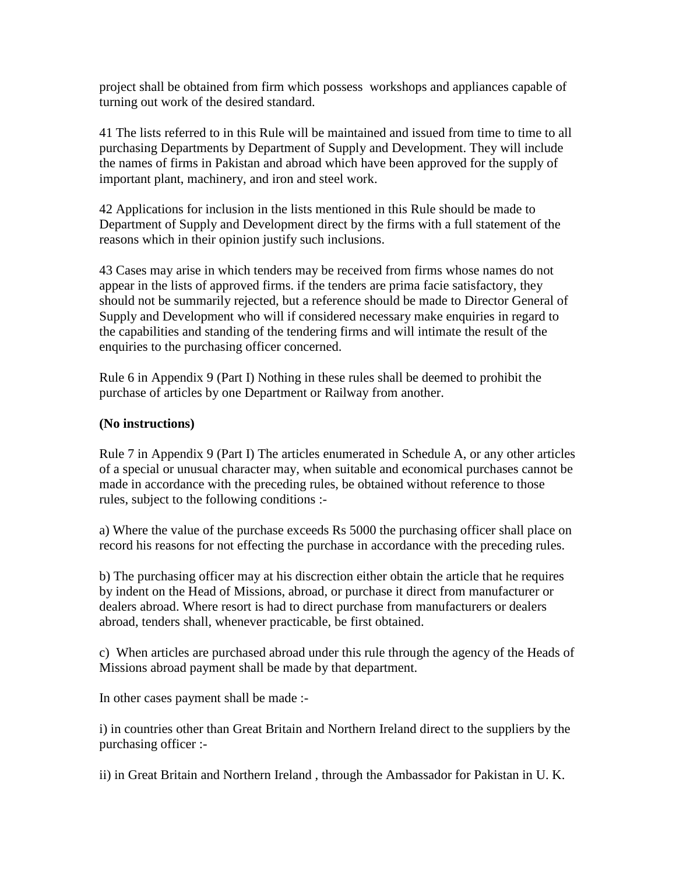project shall be obtained from firm which possess workshops and appliances capable of turning out work of the desired standard.

41 The lists referred to in this Rule will be maintained and issued from time to time to all purchasing Departments by Department of Supply and Development. They will include the names of firms in Pakistan and abroad which have been approved for the supply of important plant, machinery, and iron and steel work.

42 Applications for inclusion in the lists mentioned in this Rule should be made to Department of Supply and Development direct by the firms with a full statement of the reasons which in their opinion justify such inclusions.

43 Cases may arise in which tenders may be received from firms whose names do not appear in the lists of approved firms. if the tenders are prima facie satisfactory, they should not be summarily rejected, but a reference should be made to Director General of Supply and Development who will if considered necessary make enquiries in regard to the capabilities and standing of the tendering firms and will intimate the result of the enquiries to the purchasing officer concerned.

Rule 6 in Appendix 9 (Part I) Nothing in these rules shall be deemed to prohibit the purchase of articles by one Department or Railway from another.

#### **(No instructions)**

Rule 7 in Appendix 9 (Part I) The articles enumerated in Schedule A, or any other articles of a special or unusual character may, when suitable and economical purchases cannot be made in accordance with the preceding rules, be obtained without reference to those rules, subject to the following conditions :-

a) Where the value of the purchase exceeds Rs 5000 the purchasing officer shall place on record his reasons for not effecting the purchase in accordance with the preceding rules.

b) The purchasing officer may at his discrection either obtain the article that he requires by indent on the Head of Missions, abroad, or purchase it direct from manufacturer or dealers abroad. Where resort is had to direct purchase from manufacturers or dealers abroad, tenders shall, whenever practicable, be first obtained.

c) When articles are purchased abroad under this rule through the agency of the Heads of Missions abroad payment shall be made by that department.

In other cases payment shall be made :-

i) in countries other than Great Britain and Northern Ireland direct to the suppliers by the purchasing officer :-

ii) in Great Britain and Northern Ireland , through the Ambassador for Pakistan in U. K.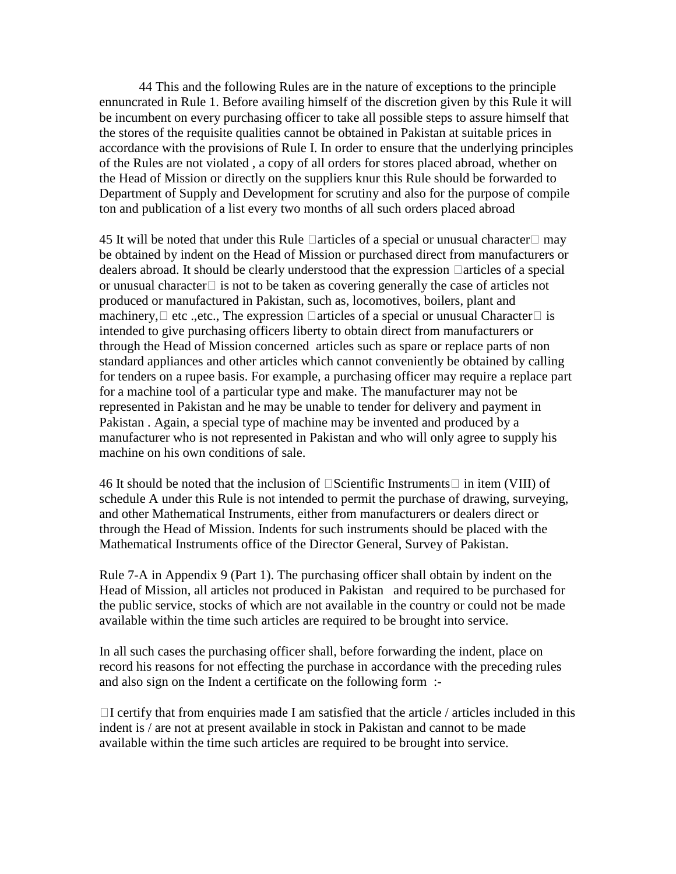44 This and the following Rules are in the nature of exceptions to the principle ennuncrated in Rule 1. Before availing himself of the discretion given by this Rule it will be incumbent on every purchasing officer to take all possible steps to assure himself that the stores of the requisite qualities cannot be obtained in Pakistan at suitable prices in accordance with the provisions of Rule I. In order to ensure that the underlying principles of the Rules are not violated , a copy of all orders for stores placed abroad, whether on the Head of Mission or directly on the suppliers knur this Rule should be forwarded to Department of Supply and Development for scrutiny and also for the purpose of compile ton and publication of a list every two months of all such orders placed abroad

45 It will be noted that under this Rule  $\Box$  articles of a special or unusual character  $\Box$  may be obtained by indent on the Head of Mission or purchased direct from manufacturers or dealers abroad. It should be clearly understood that the expression  $\Box$  articles of a special or unusual character $\Box$  is not to be taken as covering generally the case of articles not produced or manufactured in Pakistan, such as, locomotives, boilers, plant and machinery,  $\Box$  etc., the expression  $\Box$  articles of a special or unusual Character  $\Box$  is intended to give purchasing officers liberty to obtain direct from manufacturers or through the Head of Mission concerned articles such as spare or replace parts of non standard appliances and other articles which cannot conveniently be obtained by calling for tenders on a rupee basis. For example, a purchasing officer may require a replace part for a machine tool of a particular type and make. The manufacturer may not be represented in Pakistan and he may be unable to tender for delivery and payment in Pakistan . Again, a special type of machine may be invented and produced by a manufacturer who is not represented in Pakistan and who will only agree to supply his machine on his own conditions of sale.

46 It should be noted that the inclusion of  $\Box$ Scientific Instruments  $\Box$  in item (VIII) of schedule A under this Rule is not intended to permit the purchase of drawing, surveying, and other Mathematical Instruments, either from manufacturers or dealers direct or through the Head of Mission. Indents for such instruments should be placed with the Mathematical Instruments office of the Director General, Survey of Pakistan.

Rule 7-A in Appendix 9 (Part 1). The purchasing officer shall obtain by indent on the Head of Mission, all articles not produced in Pakistan and required to be purchased for the public service, stocks of which are not available in the country or could not be made available within the time such articles are required to be brought into service.

In all such cases the purchasing officer shall, before forwarding the indent, place on record his reasons for not effecting the purchase in accordance with the preceding rules and also sign on the Indent a certificate on the following form :-

 $\Box$ I certify that from enquiries made I am satisfied that the article / articles included in this indent is / are not at present available in stock in Pakistan and cannot to be made available within the time such articles are required to be brought into service.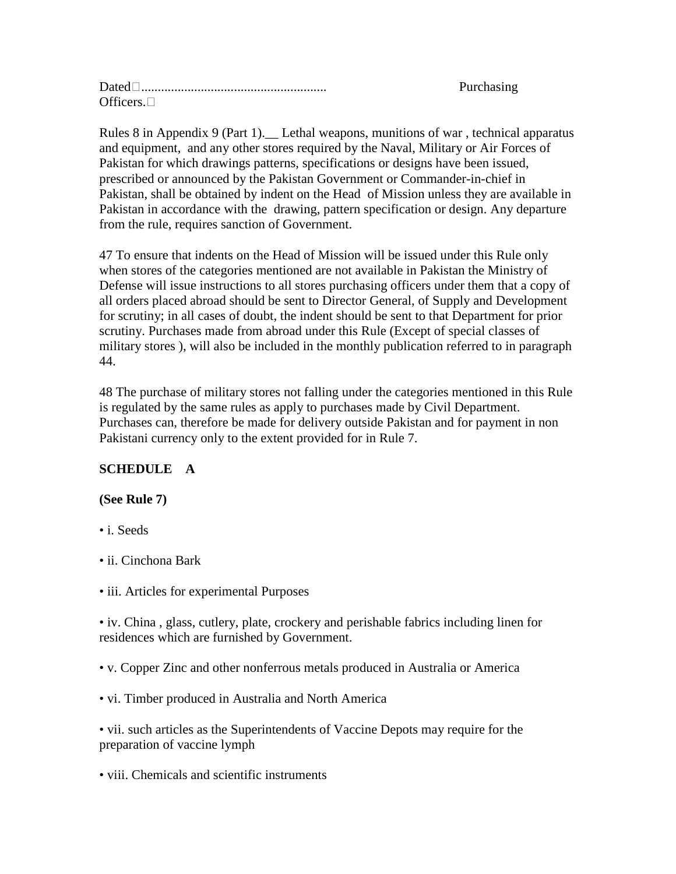| $Dated\square$  |  |
|-----------------|--|
| Officers $\Box$ |  |

Rules 8 in Appendix 9 (Part 1). Lethal weapons, munitions of war, technical apparatus and equipment, and any other stores required by the Naval, Military or Air Forces of Pakistan for which drawings patterns, specifications or designs have been issued, prescribed or announced by the Pakistan Government or Commander-in-chief in Pakistan, shall be obtained by indent on the Head of Mission unless they are available in Pakistan in accordance with the drawing, pattern specification or design. Any departure from the rule, requires sanction of Government.

Purchasing

47 To ensure that indents on the Head of Mission will be issued under this Rule only when stores of the categories mentioned are not available in Pakistan the Ministry of Defense will issue instructions to all stores purchasing officers under them that a copy of all orders placed abroad should be sent to Director General, of Supply and Development for scrutiny; in all cases of doubt, the indent should be sent to that Department for prior scrutiny. Purchases made from abroad under this Rule (Except of special classes of military stores ), will also be included in the monthly publication referred to in paragraph 44.

48 The purchase of military stores not falling under the categories mentioned in this Rule is regulated by the same rules as apply to purchases made by Civil Department. Purchases can, therefore be made for delivery outside Pakistan and for payment in non Pakistani currency only to the extent provided for in Rule 7.

## **SCHEDULE A**

#### **(See Rule 7)**

- i. Seeds
- ii. Cinchona Bark
- iii. Articles for experimental Purposes

• iv. China , glass, cutlery, plate, crockery and perishable fabrics including linen for residences which are furnished by Government.

• v. Copper Zinc and other nonferrous metals produced in Australia or America

• vi. Timber produced in Australia and North America

• vii. such articles as the Superintendents of Vaccine Depots may require for the preparation of vaccine lymph

• viii. Chemicals and scientific instruments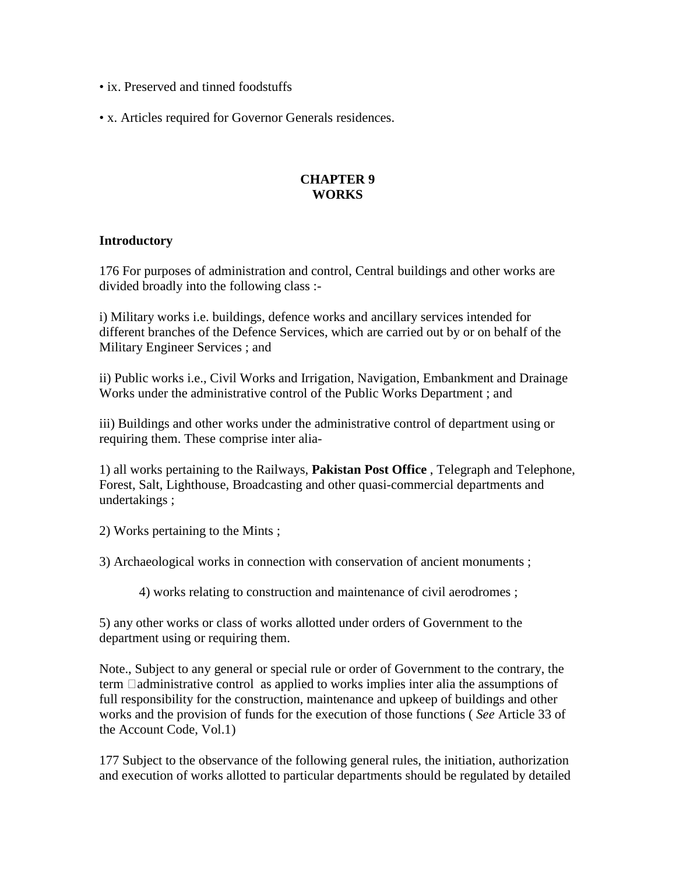- ix. Preserved and tinned foodstuffs
- x. Articles required for Governor Generals residences.

#### **CHAPTER 9 WORKS**

#### **Introductory**

176 For purposes of administration and control, Central buildings and other works are divided broadly into the following class :-

i) Military works i.e. buildings, defence works and ancillary services intended for different branches of the Defence Services, which are carried out by or on behalf of the Military Engineer Services ; and

ii) Public works i.e., Civil Works and Irrigation, Navigation, Embankment and Drainage Works under the administrative control of the Public Works Department ; and

iii) Buildings and other works under the administrative control of department using or requiring them. These comprise inter alia-

1) all works pertaining to the Railways, **Pakistan Post Office** , Telegraph and Telephone, Forest, Salt, Lighthouse, Broadcasting and other quasi-commercial departments and undertakings ;

2) Works pertaining to the Mints ;

3) Archaeological works in connection with conservation of ancient monuments ;

4) works relating to construction and maintenance of civil aerodromes ;

5) any other works or class of works allotted under orders of Government to the department using or requiring them.

Note., Subject to any general or special rule or order of Government to the contrary, the term  $\Box$ administrative control as applied to works implies inter alia the assumptions of full responsibility for the construction, maintenance and upkeep of buildings and other works and the provision of funds for the execution of those functions ( *See* Article 33 of the Account Code, Vol.1)

177 Subject to the observance of the following general rules, the initiation, authorization and execution of works allotted to particular departments should be regulated by detailed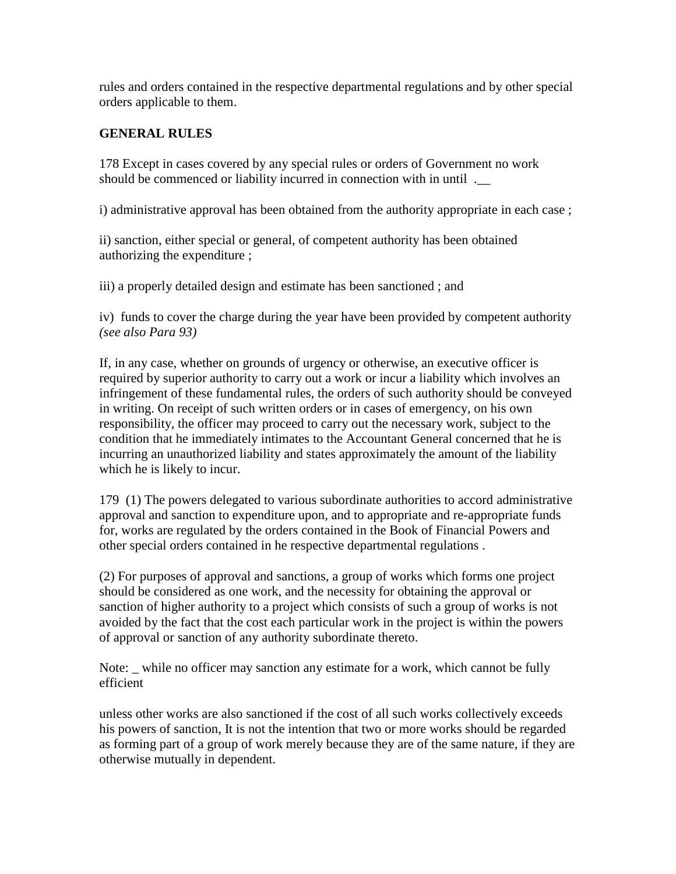rules and orders contained in the respective departmental regulations and by other special orders applicable to them.

#### **GENERAL RULES**

178 Except in cases covered by any special rules or orders of Government no work should be commenced or liability incurred in connection with in until .\_\_

i) administrative approval has been obtained from the authority appropriate in each case ;

ii) sanction, either special or general, of competent authority has been obtained authorizing the expenditure ;

iii) a properly detailed design and estimate has been sanctioned ; and

iv) funds to cover the charge during the year have been provided by competent authority *(see also Para 93)* 

If, in any case, whether on grounds of urgency or otherwise, an executive officer is required by superior authority to carry out a work or incur a liability which involves an infringement of these fundamental rules, the orders of such authority should be conveyed in writing. On receipt of such written orders or in cases of emergency, on his own responsibility, the officer may proceed to carry out the necessary work, subject to the condition that he immediately intimates to the Accountant General concerned that he is incurring an unauthorized liability and states approximately the amount of the liability which he is likely to incur.

179 (1) The powers delegated to various subordinate authorities to accord administrative approval and sanction to expenditure upon, and to appropriate and re-appropriate funds for, works are regulated by the orders contained in the Book of Financial Powers and other special orders contained in he respective departmental regulations .

(2) For purposes of approval and sanctions, a group of works which forms one project should be considered as one work, and the necessity for obtaining the approval or sanction of higher authority to a project which consists of such a group of works is not avoided by the fact that the cost each particular work in the project is within the powers of approval or sanction of any authority subordinate thereto.

Note: \_ while no officer may sanction any estimate for a work, which cannot be fully efficient

unless other works are also sanctioned if the cost of all such works collectively exceeds his powers of sanction, It is not the intention that two or more works should be regarded as forming part of a group of work merely because they are of the same nature, if they are otherwise mutually in dependent.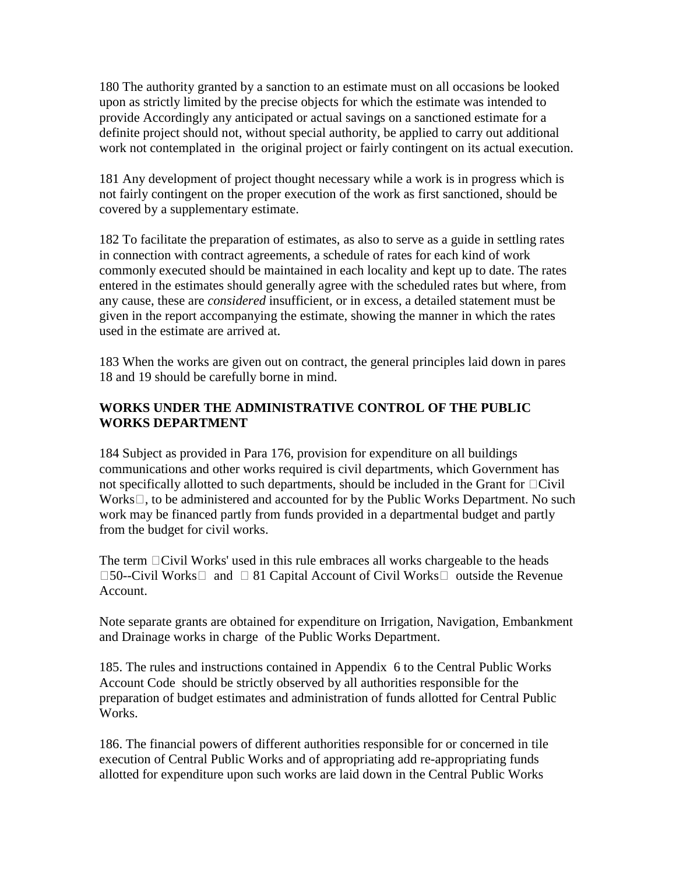180 The authority granted by a sanction to an estimate must on all occasions be looked upon as strictly limited by the precise objects for which the estimate was intended to provide Accordingly any anticipated or actual savings on a sanctioned estimate for a definite project should not, without special authority, be applied to carry out additional work not contemplated in the original project or fairly contingent on its actual execution.

181 Any development of project thought necessary while a work is in progress which is not fairly contingent on the proper execution of the work as first sanctioned, should be covered by a supplementary estimate.

182 To facilitate the preparation of estimates, as also to serve as a guide in settling rates in connection with contract agreements, a schedule of rates for each kind of work commonly executed should be maintained in each locality and kept up to date. The rates entered in the estimates should generally agree with the scheduled rates but where, from any cause, these are *considered* insufficient, or in excess, a detailed statement must be given in the report accompanying the estimate, showing the manner in which the rates used in the estimate are arrived at.

183 When the works are given out on contract, the general principles laid down in pares 18 and 19 should be carefully borne in mind.

### **WORKS UNDER THE ADMINISTRATIVE CONTROL OF THE PUBLIC WORKS DEPARTMENT**

184 Subject as provided in Para 176, provision for expenditure on all buildings communications and other works required is civil departments, which Government has not specifically allotted to such departments, should be included in the Grant for  $\Box$ Civil  $Works \Box$ , to be administered and accounted for by the Public Works Department. No such work may be financed partly from funds provided in a departmental budget and partly from the budget for civil works.

The term  $\Box$ Civil Works' used in this rule embraces all works chargeable to the heads  $\square$ 50--Civil Works  $\square$  and  $\square$  81 Capital Account of Civil Works  $\square$  outside the Revenue Account.

Note separate grants are obtained for expenditure on Irrigation, Navigation, Embankment and Drainage works in charge of the Public Works Department.

185. The rules and instructions contained in Appendix 6 to the Central Public Works Account Code should be strictly observed by all authorities responsible for the preparation of budget estimates and administration of funds allotted for Central Public Works.

186. The financial powers of different authorities responsible for or concerned in tile execution of Central Public Works and of appropriating add re-appropriating funds allotted for expenditure upon such works are laid down in the Central Public Works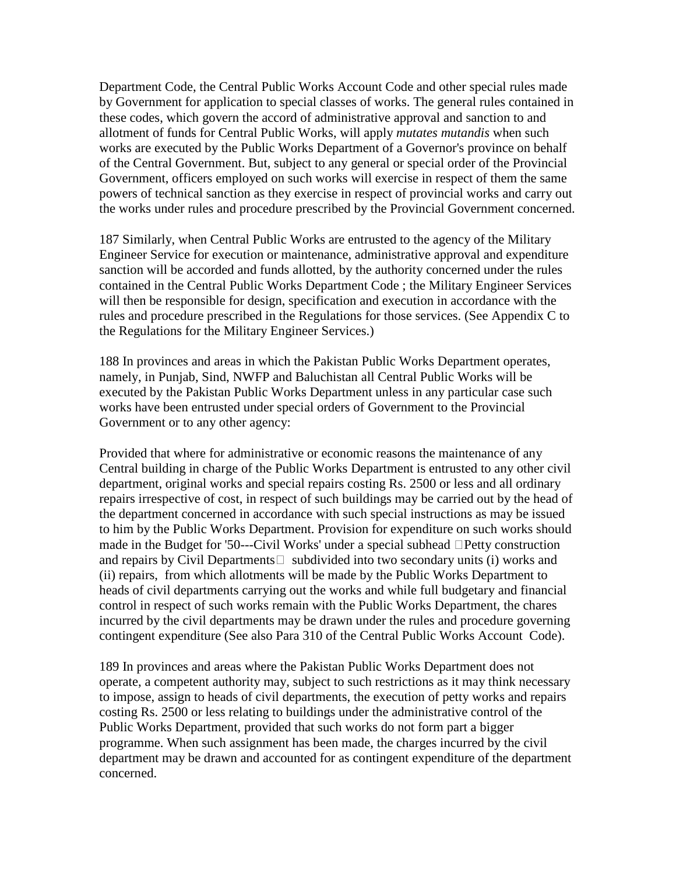Department Code, the Central Public Works Account Code and other special rules made by Government for application to special classes of works. The general rules contained in these codes, which govern the accord of administrative approval and sanction to and allotment of funds for Central Public Works, will apply *mutates mutandis* when such works are executed by the Public Works Department of a Governor's province on behalf of the Central Government. But, subject to any general or special order of the Provincial Government, officers employed on such works will exercise in respect of them the same powers of technical sanction as they exercise in respect of provincial works and carry out the works under rules and procedure prescribed by the Provincial Government concerned.

187 Similarly, when Central Public Works are entrusted to the agency of the Military Engineer Service for execution or maintenance, administrative approval and expenditure sanction will be accorded and funds allotted, by the authority concerned under the rules contained in the Central Public Works Department Code ; the Military Engineer Services will then be responsible for design, specification and execution in accordance with the rules and procedure prescribed in the Regulations for those services. (See Appendix C to the Regulations for the Military Engineer Services.)

188 In provinces and areas in which the Pakistan Public Works Department operates, namely, in Punjab, Sind, NWFP and Baluchistan all Central Public Works will be executed by the Pakistan Public Works Department unless in any particular case such works have been entrusted under special orders of Government to the Provincial Government or to any other agency:

Provided that where for administrative or economic reasons the maintenance of any Central building in charge of the Public Works Department is entrusted to any other civil department, original works and special repairs costing Rs. 2500 or less and all ordinary repairs irrespective of cost, in respect of such buildings may be carried out by the head of the department concerned in accordance with such special instructions as may be issued to him by the Public Works Department. Provision for expenditure on such works should made in the Budget for '50---Civil Works' under a special subhead  $\Box$  Petty construction and repairs by Civil Departments  $\Box$  subdivided into two secondary units (i) works and (ii) repairs, from which allotments will be made by the Public Works Department to heads of civil departments carrying out the works and while full budgetary and financial control in respect of such works remain with the Public Works Department, the chares incurred by the civil departments may be drawn under the rules and procedure governing contingent expenditure (See also Para 310 of the Central Public Works Account Code).

189 In provinces and areas where the Pakistan Public Works Department does not operate, a competent authority may, subject to such restrictions as it may think necessary to impose, assign to heads of civil departments, the execution of petty works and repairs costing Rs. 2500 or less relating to buildings under the administrative control of the Public Works Department, provided that such works do not form part a bigger programme. When such assignment has been made, the charges incurred by the civil department may be drawn and accounted for as contingent expenditure of the department concerned.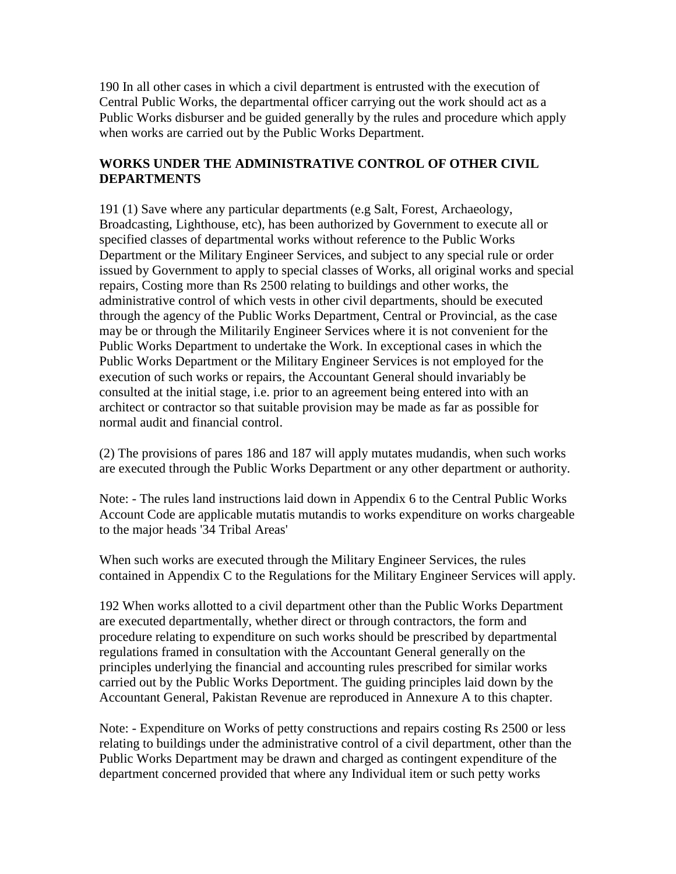190 In all other cases in which a civil department is entrusted with the execution of Central Public Works, the departmental officer carrying out the work should act as a Public Works disburser and be guided generally by the rules and procedure which apply when works are carried out by the Public Works Department.

### **WORKS UNDER THE ADMINISTRATIVE CONTROL OF OTHER CIVIL DEPARTMENTS**

191 (1) Save where any particular departments (e.g Salt, Forest, Archaeology, Broadcasting, Lighthouse, etc), has been authorized by Government to execute all or specified classes of departmental works without reference to the Public Works Department or the Military Engineer Services, and subject to any special rule or order issued by Government to apply to special classes of Works, all original works and special repairs, Costing more than Rs 2500 relating to buildings and other works, the administrative control of which vests in other civil departments, should be executed through the agency of the Public Works Department, Central or Provincial, as the case may be or through the Militarily Engineer Services where it is not convenient for the Public Works Department to undertake the Work. In exceptional cases in which the Public Works Department or the Military Engineer Services is not employed for the execution of such works or repairs, the Accountant General should invariably be consulted at the initial stage, i.e. prior to an agreement being entered into with an architect or contractor so that suitable provision may be made as far as possible for normal audit and financial control.

(2) The provisions of pares 186 and 187 will apply mutates mudandis, when such works are executed through the Public Works Department or any other department or authority.

Note: - The rules land instructions laid down in Appendix 6 to the Central Public Works Account Code are applicable mutatis mutandis to works expenditure on works chargeable to the major heads '34 Tribal Areas'

When such works are executed through the Military Engineer Services, the rules contained in Appendix C to the Regulations for the Military Engineer Services will apply.

192 When works allotted to a civil department other than the Public Works Department are executed departmentally, whether direct or through contractors, the form and procedure relating to expenditure on such works should be prescribed by departmental regulations framed in consultation with the Accountant General generally on the principles underlying the financial and accounting rules prescribed for similar works carried out by the Public Works Deportment. The guiding principles laid down by the Accountant General, Pakistan Revenue are reproduced in Annexure A to this chapter.

Note: - Expenditure on Works of petty constructions and repairs costing Rs 2500 or less relating to buildings under the administrative control of a civil department, other than the Public Works Department may be drawn and charged as contingent expenditure of the department concerned provided that where any Individual item or such petty works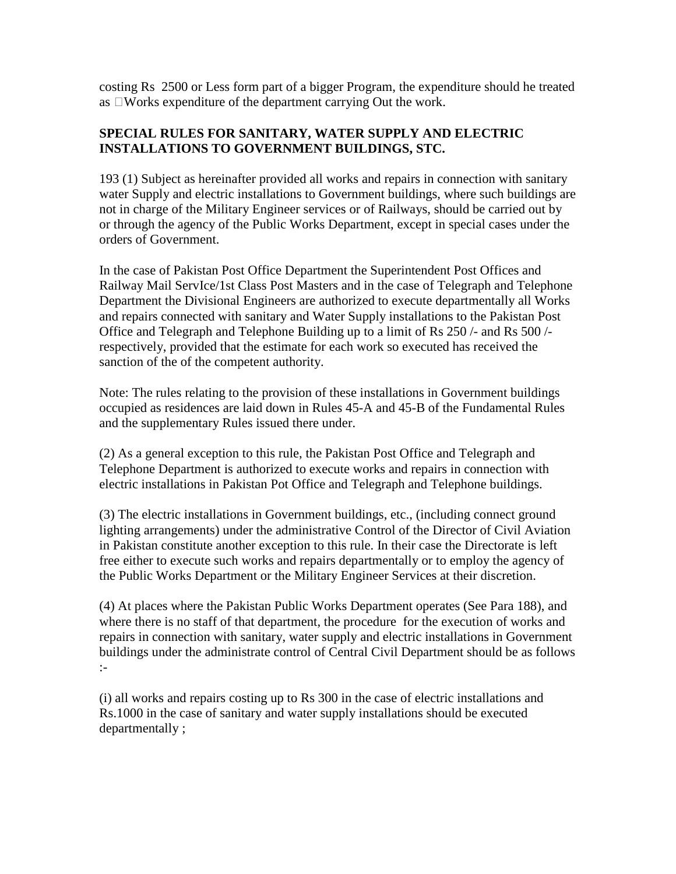costing Rs 2500 or Less form part of a bigger Program, the expenditure should he treated as  $\Box$  Works expenditure of the department carrying Out the work.

#### **SPECIAL RULES FOR SANITARY, WATER SUPPLY AND ELECTRIC INSTALLATIONS TO GOVERNMENT BUILDINGS, STC.**

193 (1) Subject as hereinafter provided all works and repairs in connection with sanitary water Supply and electric installations to Government buildings, where such buildings are not in charge of the Military Engineer services or of Railways, should be carried out by or through the agency of the Public Works Department, except in special cases under the orders of Government.

In the case of Pakistan Post Office Department the Superintendent Post Offices and Railway Mail ServIce/1st Class Post Masters and in the case of Telegraph and Telephone Department the Divisional Engineers are authorized to execute departmentally all Works and repairs connected with sanitary and Water Supply installations to the Pakistan Post Office and Telegraph and Telephone Building up to a limit of Rs 250 /- and Rs 500 / respectively, provided that the estimate for each work so executed has received the sanction of the of the competent authority.

Note: The rules relating to the provision of these installations in Government buildings occupied as residences are laid down in Rules 45-A and 45-B of the Fundamental Rules and the supplementary Rules issued there under.

(2) As a general exception to this rule, the Pakistan Post Office and Telegraph and Telephone Department is authorized to execute works and repairs in connection with electric installations in Pakistan Pot Office and Telegraph and Telephone buildings.

(3) The electric installations in Government buildings, etc., (including connect ground lighting arrangements) under the administrative Control of the Director of Civil Aviation in Pakistan constitute another exception to this rule. In their case the Directorate is left free either to execute such works and repairs departmentally or to employ the agency of the Public Works Department or the Military Engineer Services at their discretion.

(4) At places where the Pakistan Public Works Department operates (See Para 188), and where there is no staff of that department, the procedure for the execution of works and repairs in connection with sanitary, water supply and electric installations in Government buildings under the administrate control of Central Civil Department should be as follows :-

(i) all works and repairs costing up to Rs 300 in the case of electric installations and Rs.1000 in the case of sanitary and water supply installations should be executed departmentally ;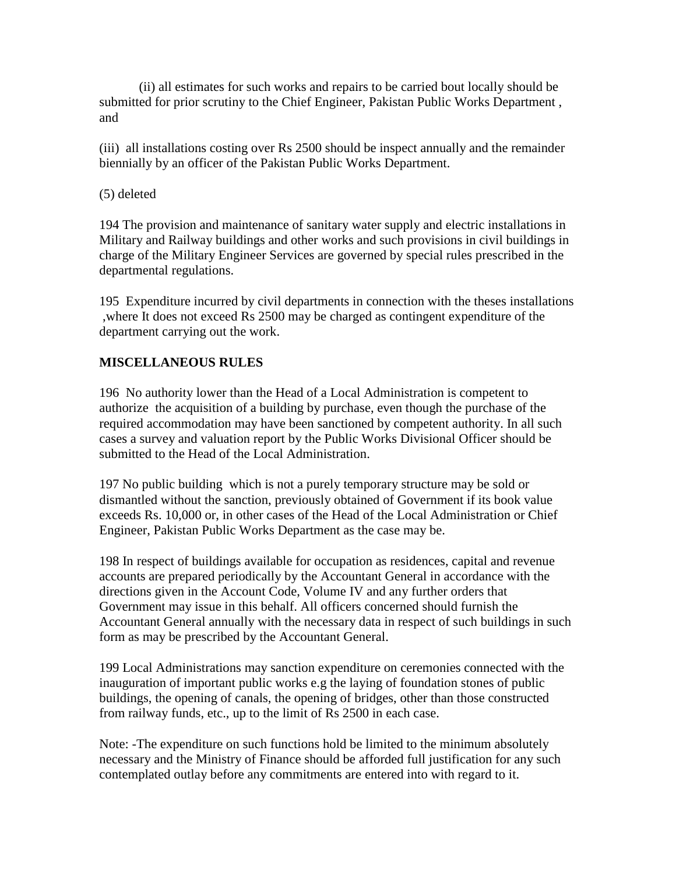(ii) all estimates for such works and repairs to be carried bout locally should be submitted for prior scrutiny to the Chief Engineer, Pakistan Public Works Department , and

(iii) all installations costing over Rs 2500 should be inspect annually and the remainder biennially by an officer of the Pakistan Public Works Department.

#### (5) deleted

194 The provision and maintenance of sanitary water supply and electric installations in Military and Railway buildings and other works and such provisions in civil buildings in charge of the Military Engineer Services are governed by special rules prescribed in the departmental regulations.

195 Expenditure incurred by civil departments in connection with the theses installations ,where It does not exceed Rs 2500 may be charged as contingent expenditure of the department carrying out the work.

### **MISCELLANEOUS RULES**

196 No authority lower than the Head of a Local Administration is competent to authorize the acquisition of a building by purchase, even though the purchase of the required accommodation may have been sanctioned by competent authority. In all such cases a survey and valuation report by the Public Works Divisional Officer should be submitted to the Head of the Local Administration.

197 No public building which is not a purely temporary structure may be sold or dismantled without the sanction, previously obtained of Government if its book value exceeds Rs. 10,000 or, in other cases of the Head of the Local Administration or Chief Engineer, Pakistan Public Works Department as the case may be.

198 In respect of buildings available for occupation as residences, capital and revenue accounts are prepared periodically by the Accountant General in accordance with the directions given in the Account Code, Volume IV and any further orders that Government may issue in this behalf. All officers concerned should furnish the Accountant General annually with the necessary data in respect of such buildings in such form as may be prescribed by the Accountant General.

199 Local Administrations may sanction expenditure on ceremonies connected with the inauguration of important public works e.g the laying of foundation stones of public buildings, the opening of canals, the opening of bridges, other than those constructed from railway funds, etc., up to the limit of Rs 2500 in each case.

Note: -The expenditure on such functions hold be limited to the minimum absolutely necessary and the Ministry of Finance should be afforded full justification for any such contemplated outlay before any commitments are entered into with regard to it.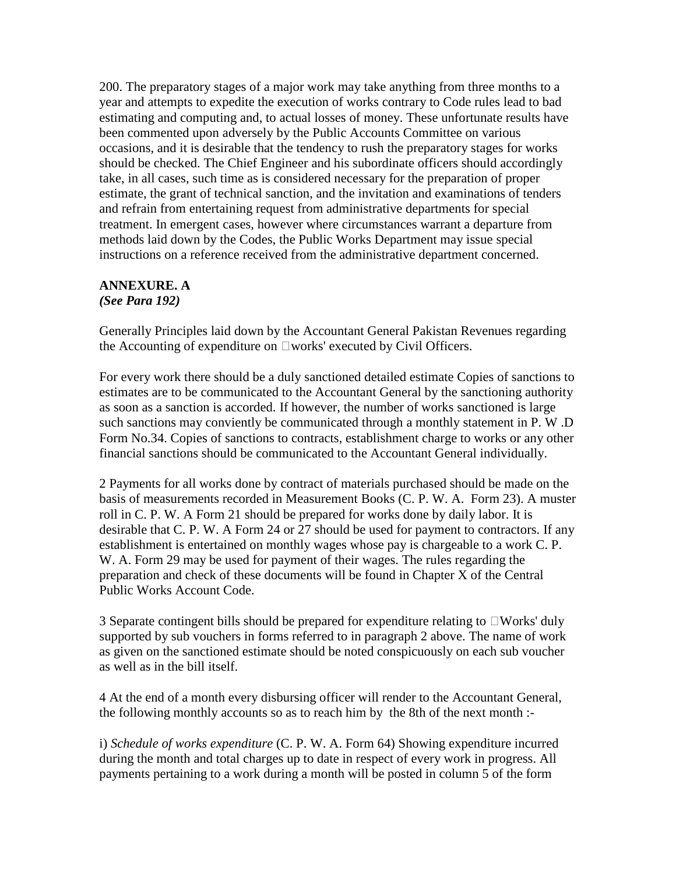200. The preparatory stages of a major work may take anything from three months to a year and attempts to expedite the execution of works contrary to Code rules lead to bad estimating and computing and, to actual losses of money. These unfortunate results have been commented upon adversely by the Public Accounts Committee on various occasions, and it is desirable that the tendency to rush the preparatory stages for works should be checked. The Chief Engineer and his subordinate officers should accordingly take, in all cases, such time as is considered necessary for the preparation of proper estimate, the grant of technical sanction, and the invitation and examinations of tenders and refrain from entertaining request from administrative departments for special treatment. In emergent cases, however where circumstances warrant a departure from methods laid down by the Codes, the Public Works Department may issue special instructions on a reference received from the administrative department concerned.

#### **ANNEXURE. A**  *(See Para 192)*

Generally Principles laid down by the Accountant General Pakistan Revenues regarding the Accounting of expenditure on  $\square$  works' executed by Civil Officers.

For every work there should be a duly sanctioned detailed estimate Copies of sanctions to estimates are to be communicated to the Accountant General by the sanctioning authority as soon as a sanction is accorded. If however, the number of works sanctioned is large such sanctions may conviently be communicated through a monthly statement in P. W .D Form No.34. Copies of sanctions to contracts, establishment charge to works or any other financial sanctions should be communicated to the Accountant General individually.

2 Payments for all works done by contract of materials purchased should be made on the basis of measurements recorded in Measurement Books (C. P. W. A. Form 23). A muster roll in C. P. W. A Form 21 should be prepared for works done by daily labor. It is desirable that C. P. W. A Form 24 or 27 should be used for payment to contractors. If any establishment is entertained on monthly wages whose pay is chargeable to a work C. P. W. A. Form 29 may be used for payment of their wages. The rules regarding the preparation and check of these documents will be found in Chapter X of the Central Public Works Account Code.

3 Separate contingent bills should be prepared for expenditure relating to  $\Box$  Works' duly supported by sub vouchers in forms referred to in paragraph 2 above. The name of work as given on the sanctioned estimate should be noted conspicuously on each sub voucher as well as in the bill itself.

4 At the end of a month every disbursing officer will render to the Accountant General, the following monthly accounts so as to reach him by the 8th of the next month :-

i) *Schedule of works expenditure* (C. P. W. A. Form 64) Showing expenditure incurred during the month and total charges up to date in respect of every work in progress. All payments pertaining to a work during a month will be posted in column 5 of the form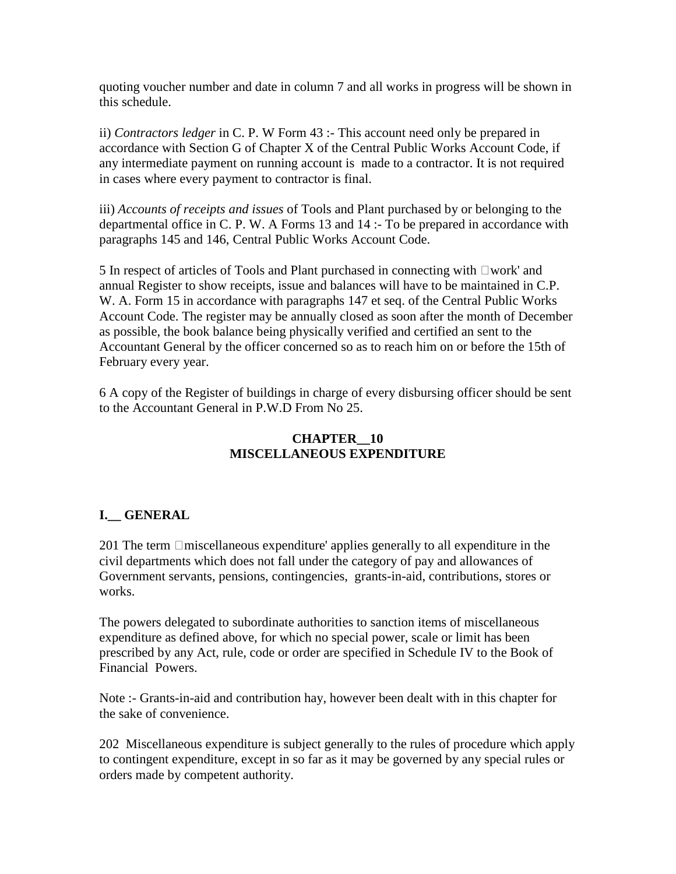quoting voucher number and date in column 7 and all works in progress will be shown in this schedule.

ii) *Contractors ledger* in C. P. W Form 43 :- This account need only be prepared in accordance with Section G of Chapter X of the Central Public Works Account Code, if any intermediate payment on running account is made to a contractor. It is not required in cases where every payment to contractor is final.

iii) *Accounts of receipts and issues* of Tools and Plant purchased by or belonging to the departmental office in C. P. W. A Forms 13 and 14 :- To be prepared in accordance with paragraphs 145 and 146, Central Public Works Account Code.

5 In respect of articles of Tools and Plant purchased in connecting with  $\Box$ work' and annual Register to show receipts, issue and balances will have to be maintained in C.P. W. A. Form 15 in accordance with paragraphs 147 et seq. of the Central Public Works Account Code. The register may be annually closed as soon after the month of December as possible, the book balance being physically verified and certified an sent to the Accountant General by the officer concerned so as to reach him on or before the 15th of February every year.

6 A copy of the Register of buildings in charge of every disbursing officer should be sent to the Accountant General in P.W.D From No 25.

### **CHAPTER\_\_10 MISCELLANEOUS EXPENDITURE**

## **I.\_\_ GENERAL**

201 The term  $\Box$ miscellaneous expenditure' applies generally to all expenditure in the civil departments which does not fall under the category of pay and allowances of Government servants, pensions, contingencies, grants-in-aid, contributions, stores or works.

The powers delegated to subordinate authorities to sanction items of miscellaneous expenditure as defined above, for which no special power, scale or limit has been prescribed by any Act, rule, code or order are specified in Schedule IV to the Book of Financial Powers.

Note :- Grants-in-aid and contribution hay, however been dealt with in this chapter for the sake of convenience.

202 Miscellaneous expenditure is subject generally to the rules of procedure which apply to contingent expenditure, except in so far as it may be governed by any special rules or orders made by competent authority.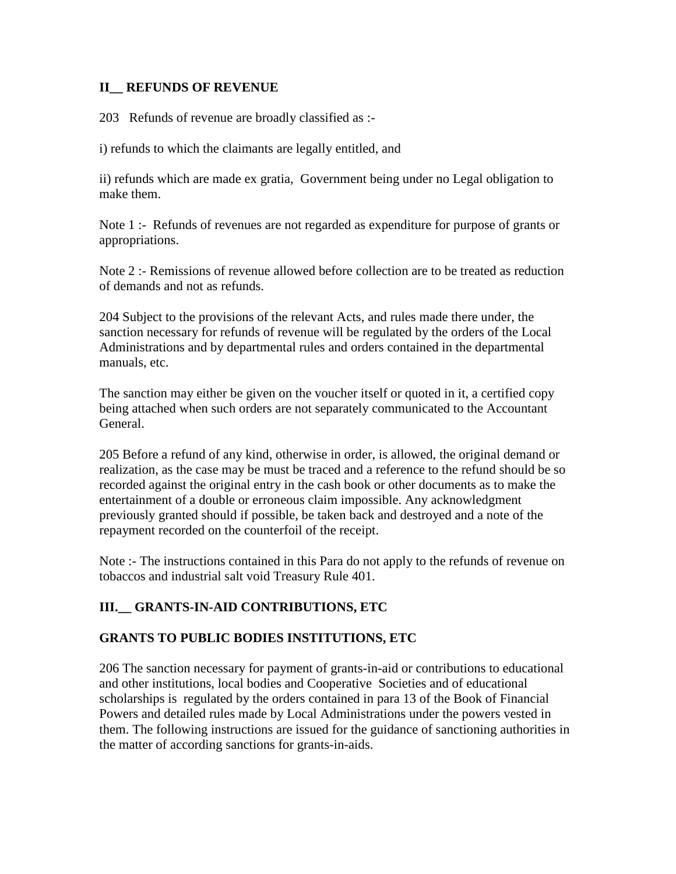#### **II\_\_ REFUNDS OF REVENUE**

203 Refunds of revenue are broadly classified as :-

i) refunds to which the claimants are legally entitled, and

ii) refunds which are made ex gratia, Government being under no Legal obligation to make them.

Note 1 :- Refunds of revenues are not regarded as expenditure for purpose of grants or appropriations.

Note 2 :- Remissions of revenue allowed before collection are to be treated as reduction of demands and not as refunds.

204 Subject to the provisions of the relevant Acts, and rules made there under, the sanction necessary for refunds of revenue will be regulated by the orders of the Local Administrations and by departmental rules and orders contained in the departmental manuals, etc.

The sanction may either be given on the voucher itself or quoted in it, a certified copy being attached when such orders are not separately communicated to the Accountant General.

205 Before a refund of any kind, otherwise in order, is allowed, the original demand or realization, as the case may be must be traced and a reference to the refund should be so recorded against the original entry in the cash book or other documents as to make the entertainment of a double or erroneous claim impossible. Any acknowledgment previously granted should if possible, be taken back and destroyed and a note of the repayment recorded on the counterfoil of the receipt.

Note :- The instructions contained in this Para do not apply to the refunds of revenue on tobaccos and industrial salt void Treasury Rule 401.

# **III.\_\_ GRANTS-IN-AID CONTRIBUTIONS, ETC**

#### **GRANTS TO PUBLIC BODIES INSTITUTIONS, ETC**

206 The sanction necessary for payment of grants-in-aid or contributions to educational and other institutions, local bodies and Cooperative Societies and of educational scholarships is regulated by the orders contained in para 13 of the Book of Financial Powers and detailed rules made by Local Administrations under the powers vested in them. The following instructions are issued for the guidance of sanctioning authorities in the matter of according sanctions for grants-in-aids.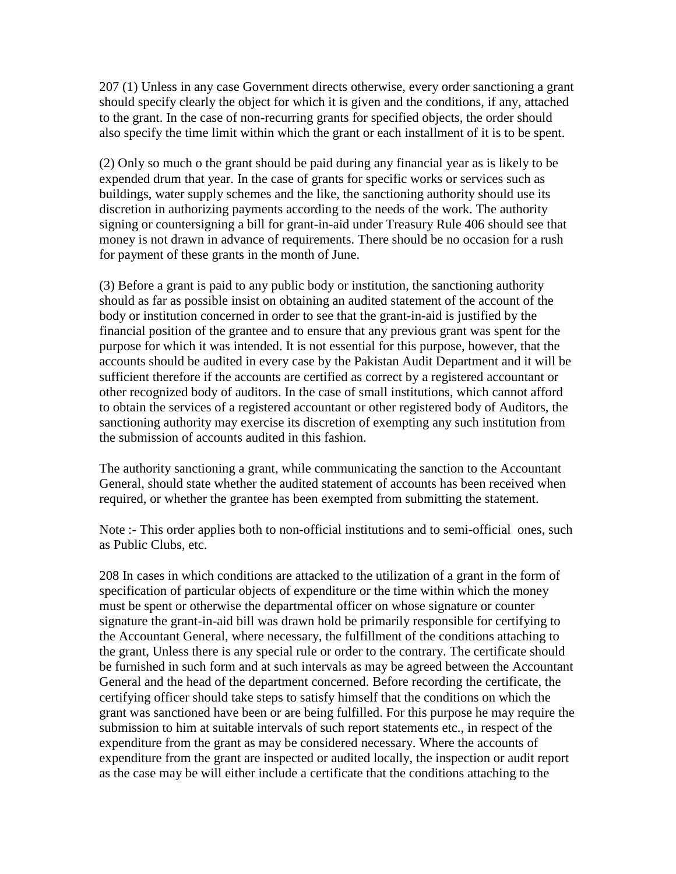207 (1) Unless in any case Government directs otherwise, every order sanctioning a grant should specify clearly the object for which it is given and the conditions, if any, attached to the grant. In the case of non-recurring grants for specified objects, the order should also specify the time limit within which the grant or each installment of it is to be spent.

(2) Only so much o the grant should be paid during any financial year as is likely to be expended drum that year. In the case of grants for specific works or services such as buildings, water supply schemes and the like, the sanctioning authority should use its discretion in authorizing payments according to the needs of the work. The authority signing or countersigning a bill for grant-in-aid under Treasury Rule 406 should see that money is not drawn in advance of requirements. There should be no occasion for a rush for payment of these grants in the month of June.

(3) Before a grant is paid to any public body or institution, the sanctioning authority should as far as possible insist on obtaining an audited statement of the account of the body or institution concerned in order to see that the grant-in-aid is justified by the financial position of the grantee and to ensure that any previous grant was spent for the purpose for which it was intended. It is not essential for this purpose, however, that the accounts should be audited in every case by the Pakistan Audit Department and it will be sufficient therefore if the accounts are certified as correct by a registered accountant or other recognized body of auditors. In the case of small institutions, which cannot afford to obtain the services of a registered accountant or other registered body of Auditors, the sanctioning authority may exercise its discretion of exempting any such institution from the submission of accounts audited in this fashion.

The authority sanctioning a grant, while communicating the sanction to the Accountant General, should state whether the audited statement of accounts has been received when required, or whether the grantee has been exempted from submitting the statement.

Note :- This order applies both to non-official institutions and to semi-official ones, such as Public Clubs, etc.

208 In cases in which conditions are attacked to the utilization of a grant in the form of specification of particular objects of expenditure or the time within which the money must be spent or otherwise the departmental officer on whose signature or counter signature the grant-in-aid bill was drawn hold be primarily responsible for certifying to the Accountant General, where necessary, the fulfillment of the conditions attaching to the grant, Unless there is any special rule or order to the contrary. The certificate should be furnished in such form and at such intervals as may be agreed between the Accountant General and the head of the department concerned. Before recording the certificate, the certifying officer should take steps to satisfy himself that the conditions on which the grant was sanctioned have been or are being fulfilled. For this purpose he may require the submission to him at suitable intervals of such report statements etc., in respect of the expenditure from the grant as may be considered necessary. Where the accounts of expenditure from the grant are inspected or audited locally, the inspection or audit report as the case may be will either include a certificate that the conditions attaching to the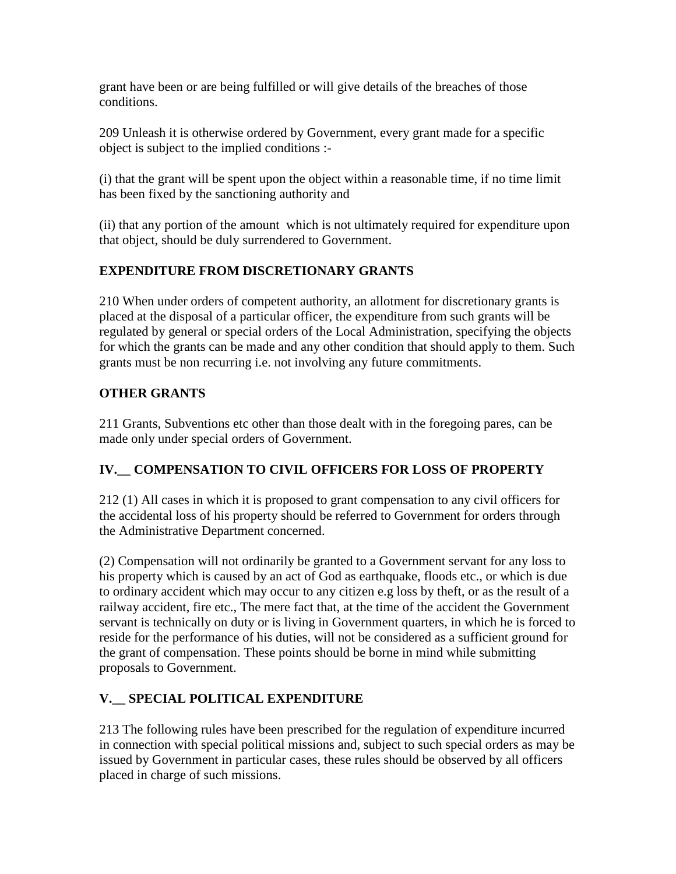grant have been or are being fulfilled or will give details of the breaches of those conditions.

209 Unleash it is otherwise ordered by Government, every grant made for a specific object is subject to the implied conditions :-

(i) that the grant will be spent upon the object within a reasonable time, if no time limit has been fixed by the sanctioning authority and

(ii) that any portion of the amount which is not ultimately required for expenditure upon that object, should be duly surrendered to Government.

# **EXPENDITURE FROM DISCRETIONARY GRANTS**

210 When under orders of competent authority, an allotment for discretionary grants is placed at the disposal of a particular officer, the expenditure from such grants will be regulated by general or special orders of the Local Administration, specifying the objects for which the grants can be made and any other condition that should apply to them. Such grants must be non recurring i.e. not involving any future commitments.

# **OTHER GRANTS**

211 Grants, Subventions etc other than those dealt with in the foregoing pares, can be made only under special orders of Government.

# **IV.\_\_ COMPENSATION TO CIVIL OFFICERS FOR LOSS OF PROPERTY**

212 (1) All cases in which it is proposed to grant compensation to any civil officers for the accidental loss of his property should be referred to Government for orders through the Administrative Department concerned.

(2) Compensation will not ordinarily be granted to a Government servant for any loss to his property which is caused by an act of God as earthquake, floods etc., or which is due to ordinary accident which may occur to any citizen e.g loss by theft, or as the result of a railway accident, fire etc., The mere fact that, at the time of the accident the Government servant is technically on duty or is living in Government quarters, in which he is forced to reside for the performance of his duties, will not be considered as a sufficient ground for the grant of compensation. These points should be borne in mind while submitting proposals to Government.

# **V.\_\_ SPECIAL POLITICAL EXPENDITURE**

213 The following rules have been prescribed for the regulation of expenditure incurred in connection with special political missions and, subject to such special orders as may be issued by Government in particular cases, these rules should be observed by all officers placed in charge of such missions.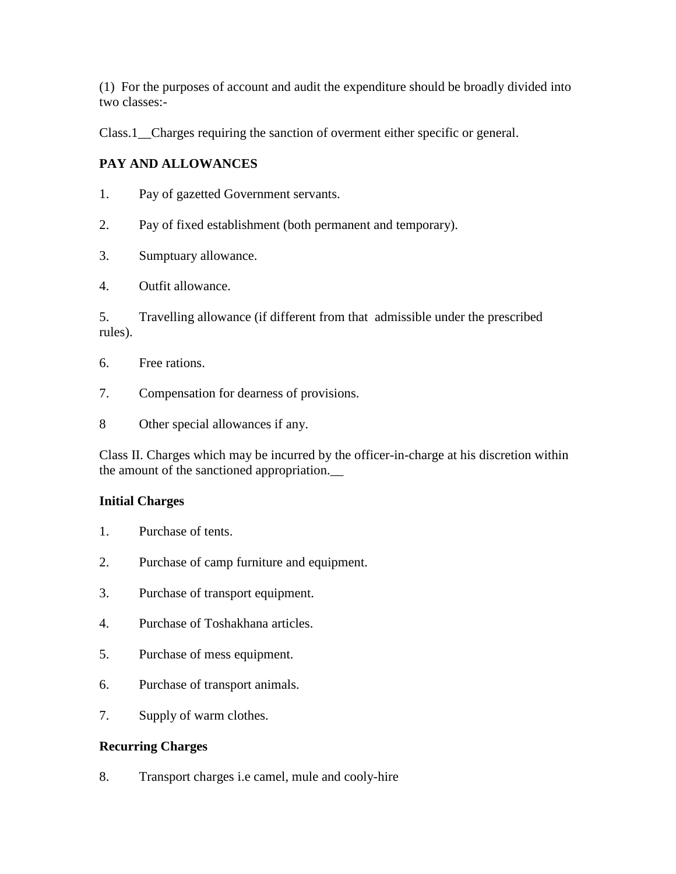(1) For the purposes of account and audit the expenditure should be broadly divided into two classes:-

Class.1\_\_Charges requiring the sanction of overment either specific or general.

# **PAY AND ALLOWANCES**

- 1. Pay of gazetted Government servants.
- 2. Pay of fixed establishment (both permanent and temporary).
- 3. Sumptuary allowance.
- 4. Outfit allowance.

5. Travelling allowance (if different from that admissible under the prescribed rules).

- 6. Free rations.
- 7. Compensation for dearness of provisions.
- 8 Other special allowances if any.

Class II. Charges which may be incurred by the officer-in-charge at his discretion within the amount of the sanctioned appropriation.\_\_

#### **Initial Charges**

- 1. Purchase of tents.
- 2. Purchase of camp furniture and equipment.
- 3. Purchase of transport equipment.
- 4. Purchase of Toshakhana articles.
- 5. Purchase of mess equipment.
- 6. Purchase of transport animals.
- 7. Supply of warm clothes.

#### **Recurring Charges**

8. Transport charges i.e camel, mule and cooly-hire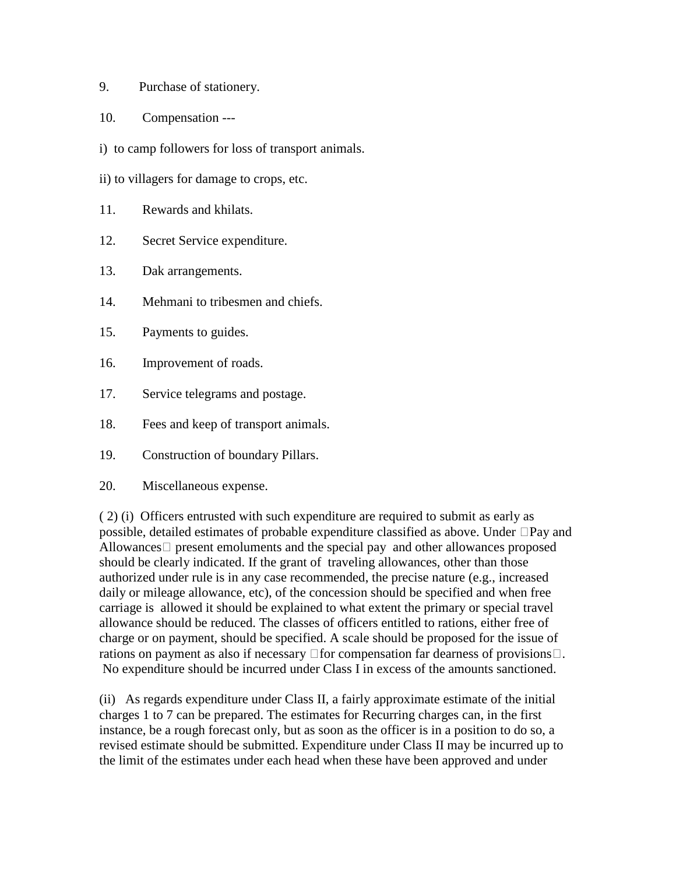- 9. Purchase of stationery.
- 10. Compensation ---
- i) to camp followers for loss of transport animals.
- ii) to villagers for damage to crops, etc.
- 11. Rewards and khilats.
- 12. Secret Service expenditure.
- 13. Dak arrangements.
- 14. Mehmani to tribesmen and chiefs.
- 15. Payments to guides.
- 16. Improvement of roads.
- 17. Service telegrams and postage.
- 18. Fees and keep of transport animals.
- 19. Construction of boundary Pillars.
- 20. Miscellaneous expense.

( 2) (i) Officers entrusted with such expenditure are required to submit as early as possible, detailed estimates of probable expenditure classified as above. Under  $\Box$ Pay and Allowances  $\Box$  present emoluments and the special pay and other allowances proposed should be clearly indicated. If the grant of traveling allowances, other than those authorized under rule is in any case recommended, the precise nature (e.g., increased daily or mileage allowance, etc), of the concession should be specified and when free carriage is allowed it should be explained to what extent the primary or special travel allowance should be reduced. The classes of officers entitled to rations, either free of charge or on payment, should be specified. A scale should be proposed for the issue of rations on payment as also if necessary  $\Box$  for compensation far dearness of provisions  $\Box$ . No expenditure should be incurred under Class I in excess of the amounts sanctioned.

(ii) As regards expenditure under Class II, a fairly approximate estimate of the initial charges 1 to 7 can be prepared. The estimates for Recurring charges can, in the first instance, be a rough forecast only, but as soon as the officer is in a position to do so, a revised estimate should be submitted. Expenditure under Class II may be incurred up to the limit of the estimates under each head when these have been approved and under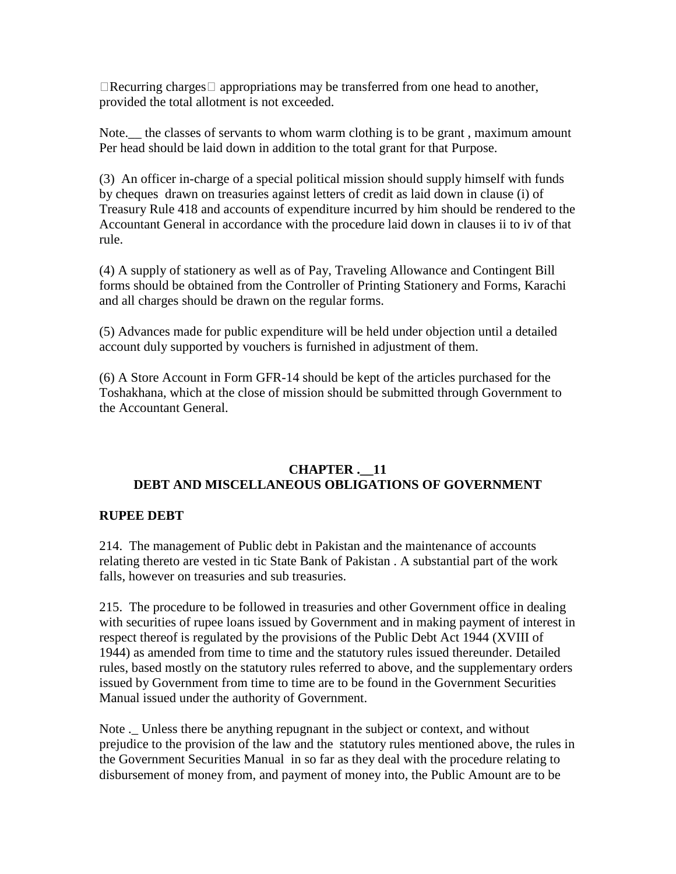$\Box$ Recurring charges  $\Box$  appropriations may be transferred from one head to another, provided the total allotment is not exceeded.

Note. the classes of servants to whom warm clothing is to be grant, maximum amount Per head should be laid down in addition to the total grant for that Purpose.

(3) An officer in-charge of a special political mission should supply himself with funds by cheques drawn on treasuries against letters of credit as laid down in clause (i) of Treasury Rule 418 and accounts of expenditure incurred by him should be rendered to the Accountant General in accordance with the procedure laid down in clauses ii to iv of that rule.

(4) A supply of stationery as well as of Pay, Traveling Allowance and Contingent Bill forms should be obtained from the Controller of Printing Stationery and Forms, Karachi and all charges should be drawn on the regular forms.

(5) Advances made for public expenditure will be held under objection until a detailed account duly supported by vouchers is furnished in adjustment of them.

(6) A Store Account in Form GFR-14 should be kept of the articles purchased for the Toshakhana, which at the close of mission should be submitted through Government to the Accountant General.

#### **CHAPTER .\_\_11 DEBT AND MISCELLANEOUS OBLIGATIONS OF GOVERNMENT**

#### **RUPEE DEBT**

214. The management of Public debt in Pakistan and the maintenance of accounts relating thereto are vested in tic State Bank of Pakistan . A substantial part of the work falls, however on treasuries and sub treasuries.

215. The procedure to be followed in treasuries and other Government office in dealing with securities of rupee loans issued by Government and in making payment of interest in respect thereof is regulated by the provisions of the Public Debt Act 1944 (XVIII of 1944) as amended from time to time and the statutory rules issued thereunder. Detailed rules, based mostly on the statutory rules referred to above, and the supplementary orders issued by Government from time to time are to be found in the Government Securities Manual issued under the authority of Government.

Note .\_ Unless there be anything repugnant in the subject or context, and without prejudice to the provision of the law and the statutory rules mentioned above, the rules in the Government Securities Manual in so far as they deal with the procedure relating to disbursement of money from, and payment of money into, the Public Amount are to be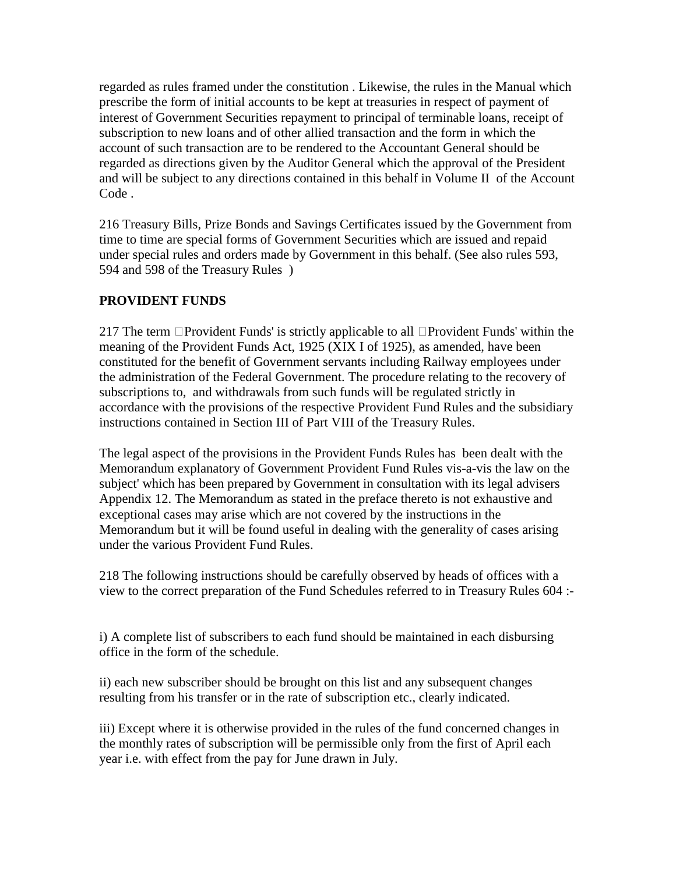regarded as rules framed under the constitution . Likewise, the rules in the Manual which prescribe the form of initial accounts to be kept at treasuries in respect of payment of interest of Government Securities repayment to principal of terminable loans, receipt of subscription to new loans and of other allied transaction and the form in which the account of such transaction are to be rendered to the Accountant General should be regarded as directions given by the Auditor General which the approval of the President and will be subject to any directions contained in this behalf in Volume II of the Account Code .

216 Treasury Bills, Prize Bonds and Savings Certificates issued by the Government from time to time are special forms of Government Securities which are issued and repaid under special rules and orders made by Government in this behalf. (See also rules 593, 594 and 598 of the Treasury Rules )

### **PROVIDENT FUNDS**

217 The term  $\Box$  Provident Funds' is strictly applicable to all  $\Box$  Provident Funds' within the meaning of the Provident Funds Act, 1925 (XIX I of 1925), as amended, have been constituted for the benefit of Government servants including Railway employees under the administration of the Federal Government. The procedure relating to the recovery of subscriptions to, and withdrawals from such funds will be regulated strictly in accordance with the provisions of the respective Provident Fund Rules and the subsidiary instructions contained in Section III of Part VIII of the Treasury Rules.

The legal aspect of the provisions in the Provident Funds Rules has been dealt with the Memorandum explanatory of Government Provident Fund Rules vis-a-vis the law on the subject' which has been prepared by Government in consultation with its legal advisers Appendix 12. The Memorandum as stated in the preface thereto is not exhaustive and exceptional cases may arise which are not covered by the instructions in the Memorandum but it will be found useful in dealing with the generality of cases arising under the various Provident Fund Rules.

218 The following instructions should be carefully observed by heads of offices with a view to the correct preparation of the Fund Schedules referred to in Treasury Rules 604 :-

i) A complete list of subscribers to each fund should be maintained in each disbursing office in the form of the schedule.

ii) each new subscriber should be brought on this list and any subsequent changes resulting from his transfer or in the rate of subscription etc., clearly indicated.

iii) Except where it is otherwise provided in the rules of the fund concerned changes in the monthly rates of subscription will be permissible only from the first of April each year i.e. with effect from the pay for June drawn in July.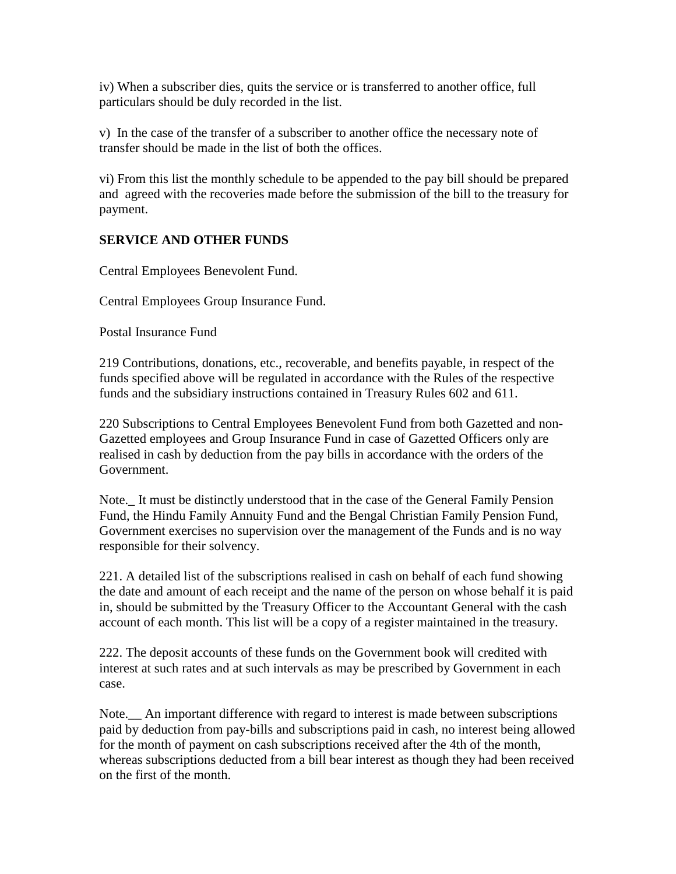iv) When a subscriber dies, quits the service or is transferred to another office, full particulars should be duly recorded in the list.

v) In the case of the transfer of a subscriber to another office the necessary note of transfer should be made in the list of both the offices.

vi) From this list the monthly schedule to be appended to the pay bill should be prepared and agreed with the recoveries made before the submission of the bill to the treasury for payment.

#### **SERVICE AND OTHER FUNDS**

Central Employees Benevolent Fund.

Central Employees Group Insurance Fund.

Postal Insurance Fund

219 Contributions, donations, etc., recoverable, and benefits payable, in respect of the funds specified above will be regulated in accordance with the Rules of the respective funds and the subsidiary instructions contained in Treasury Rules 602 and 611.

220 Subscriptions to Central Employees Benevolent Fund from both Gazetted and non-Gazetted employees and Group Insurance Fund in case of Gazetted Officers only are realised in cash by deduction from the pay bills in accordance with the orders of the Government.

Note.\_ It must be distinctly understood that in the case of the General Family Pension Fund, the Hindu Family Annuity Fund and the Bengal Christian Family Pension Fund, Government exercises no supervision over the management of the Funds and is no way responsible for their solvency.

221. A detailed list of the subscriptions realised in cash on behalf of each fund showing the date and amount of each receipt and the name of the person on whose behalf it is paid in, should be submitted by the Treasury Officer to the Accountant General with the cash account of each month. This list will be a copy of a register maintained in the treasury.

222. The deposit accounts of these funds on the Government book will credited with interest at such rates and at such intervals as may be prescribed by Government in each case.

Note.\_\_ An important difference with regard to interest is made between subscriptions paid by deduction from pay-bills and subscriptions paid in cash, no interest being allowed for the month of payment on cash subscriptions received after the 4th of the month, whereas subscriptions deducted from a bill bear interest as though they had been received on the first of the month.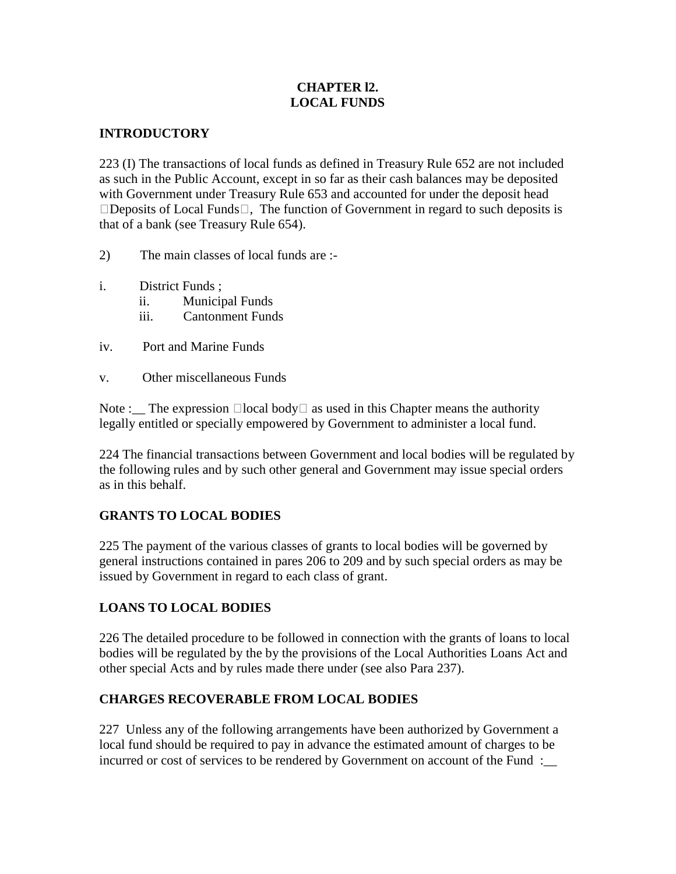#### **CHAPTER l2. LOCAL FUNDS**

#### **INTRODUCTORY**

223 (I) The transactions of local funds as defined in Treasury Rule 652 are not included as such in the Public Account, except in so far as their cash balances may be deposited with Government under Treasury Rule 653 and accounted for under the deposit head  $\Box$ Deposits of Local Funds $\Box$ , The function of Government in regard to such deposits is that of a bank (see Treasury Rule 654).

- 2) The main classes of local funds are :-
- i. District Funds ;
	- ii. Municipal Funds
	- iii. Cantonment Funds
- iv. Port and Marine Funds
- v. Other miscellaneous Funds

Note : The expression  $\Box$ local body  $\Box$  as used in this Chapter means the authority legally entitled or specially empowered by Government to administer a local fund.

224 The financial transactions between Government and local bodies will be regulated by the following rules and by such other general and Government may issue special orders as in this behalf.

#### **GRANTS TO LOCAL BODIES**

225 The payment of the various classes of grants to local bodies will be governed by general instructions contained in pares 206 to 209 and by such special orders as may be issued by Government in regard to each class of grant.

## **LOANS TO LOCAL BODIES**

226 The detailed procedure to be followed in connection with the grants of loans to local bodies will be regulated by the by the provisions of the Local Authorities Loans Act and other special Acts and by rules made there under (see also Para 237).

#### **CHARGES RECOVERABLE FROM LOCAL BODIES**

227 Unless any of the following arrangements have been authorized by Government a local fund should be required to pay in advance the estimated amount of charges to be incurred or cost of services to be rendered by Government on account of the Fund :\_\_\_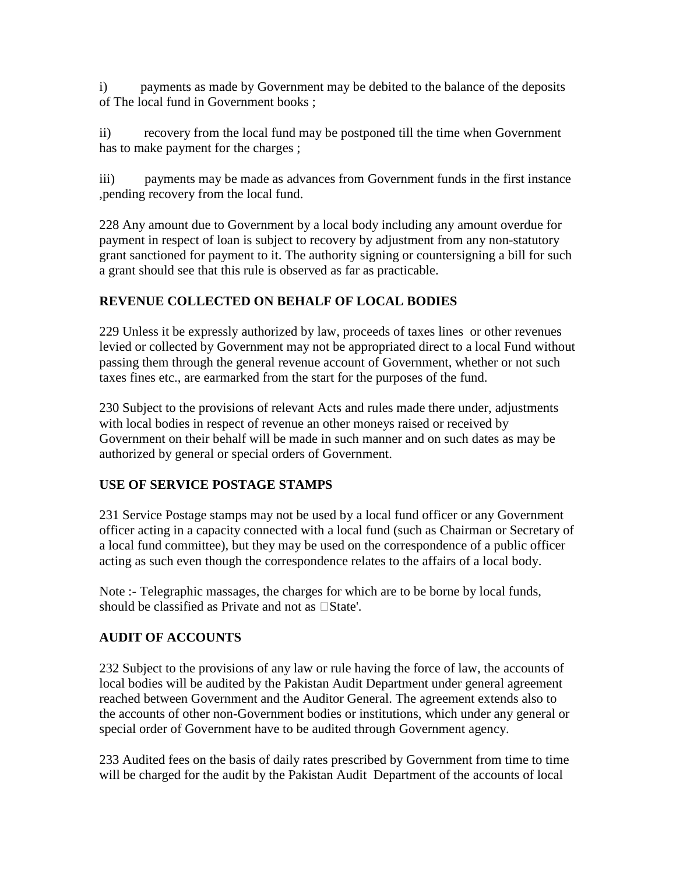i) payments as made by Government may be debited to the balance of the deposits of The local fund in Government books ;

ii) recovery from the local fund may be postponed till the time when Government has to make payment for the charges ;

iii) payments may be made as advances from Government funds in the first instance ,pending recovery from the local fund.

228 Any amount due to Government by a local body including any amount overdue for payment in respect of loan is subject to recovery by adjustment from any non-statutory grant sanctioned for payment to it. The authority signing or countersigning a bill for such a grant should see that this rule is observed as far as practicable.

# **REVENUE COLLECTED ON BEHALF OF LOCAL BODIES**

229 Unless it be expressly authorized by law, proceeds of taxes lines or other revenues levied or collected by Government may not be appropriated direct to a local Fund without passing them through the general revenue account of Government, whether or not such taxes fines etc., are earmarked from the start for the purposes of the fund.

230 Subject to the provisions of relevant Acts and rules made there under, adjustments with local bodies in respect of revenue an other moneys raised or received by Government on their behalf will be made in such manner and on such dates as may be authorized by general or special orders of Government.

## **USE OF SERVICE POSTAGE STAMPS**

231 Service Postage stamps may not be used by a local fund officer or any Government officer acting in a capacity connected with a local fund (such as Chairman or Secretary of a local fund committee), but they may be used on the correspondence of a public officer acting as such even though the correspondence relates to the affairs of a local body.

Note :- Telegraphic massages, the charges for which are to be borne by local funds, should be classified as Private and not as  $\Box$ State'.

# **AUDIT OF ACCOUNTS**

232 Subject to the provisions of any law or rule having the force of law, the accounts of local bodies will be audited by the Pakistan Audit Department under general agreement reached between Government and the Auditor General. The agreement extends also to the accounts of other non-Government bodies or institutions, which under any general or special order of Government have to be audited through Government agency.

233 Audited fees on the basis of daily rates prescribed by Government from time to time will be charged for the audit by the Pakistan Audit Department of the accounts of local